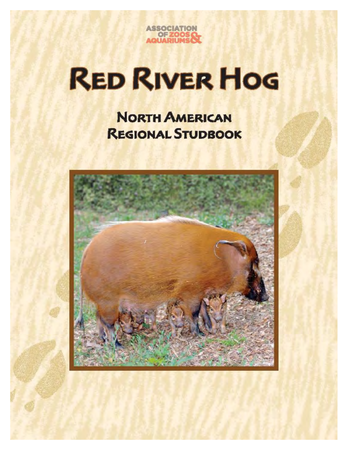

# **RED RIVER HOG**

**NORTH AMERICAN REGIONAL STUDBOOK** 

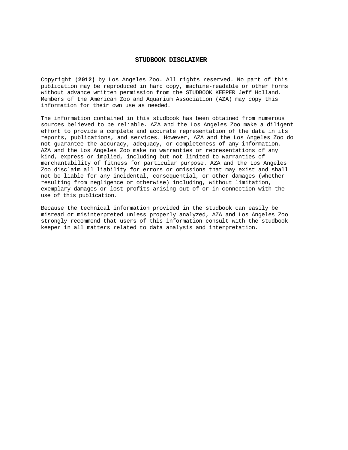#### **STUDBOOK DISCLAIMER**

Copyright (**2012)** by Los Angeles Zoo. All rights reserved. No part of this publication may be reproduced in hard copy, machine-readable or other forms without advance written permission from the STUDBOOK KEEPER Jeff Holland. Members of the American Zoo and Aquarium Association (AZA) may copy this information for their own use as needed.

The information contained in this studbook has been obtained from numerous sources believed to be reliable. AZA and the Los Angeles Zoo make a diligent effort to provide a complete and accurate representation of the data in its reports, publications, and services. However, AZA and the Los Angeles Zoo do not guarantee the accuracy, adequacy, or completeness of any information. AZA and the Los Angeles Zoo make no warranties or representations of any kind, express or implied, including but not limited to warranties of merchantability of fitness for particular purpose. AZA and the Los Angeles Zoo disclaim all liability for errors or omissions that may exist and shall not be liable for any incidental, consequential, or other damages (whether resulting from negligence or otherwise) including, without limitation, exemplary damages or lost profits arising out of or in connection with the use of this publication.

Because the technical information provided in the studbook can easily be misread or misinterpreted unless properly analyzed, AZA and Los Angeles Zoo strongly recommend that users of this information consult with the studbook keeper in all matters related to data analysis and interpretation.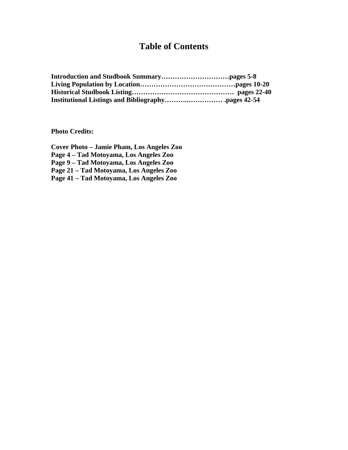### **Table of Contents**

**Photo Credits:** 

**Cover Photo – Jamie Pham, Los Angeles Zoo Page 4 – Tad Motoyama, Los Angeles Zoo Page 9 – Tad Motoyama, Los Angeles Zoo Page 21 – Tad Motoyama, Los Angeles Zoo Page 41 – Tad Motoyama, Los Angeles Zoo**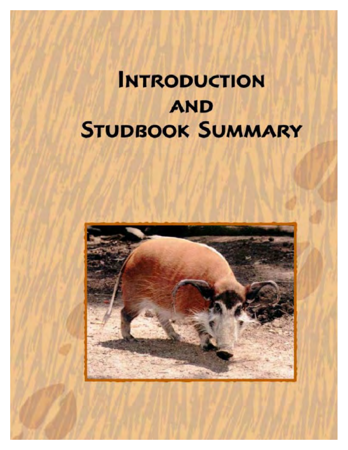## **INTRODUCTION AND STUDBOOK SUMMARY**

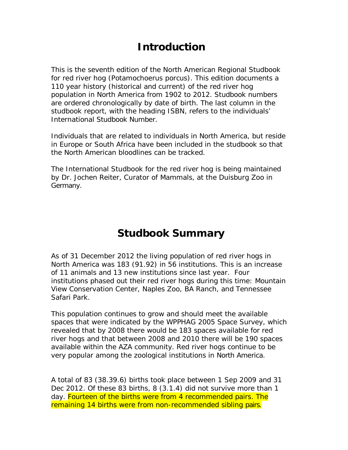## **Introduction**

This is the seventh edition of the North American Regional Studbook for red river hog (*Potamochoerus porcus*). This edition documents a 110 year history (historical and current) of the red river hog population in North America from 1902 to 2012. Studbook numbers are ordered chronologically by date of birth. The last column in the studbook report, with the heading ISBN, refers to the individuals' International Studbook Number.

Individuals that are related to individuals in North America, but reside in Europe or South Africa have been included in the studbook so that the North American bloodlines can be tracked.

The International Studbook for the red river hog is being maintained by Dr. Jochen Reiter, Curator of Mammals, at the Duisburg Zoo in Germany.

### **Studbook Summary**

As of 31 December 2012 the living population of red river hogs in North America was 183 (91.92) in 56 institutions. This is an increase of 11 animals and 13 new institutions since last year. Four institutions phased out their red river hogs during this time: Mountain View Conservation Center, Naples Zoo, BA Ranch, and Tennessee Safari Park.

This population continues to grow and should meet the available spaces that were indicated by the WPPHAG 2005 Space Survey, which revealed that by 2008 there would be 183 spaces available for red river hogs and that between 2008 and 2010 there will be 190 spaces available within the AZA community. Red river hogs continue to be very popular among the zoological institutions in North America.

A total of 83 (38.39.6) births took place between 1 Sep 2009 and 31 Dec 2012. Of these 83 births, 8 (3.1.4) did not survive more than 1 day. Fourteen of the births were from 4 recommended pairs. The remaining 14 births were from non-recommended sibling pairs.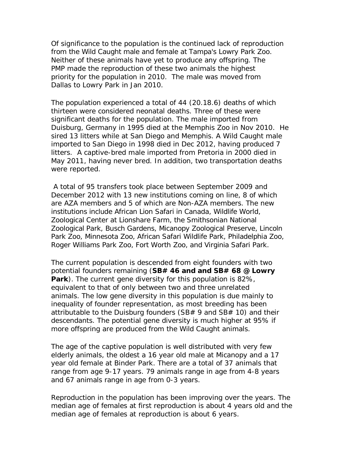Of significance to the population is the continued lack of reproduction from the Wild Caught male and female at Tampa's Lowry Park Zoo. Neither of these animals have yet to produce any offspring. The PMP made the reproduction of these two animals the highest priority for the population in 2010. The male was moved from Dallas to Lowry Park in Jan 2010.

The population experienced a total of 44 (20.18.6) deaths of which thirteen were considered neonatal deaths. Three of these were significant deaths for the population. The male imported from Duisburg, Germany in 1995 died at the Memphis Zoo in Nov 2010. He sired 13 litters while at San Diego and Memphis. A Wild Caught male imported to San Diego in 1998 died in Dec 2012, having produced 7 litters. A captive-bred male imported from Pretoria in 2000 died in May 2011, having never bred. In addition, two transportation deaths were reported.

A total of 95 transfers took place between September 2009 and December 2012 with 13 new institutions coming on line, 8 of which are AZA members and 5 of which are Non-AZA members. The new institutions include African Lion Safari in Canada, Wildlife World, Zoological Center at Lionshare Farm, the Smithsonian National Zoological Park, Busch Gardens, Micanopy Zoological Preserve, Lincoln Park Zoo, Minnesota Zoo, African Safari Wildlife Park, Philadelphia Zoo, Roger Williams Park Zoo, Fort Worth Zoo, and Virginia Safari Park.

The current population is descended from eight founders with two potential founders remaining (**SB# 46 and and SB# 68 @ Lowry Park**). The current gene diversity for this population is 82%, equivalent to that of only between two and three unrelated animals. The low gene diversity in this population is due mainly to inequality of founder representation, as most breeding has been attributable to the Duisburg founders (SB# 9 and SB# 10) and their descendants. The potential gene diversity is much higher at 95% if more offspring are produced from the Wild Caught animals.

The age of the captive population is well distributed with very few elderly animals, the oldest a 16 year old male at Micanopy and a 17 year old female at Binder Park. There are a total of 37 animals that range from age 9-17 years. 79 animals range in age from 4-8 years and 67 animals range in age from 0-3 years.

Reproduction in the population has been improving over the years. The median age of females at first reproduction is about 4 years old and the median age of females at reproduction is about 6 years.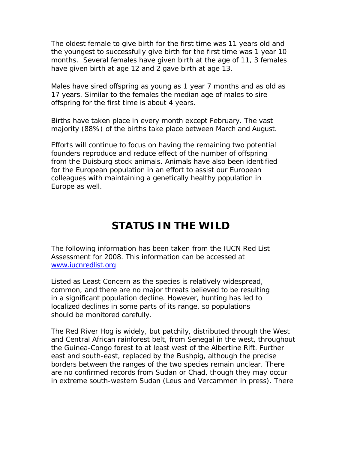The oldest female to give birth for the first time was 11 years old and the youngest to successfully give birth for the first time was 1 year 10 months. Several females have given birth at the age of 11, 3 females have given birth at age 12 and 2 gave birth at age 13.

Males have sired offspring as young as 1 year 7 months and as old as 17 years. Similar to the females the median age of males to sire offspring for the first time is about 4 years.

Births have taken place in every month except February. The vast majority (88%) of the births take place between March and August.

Efforts will continue to focus on having the remaining two potential founders reproduce and reduce effect of the number of offspring from the Duisburg stock animals. Animals have also been identified for the European population in an effort to assist our European colleagues with maintaining a genetically healthy population in Europe as well.

## **STATUS IN THE WILD**

The following information has been taken from the IUCN Red List Assessment for 2008. This information can be accessed at [www.iucnredlist.org](http://www.iucnredlist.org)

Listed as Least Concern as the species is relatively widespread, common, and there are no major threats believed to be resulting in a significant population decline. However, hunting has led to localized declines in some parts of its range, so populations should be monitored carefully.

The Red River Hog is widely, but patchily, distributed through the West and Central African rainforest belt, from Senegal in the west, throughout the Guinea-Congo forest to at least west of the Albertine Rift. Further east and south-east, replaced by the Bushpig, although the precise borders between the ranges of the two species remain unclear. There are no confirmed records from Sudan or Chad, though they may occur in extreme south-western Sudan (Leus and Vercammen in press). There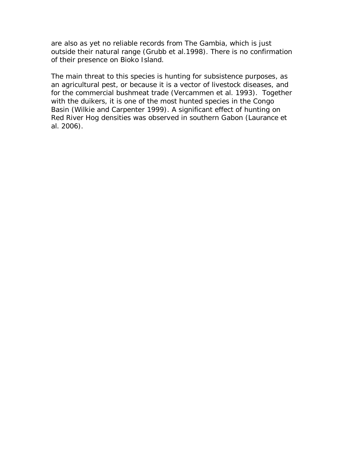are also as yet no reliable records from The Gambia, which is just outside their natural range (Grubb *et al.*1998). There is no confirmation of their presence on Bioko Island.

The main threat to this species is hunting for subsistence purposes, as an agricultural pest, or because it is a vector of livestock diseases, and for the commercial bushmeat trade (Vercammen *et al.* 1993). Together with the duikers, it is one of the most hunted species in the Congo Basin (Wilkie and Carpenter 1999). A significant effect of hunting on Red River Hog densities was observed in southern Gabon (Laurance *et al*. 2006).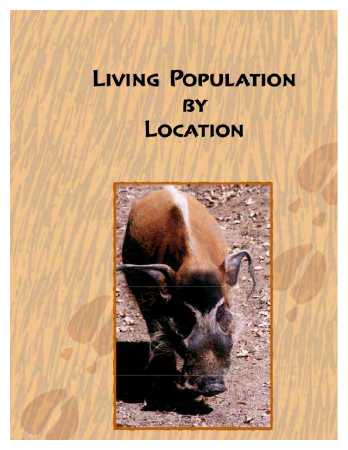## **LIVING POPULATION BY** LOCATION

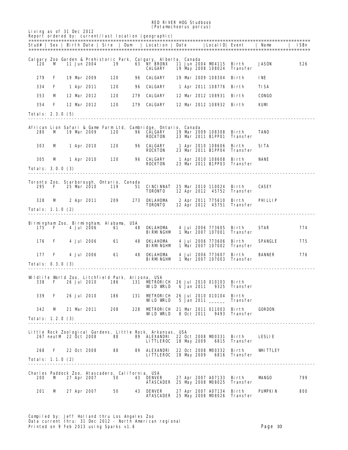RED RIVER HOG Studbook (*Potamochoerus porcus*)

| Living as of 31 Dec 2012        |       |  |                       |                                                    |                                                   | <i>(rotampchoerus porcus)</i><br>Report ordered by: current/last location (geographic)                                       |  |            |                                                |                             |                |      |
|---------------------------------|-------|--|-----------------------|----------------------------------------------------|---------------------------------------------------|------------------------------------------------------------------------------------------------------------------------------|--|------------|------------------------------------------------|-----------------------------|----------------|------|
|                                 |       |  |                       |                                                    |                                                   | Stud#   Sex   Birth Date   Sire   Dam   Location   Date                                                                      |  |            |                                                | Local ID  Event             | Name           | ISBn |
| 120                             | M     |  | 11 Jun 2004           | 19                                                 |                                                   | Calgary Zoo Garden & Prehistoric Park, Calgary, Alberta, Canada<br><b>63 NY BRONX</b><br>CALGARY                             |  |            | 11 Jun 2004 M04115 Birth<br>19 May 2008 108024 | Transfer                    | JASON          | 526  |
| 279                             | F     |  | 19 Mar 2009           | 120                                                | 96                                                | CALGARY                                                                                                                      |  |            | 19 Mar 2009 108304                             | Birth                       | INE            |      |
| 334                             | F     |  | 1 Apr 2011            | 120                                                | 96                                                | CALGARY                                                                                                                      |  |            | 1 Apr 2011 108776 Birth                        |                             | TISA           |      |
| 353                             | м     |  | 12 Mar 2012           | 120                                                | 279                                               | CALGARY                                                                                                                      |  |            | 12 Mar 2012 108931                             | Bi rth                      | <b>CONGO</b>   |      |
| 354                             | F     |  | 12 Mar 2012           | 120                                                | 279                                               | CALGARY                                                                                                                      |  |            | 12 Mar 2012 108932 Birth                       |                             | KUM            |      |
| <b>Totals: 2.3.0 (5)</b>        |       |  |                       |                                                    |                                                   |                                                                                                                              |  |            |                                                |                             |                |      |
|                                 |       |  |                       |                                                    |                                                   |                                                                                                                              |  |            |                                                |                             |                |      |
| 280                             | M     |  | 19 Mar 2009           | 120                                                |                                                   | African Lion Safari & Game Farm Ltd, Cambridge, Ontario, Canada<br><b>96 CALGARY</b><br><b>ROCKTON</b>                       |  |            | 19 Mar 2009 108308 Birth<br>23 Mar 2011 B1PP01 | Transfer                    | TANO           |      |
| 303                             | м     |  | 1 Apr 2010            | 120                                                |                                                   | <b>96 CALGARY</b><br><b>ROCKTON</b>                                                                                          |  |            | 1 Apr 2010 108606 Birth<br>23 Mar 2011 B1PP04  | Transfer                    | SITA           |      |
| 305<br><b>Totals: 3.0.0 (3)</b> | M     |  | 1 Apr 2010            | 120                                                |                                                   | <b>96 CALGARY</b><br><b>ROCKTON</b>                                                                                          |  |            | 1 Apr 2010 108608 Birth                        | 23 Mar 2011 B1PP03 Transfer | <b>NANE</b>    |      |
|                                 |       |  |                       |                                                    |                                                   |                                                                                                                              |  |            |                                                |                             |                |      |
| 295                             | F     |  | 25 Mar 2010           | 119                                                | Toronto Zoo, Scarborough, Ontario, Canada         | 51 CINCINNAT 25 Mar 2010 110024 Birth<br><b>TORONTO</b>                                                                      |  |            |                                                | 12 Apr 2012 45752 Transfer  | <b>CASEY</b>   |      |
| 328                             | M     |  |                       | 2 Apr 2011 209                                     |                                                   | 273 OKLAHOMA<br><b>TORONTO</b>                                                                                               |  |            | 2 Apr 2011 775610 Birth                        | 12 Apr 2012 45751 Transfer  | PHILLIP        |      |
| Totals: 1.1.0 (2)               |       |  |                       |                                                    |                                                   |                                                                                                                              |  |            |                                                |                             |                |      |
|                                 |       |  |                       | Bi rni ngham Zoo,   Bi rni ngham   Al abana,   USA |                                                   |                                                                                                                              |  |            |                                                |                             |                |      |
|                                 | 175 F |  | <b>4 Jul 2006</b>     | 61                                                 |                                                   | <b>48 OKLAHOMA</b><br><b>BIRMINGHM</b>                                                                                       |  |            | 4 Jul 2006 773605<br>1 Mar 2007 107001         | - Birth<br>Transfer         | <b>STAR</b>    | 774  |
| 176                             | F     |  | 4 Jul 2006            | 61                                                 |                                                   | <b>48 OKLAHOMA</b><br>BIRMINGHM                                                                                              |  |            | 4 Jul 2006 773606<br>1 Mar 2007 107002         | Birth<br>Transfer           | <b>SPANGLE</b> | 775  |
| 177                             | F     |  | 4 Jul 2006            | 61                                                 |                                                   | <b>48 OKLAHOMA</b><br><b>BIRMINGHM</b>                                                                                       |  |            | 4 Jul 2006 773607 Birth                        | 1 Mar 2007 107003 Transfer  | <b>BANNER</b>  | 776  |
| <b>Totals: 0.3.0 (3)</b>        |       |  |                       |                                                    |                                                   |                                                                                                                              |  |            |                                                |                             |                |      |
|                                 |       |  |                       |                                                    | Wildlife World Zoo, Litchfield Park, Arizona, USA | 338 F 26 Jul 2010 186 131 METRORICH 26 Jul 2010 010103 Birth<br>WLD WUD                                                      |  | 6 Jan 2011 |                                                | 9325 Transfer               |                |      |
| 339                             | F     |  | 26 Jul 2010           | 186                                                |                                                   | 131 METRORICH 26 Jul 2010 010104 Birth<br><b>WLD WILD</b>                                                                    |  |            | 5 Jan 2011 _____                               | Transfer                    |                |      |
| 342                             | M     |  | 21 Mar 2011           | 208                                                |                                                   | 228 METRORICH 21 Mar 2011 011003 Birth                                                                                       |  |            |                                                |                             | <b>GORDON</b>  |      |
| Totals: 1.2.0 (3)               |       |  |                       |                                                    |                                                   | WLD WRLD                                                                                                                     |  | 8 Oct 2011 | 9493                                           | Transfer                    |                |      |
|                                 |       |  | 267 neutM 22 Oct 2008 | 88                                                 |                                                   | Little Rock Zoological Gardens, Little Rock, Arkansas, USA<br>89 ALEXANDRI 22 Oct 2008 M00331 Birth<br>LITTLEROC 18 May 2009 |  |            | 6815                                           | Transfer                    | LESLIE         |      |
| 268                             | F     |  | 22 Oct 2008           | 88                                                 |                                                   | <b>89 ALEXANDRI</b>                                                                                                          |  |            | 22 Oct 2008 M00332                             | - Bi rth                    | WHITTLEY       |      |
| Totals: 1.1.0 (2)               |       |  |                       |                                                    |                                                   | LITTLEROC 18 May 2009                                                                                                        |  |            |                                                | <b>6816 Transfer</b>        |                |      |
|                                 |       |  |                       |                                                    |                                                   |                                                                                                                              |  |            |                                                |                             |                |      |
| 200                             | м     |  | 27 Apr 2007           | 50                                                 | Charles Paddock Zoo, Atascadero, California, USA  | <b>43 DENVER</b><br>ATASCADER 25 May 2008 M98025 Transfer                                                                    |  |            | 27 Apr 2007 A07133 Birth                       |                             | <b>MANGO</b>   | 799  |
| 201                             | M     |  | 27 Apr 2007           | 50                                                 |                                                   | <b>43 DENVER</b><br>ATASCADER 25 May 2008 M98026 Transfer                                                                    |  |            | 27 Apr 2007 A07134 Birth                       |                             | <b>PUMPKIN</b> | 800  |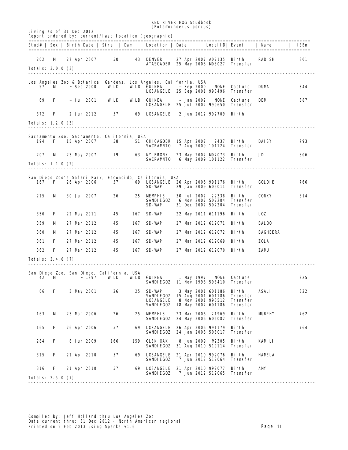|                          |   |                          |       |                                                   |     | <b>RED RIVER HOG Studbook</b><br><i>(Potamochoerus porcus)</i>                                                          |  |            |                                                              |                                             |                 |      |
|--------------------------|---|--------------------------|-------|---------------------------------------------------|-----|-------------------------------------------------------------------------------------------------------------------------|--|------------|--------------------------------------------------------------|---------------------------------------------|-----------------|------|
|                          |   | Living as of 31 Dec 2012 |       |                                                   |     | Report ordered by: current/last location (geographic)                                                                   |  |            |                                                              |                                             |                 |      |
|                          |   |                          |       |                                                   |     | Stud#   Sex   Birth Date   Sire   Dam   Location   Date                                                                 |  |            |                                                              | Local ID  Event                             | l Name          | ISBn |
| 202                      | м |                          |       | 27 Apr 2007 50                                    |     | <b>43 DENVER</b><br>ATASCADER 25 May 2008 M98027 Transfer                                                               |  |            | 27 Apr 2007 A07135 Birth                                     |                                             | RADISH          | 801  |
| <b>Totals: 3.0.0 (3)</b> |   |                          |       |                                                   |     |                                                                                                                         |  |            |                                                              |                                             |                 |      |
| 57 —                     | M | $~\sim$ Sep 2000         |       | <b>WLD</b>                                        |     | Los Angeles Zoo & Botanical Gardens, Los Angeles, California, USA<br>WILD GUINEA<br><b>LOSANGELE</b> 25 Sep 2001 990496 |  | ~ Sep 2000 | NONE                                                         | Capture<br>Transfer                         | <b>DUM</b>      | 344  |
| 69                       | F | ~ Jul 2001               |       | WLD                                               |     | <b>WILD GUINEA</b><br><b>LOSANGELE</b> 25 Jul 2002 990650                                                               |  | ~ Jan 2002 | <b>NONE</b>                                                  | Capture<br><b>Transfer</b>                  | DEM             | 387  |
| 372                      | F | 2 Jun 2012               |       | 57                                                |     | <b>69 LOSANGELE</b>                                                                                                     |  |            | 2 Jun 2012 992709                                            | Birth                                       |                 |      |
| <b>Totals: 1.2.0 (3)</b> |   |                          |       |                                                   |     |                                                                                                                         |  |            |                                                              |                                             |                 |      |
| 194                      | F | 15 Apr 2007              |       | Sacramento Zoo, Sacramento, California, USA<br>58 |     | 51 CHICAGOBR 15 Apr 2007 2437 Birth<br>SACRAMITO                                                                        |  |            |                                                              | 7 Aug 2009 101124 Transfer                  | <b>DAISY</b>    | 793  |
| 207                      | M |                          |       | 23 May 2007 19                                    |     | <b>63 NY BRONX</b><br>SACRAMIO 6 May 2009 101122 Transfer                                                               |  |            | 23 May 2007 M07073 Birth                                     |                                             | JD              | 806  |
| <b>Totals: 1.1.0 (2)</b> |   |                          |       |                                                   |     |                                                                                                                         |  |            |                                                              |                                             |                 |      |
| 167                      | F | 26 Apr 2006              |       | 57                                                |     | San Diego Zoo's Safari Park, Escondido, California, USA<br>69 LOSANGELE 26 Apr 2006 991176 Birth<br>SD-WAP              |  |            | 29 Jan 2009 609011                                           | Transfer                                    | <b>GOLDIE</b>   | 766  |
| 215                      | м | <b>30 Jul 2007</b>       |       | 26                                                | 25  | <b>MEMPHIS</b><br><b>SANDI EGOZ</b><br>SD-WAP                                                                           |  |            | 30 Jul 2007 22338<br>6 Nov 2007 507204<br>31 Dec 2007 507204 | Birth<br><b>Transfer</b><br><b>Transfer</b> | <b>CORKY</b>    | 814  |
| 350                      | F | 22 May 2011              |       | 45                                                |     | <b>167 SD-WAP</b>                                                                                                       |  |            | 22 May 2011 611196 Birth                                     |                                             | <b>LOZI</b>     |      |
| 359                      | м | 27 Mar 2012              |       | 45                                                | 167 | SD-WAP                                                                                                                  |  |            | 27 Mar 2012 612071                                           | Birth                                       | <b>BALOO</b>    |      |
| 360                      | м | 27 Mar 2012              |       | 45                                                | 167 | SD-WAP                                                                                                                  |  |            | 27 Mar 2012 612072 Birth                                     |                                             | <b>BAGHEERA</b> |      |
| 361                      | F | 27 Mar 2012              |       | 45                                                | 167 | SD-WAP                                                                                                                  |  |            | 27 Mar 2012 612069 Birth                                     |                                             | ZOLA            |      |
| 362                      | F | 27 Mar 2012              |       | 45                                                | 167 | SD-WAP                                                                                                                  |  |            | 27 Mar 2012 612070 Birth                                     |                                             | ZAMU            |      |
| <b>Totals: 3.4.0 (7)</b> |   |                          |       |                                                   |     |                                                                                                                         |  |            |                                                              |                                             |                 |      |
| 42                       |   | $\mathbf M$              | ~1997 | San Diego Zoo, San Diego, California, USA<br>WLD  |     | <b>WILD GUINEA</b><br><b>SANDIEGOZ</b> 11 Nov 1998 598410                                                               |  |            | 1 May 1997 NONE                                              | Capture<br><b>Transfer</b>                  |                 | 225  |
| 66                       | F | 3 May 2001               |       | 26                                                |     | 25 SD-WAP<br>SANDIEGOZ 15 Aug 2001 601186<br><b>LOSANGELE</b><br><b>SANDIEGOZ 18 May 2007 601186 Transfer</b>           |  |            | 3 May 2001 601186 Birth                                      | Transfer<br>8 Nov 2001 990512 Transfer      | ASALI           | 322  |
| 163                      | M | 23 Mar 2006              |       | 26                                                |     | 25 MEMPHIS<br><b>SANDI EGOZ</b>                                                                                         |  |            | 23 Mar 2006 21969<br>24 May 2006 606082                      | Birth<br><b>Transfer</b>                    | MRPHY           | 762  |
| 165                      | F | 26 Apr 2006              |       | 57                                                |     | <b>69 LOSANGELE</b><br><b>SANDI EGOZ</b>                                                                                |  |            | 26 Apr 2006 991179 Birth<br>24 Jan 2008 508017               | Transfer                                    |                 | 764  |
| 284                      | F | 8 Jun 2009               |       | 166                                               | 159 | <b>GLEN OAK</b><br>SANDIEGOZ                                                                                            |  |            | 8 Jun 2009 M2305                                             | Birth<br>31 Aug 2010 510114 Transfer        | <b>KAMLI</b>    |      |
| 315                      | F | 21 Apr 2010              |       | 57                                                |     | <b>69 LOSANGELE</b><br><b>SANDI EGOZ</b>                                                                                |  |            | 21 Apr 2010 992076 Birth                                     | 7 Jun 2012 512064 Transfer                  | HAMELA          |      |
| 316<br>Totals: 2.5.0 (7) | F | 21 Apr 2010              |       | 57 — 10                                           |     | 69 LOSANGELE 21 Apr 2010 992077 Birth<br><b>SANDIEGOZ</b>                                                               |  |            |                                                              | 7 Jun 2012 512065 Transfer                  | <b>AM</b>       |      |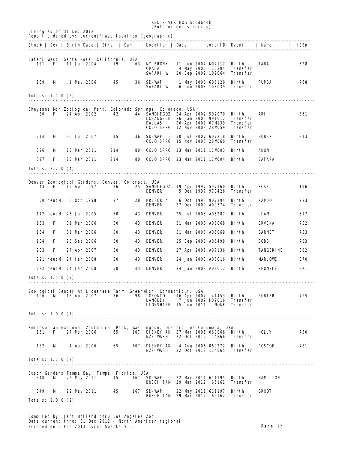|                                                        |                       |  |                    |     |    | <b>RED RIVER HOG Studbook</b>                                                                                                                           |  |                    |                                                             |                                                  |                  |              |
|--------------------------------------------------------|-----------------------|--|--------------------|-----|----|---------------------------------------------------------------------------------------------------------------------------------------------------------|--|--------------------|-------------------------------------------------------------|--------------------------------------------------|------------------|--------------|
| Living as of 31 Dec 2012                               |                       |  |                    |     |    | <i>(Potamochoerus porcus)</i><br>Report ordered by: current/last location (geographic)                                                                  |  |                    |                                                             |                                                  |                  |              |
|                                                        |                       |  |                    |     |    | Stud#   Sex   Birth Date   Sire   Dam   Location   Date                                                                                                 |  |                    | LocalID  Event                                              |                                                  | Name             | <b>ISB</b> n |
|                                                        |                       |  |                    |     |    |                                                                                                                                                         |  |                    |                                                             |                                                  |                  |              |
| Safari West, Santa Rosa, California, USA<br>121        | F                     |  | 11 Jun 2004        | 19  |    | <b>63 NY BRONX</b><br>OMAHA<br>SAFARI W                                                                                                                 |  |                    | 11 Jun 2004 M4117<br>4 May 2006 16204<br>20 Sep 2009 109064 | Birth<br>Transfer<br>Transfer                    | TARA             | 528          |
| 169                                                    | M                     |  | 1 May 2006         | 45  |    | <b>36 SD-WAP</b><br>SAFARI W                                                                                                                            |  |                    | 1 May 2006 606120<br>6 Jun 2008 108039                      | Birth<br>Transfer                                | <b>PUMBA</b>     | 768          |
| Totals: 1.1.0 (2)                                      |                       |  |                    |     |    |                                                                                                                                                         |  |                    |                                                             |                                                  |                  |              |
| 80                                                     | F                     |  | 24 Apr 2002        | 42  |    | Cheyenne Mrn Zoological Park, Colorado Springs, Colorado, USA<br>44 SANDIEGOZ 24 Apr 2002 502070<br>LOSANGELE 26 Jan 2005 991012<br>DALLAS<br>COLO SPRG |  |                    | 26 Apr 2007 07H139<br>12 Nov 2008 28MD59                    | Birth<br><b>Transfer</b><br>Transfer<br>Transfer | ARI              | 361          |
| 214                                                    | м                     |  | <b>30 Jul 2007</b> | 45  |    | <b>36 SD WAP</b><br><b>COLO SPRG</b>                                                                                                                    |  |                    | <b>30 Jul 2007 607218</b><br>15 Nov 2008 28MD60             | Bi rth<br>Transfer                               | HUBERT           | 813          |
| 326                                                    | м                     |  | 23 Mar 2011        | 214 | 80 | <b>COLO SPRG</b>                                                                                                                                        |  |                    | 23 Mar 2011 11MD03                                          | - Bi rth                                         | AKONI            |              |
| 327                                                    | F                     |  | 23 Mar 2011        | 214 | 80 | <b>COLO SPRG</b> 23 Mar 2011 11MD04 Birth                                                                                                               |  |                    |                                                             |                                                  | <b>SAFARA</b>    |              |
| Totals: 2.2.0 (4)                                      |                       |  |                    |     |    |                                                                                                                                                         |  |                    |                                                             |                                                  |                  |              |
| Denver Zoological Gardens, Denver, Colorado, USA<br>43 | F                     |  | 19 Apr 1997        | 26  |    | 25 SANDIEGOZ 19 Apr 1997 597160 Birth<br><b>DENVER</b>                                                                                                  |  |                    | 5 Dec 1997 970426                                           | Transfer                                         | <b>ROSE</b>      | 196          |
|                                                        | 50 neutM              |  | 6 Oct 1998         | 27  | 28 | PRETORIA<br><b>DENVER</b>                                                                                                                               |  |                    | 6 Oct 1998 907294<br>27 Dec 2000 A00374                     | Birth<br>Transfer                                | <b>RAMBO</b>     | 223          |
|                                                        | 142 neutM 25 Jul 2005 |  |                    | 50  | 43 | DENVER                                                                                                                                                  |  |                    | 25 Jul 2005 A05287                                          | Birth                                            | <b>LIAM</b>      | 617          |
| 153                                                    | F                     |  | <b>31 Mar 2006</b> | 50  | 43 | <b>DENVER</b>                                                                                                                                           |  |                    | 31 Mar 2006 A06068                                          | Birth                                            | <b>CRVENA</b>    | 752          |
| 154                                                    | F                     |  | 31 Mar 2006        | 50  | 43 | <b>DENVER</b>                                                                                                                                           |  |                    | 31 Mar 2006 A06069                                          | Birth                                            | <b>GARNET</b>    | 753          |
| 184                                                    | F                     |  | 25 Sep 2006        | 50  | 43 | <b>DENVER</b>                                                                                                                                           |  |                    | 25 Sep 2006 A06498                                          | - Bi rth                                         | <b>EOEBI</b>     | 783          |
| 203                                                    | F                     |  | 27 Apr 2007        | 50  | 43 | DENVER                                                                                                                                                  |  |                    | 27 Apr 2007 A07136 Birth                                    |                                                  | <b>TANGERINE</b> | 802          |
|                                                        | 221 neutM 24 Jan 2008 |  |                    | 50  | 43 | DENVER                                                                                                                                                  |  |                    | 24 Jan 2008 A08016 Birth                                    |                                                  | <b>MARLOVE</b>   | 870          |
|                                                        | 222 neutM 24 Jan 2008 |  |                    | 50  |    | <b>43 DENVER</b>                                                                                                                                        |  |                    | 24 Jan 2008 A08017 Birth                                    |                                                  | <b>RHONNIE</b>   | 871          |
| Totals: 4.5.0 (9)                                      |                       |  |                    |     |    |                                                                                                                                                         |  |                    |                                                             |                                                  |                  |              |
|                                                        | 196 M                 |  | 16 Apr 2007        | 76  |    | Zoological Center At Lionshare Farm Greenwich, Connecticut, USA<br>98 TORONTO<br>LANGLEY<br><b>LIONSHARE</b> 15 Jun 2011                                |  | <b>16 Apr 2007</b> | 41453 Birth<br>7 Jun 2009 H09016<br>NONE                    | Transfer<br>Transfer                             | <b>PORTER</b>    | 795          |
| Totals: 1.0.0 (1)                                      |                       |  |                    |     |    |                                                                                                                                                         |  |                    |                                                             |                                                  |                  |              |
| 151                                                    | F                     |  | 27 Mar 2006        | 65  |    | Snithsonian National Zoological Park, Wishington, District of Columbia, USA<br>107 DISNEY AK 27 Mar 2006 060066<br>NZP-WASH                             |  |                    | 22 Oct 2012 114866                                          | Birth<br>Transfer                                | <b>HOLLY</b>     | 750          |
| 182                                                    | M                     |  | 4 Aug 2006         | 65  |    | <b>107 DISNEY AK</b><br>NZP-WASH                                                                                                                        |  |                    | 4 Aug 2006 060272<br>22 Oct 2012 114865                     | Birth<br>Transfer                                | <b>ROSCOE</b>    | 781          |

Totals: 1.1.0 (2) --------------------------------------------------------------------------------------------------------- Busch Gardens Tampa Bay, Tampa, Florida, USA 348 M 22 May 2011 45 167 SD-WAP 22 May 2011 611195 Birth HAMILTON BUSCH TAM 29 Mar 2012 65161 Transfer 349 M 22 May 2011 45 167 SD-WAP 22 May 2011 611197 Birth GROOT BUSCH TAM 29 Mar 2012 65162 Transfer Totals: 2.0.0 (2)

---------------------------------------------------------------------------------------------------------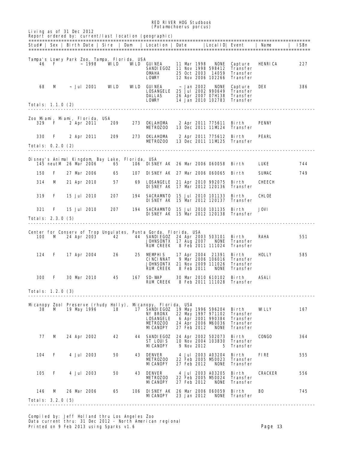|                                 |                       |  |                                            |                                                       |     | <b>RED RIVER HOG Studbook</b><br><i>(Potamochoerus porcus)</i>                                                                                          |  |                 |                                                                                                    |                                                                                          |                |      |
|---------------------------------|-----------------------|--|--------------------------------------------|-------------------------------------------------------|-----|---------------------------------------------------------------------------------------------------------------------------------------------------------|--|-----------------|----------------------------------------------------------------------------------------------------|------------------------------------------------------------------------------------------|----------------|------|
| Living as of 31 Dec 2012        |                       |  |                                            |                                                       |     | Report ordered by: current/last location (geographic)                                                                                                   |  |                 |                                                                                                    |                                                                                          |                |      |
|                                 |                       |  |                                            |                                                       |     | Stud#   Sex   Birth Date   Sire   Dam   Location   Date                                                                                                 |  |                 |                                                                                                    | LocalID  Event                                                                           | Name           | ISBn |
|                                 | 46 F                  |  | $\sim$ 1998                                | Tampa's Lowry Park Zoo, Tampa, Florida, USA<br>WLD    |     | <b>WILD GUINEA</b><br>SANDIEGOZ 11 Nov 1998 598412<br>OMAIA<br><b>LOWRY</b>                                                                             |  | 11 Mar 1998     | NONE<br>25 Oct 2003 14059<br>12 Nov 2006 102266                                                    | Capture<br>Transfer<br>Transfer<br>Transfer                                              | HENRICA        | 227  |
| 68                              | м                     |  | ~ Jul 2001                                 | <b>WLD</b>                                            |     | WILD GUINEA<br><b>LOSANGELE</b> 25 Jul 2002 990649<br>DALLAS<br>LOWRY                                                                                   |  | $\sim$ Jan 2002 | <b>NONE</b>                                                                                        | Capture<br><b>Transfer</b><br>26 Apr 2007 07H138 Transfer<br>14 Jan 2010 102783 Transfer | DEX            | 386  |
| Totals: 1.1.0 (2)               |                       |  |                                            |                                                       |     |                                                                                                                                                         |  |                 |                                                                                                    |                                                                                          |                |      |
| 329                             | F.                    |  | Zoo Mani, Mani, Florida, USA<br>2 Apr 2011 | 209                                                   |     | 273 OKLAHOMA<br><b>METROZOO</b>                                                                                                                         |  |                 | 2 Apr 2011 775611 Birth                                                                            | 13 Dec 2011 11M24 Transfer                                                               | <b>PENNY</b>   |      |
| 330<br>Totals: 0.2.0 (2)        | <b>F</b>              |  |                                            | 2 Apr 2011 209                                        |     | 273 OKLAHOMA<br><b>METROZOO</b>                                                                                                                         |  |                 | 2 Apr 2011 775612 Birth                                                                            | 13 Dec 2011 11M25 Transfer                                                               | <b>PEARL</b>   |      |
|                                 | 145 neutM 26 Mar 2006 |  |                                            | Disney's Animal Kingdom, Bay Lake, Florida, USA<br>65 |     | 106 DISNEY AK 26 Mar 2006 060058 Birth                                                                                                                  |  |                 |                                                                                                    |                                                                                          | <b>LUKE</b>    | 744  |
| 150                             | F                     |  | 27 Mar 2006                                | 65                                                    |     | 107 DISNEY AK 27 Mar 2006 060065 Birth                                                                                                                  |  |                 |                                                                                                    |                                                                                          | <b>SUMAC</b>   | 749  |
| 314                             | M                     |  | 21 Apr 2010                                | 57                                                    | 69  | <b>LOSANGELE</b> 21 Apr 2010 992075<br><b>DISNEY AK 17 Mar 2012 120136</b>                                                                              |  |                 |                                                                                                    | Birth<br>Transfer                                                                        | снеен          |      |
| 319                             | F                     |  | 15 Jul 2010                                | 207                                                   |     | 194 SACRAMTO 15 Jul 2010 101133<br><b>DISNEY AK 15 Mar 2012 120137</b>                                                                                  |  |                 |                                                                                                    | Birth<br>Transfer                                                                        | CHLOE          |      |
| 321<br>Totals: 2.3.0 (5)        | F                     |  | 15 Jul 2010                                | 207                                                   |     | 194 SACRAMTO 15 Jul 2010 101135<br><b>DISNEY AK 15 Mar 2012 120138 Transfer</b>                                                                         |  |                 |                                                                                                    | Birth                                                                                    | <b>JOVI</b>    |      |
| 100                             | м                     |  | 24 Apr 2003 42                             |                                                       |     | Center for Conserv of Trop Ungulates, Punta Gorda, Florida, USA<br>44 SANDIEGOZ 24 Apr 2003 503101<br><b>JOHNSONTX</b> 17 Aug 2007<br><b>RUM CREEK</b>  |  |                 | NONE<br>8 Feb 2011 111024                                                                          | Birth<br>Transfer<br>Transfer                                                            | RAHA           | 551  |
| 124                             | $\mathbf{F}$          |  | 17 Apr 2004                                | 26                                                    |     | 25 MEMPHIS<br><b>CINCINNAT</b><br><b>JOHNSONTX 21 Nov 2009 111026</b><br><b>RUM CREEK</b>                                                               |  | 8 Feb 2011      | 17 Apr 2004 21391<br>9 Mar 2006 106016                                                             | Birth<br>Transfer<br>Transfer<br><b>NONE</b> Transfer                                    | HOLLY          | 585  |
| <b>300</b>                      | F                     |  | 30 Mar 2010                                | 45                                                    |     | <b>167 SD-WAP</b><br><b>RUM CREEK</b>                                                                                                                   |  |                 | 30 Mar 2010 610102<br>8 Feb 2011 111028                                                            | Bi rth<br>Transfer                                                                       | <b>ASALI</b>   |      |
| <b>Totals: 1.2.0 (3)</b>        |                       |  |                                            |                                                       |     |                                                                                                                                                         |  |                 |                                                                                                    |                                                                                          |                |      |
| 38                              | м                     |  | 19 May 1996                                | 18                                                    |     | Mcanopy Zool Preserve (rhudy Holly), Mcanopy, Florida, USA<br>17 SANDIEGOZ<br><b>NY BRONX</b><br><b>LOSANGELE</b><br><b>METROZOO</b><br><b>MICANOPY</b> |  | 27 Feb 2012     | 19 May 1996 596204<br>22 May 1997 971102<br>6 Apr 2001 990384<br>24 Apr 2006 M60036<br><b>NONE</b> | Birth<br>Transfer<br>Transfer<br>Transfer<br>Transfer                                    | WLLY           | 167  |
| 77                              | м                     |  | 24 Apr 2002                                | 42                                                    |     | <b>44 SANDIEGOZ</b><br>ST LOUIS<br><b>MICANOPY</b>                                                                                                      |  | 9 Nov 2012      | 24 Apr 2002 502073<br>10 Nov 2004 103830<br>5                                                      | <b>Birth</b><br><b>Transfer</b><br><b>Transfer</b>                                       | <b>CONGO</b>   | 364  |
| 104                             | F                     |  | <b>4 Jul 2003</b>                          | 50                                                    | 43  | DENVER<br><b>METROZOO</b><br><b>MICANOPY</b>                                                                                                            |  | 27 Feb 2012     | 4 Jul 2003 A03204<br>22 Feb 2005 M50023<br><b>NONE</b>                                             | Birth<br>Transfer<br>Transfer                                                            | FIRE           | 555  |
| 105                             | F                     |  | <b>4 Jul 2003</b>                          | 50                                                    |     | <b>43 DENVER</b><br><b>METROZOO</b><br><b>MICANOPY</b>                                                                                                  |  | 27 Feb 2012     | 4 Jul 2003 A03205<br>22 Feb 2005 M50024<br><b>NONE</b>                                             | Birth<br>Transfer<br>Transfer                                                            | <b>CRACKER</b> | 556  |
| 146<br><b>Totals: 3.2.0 (5)</b> | м                     |  | 26 Mar 2006                                | 65                                                    | 106 | <b>DISNEY AK 26 Mar 2006 060059</b><br><b>MICANOPY</b>                                                                                                  |  | 23 Jan 2012     |                                                                                                    | Birth<br><b>NONE</b> Transfer                                                            | BO             | 745  |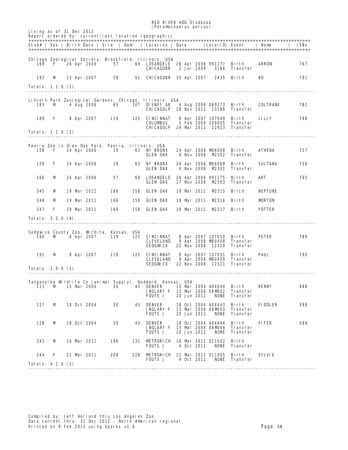|                          |       |                          |                   |                                                          |     | <b>RED RIVER HOG Studbook</b><br><i>(Potamochoerus porcus)</i>                                                        |  |             |                                                                   |                                              |                 |      |
|--------------------------|-------|--------------------------|-------------------|----------------------------------------------------------|-----|-----------------------------------------------------------------------------------------------------------------------|--|-------------|-------------------------------------------------------------------|----------------------------------------------|-----------------|------|
|                          |       | Living as of 31 Dec 2012 |                   |                                                          |     | Report ordered by: current/last location (geographic)                                                                 |  |             |                                                                   |                                              |                 |      |
|                          |       |                          |                   |                                                          |     | Stud#   Sex   Birth Date   Sire   Dam   Location   Date                                                               |  |             |                                                                   | Local ID  Event                              | Name            | ISBn |
| 168                      | - F - |                          | 26 Apr 2006       | 57                                                       |     | Chicago Zoological Society, Brookfield, Illinois, USA<br>69 LOSANGELE 26 Apr 2006 991177 Birth<br><b>CHICAGOBR</b>    |  | 2 Jul 2009  |                                                                   | 3166 Transfer                                | <b>ARROW</b>    | 767  |
| 192                      | M     |                          |                   | 15 Apr 2007 58                                           |     | 51 CHICAGOBR 15 Apr 2007 2435 Birth                                                                                   |  |             |                                                                   |                                              | вo              | 791  |
| Totals: 1.1.0 (2)        |       |                          |                   |                                                          |     |                                                                                                                       |  |             |                                                                   |                                              |                 |      |
| 183                      | м     |                          | 4 Aug 2006        | 65                                                       |     | Lincoln Park Zoological Gardens, Chicago, Illinois, USA<br><b>107 DISNEY AK</b><br><b>CHICAGOLP 28 Nov 2012 23186</b> |  |             | 4 Aug 2006 060273 Birth                                           | Transfer                                     | <b>COLTRANE</b> | 782  |
| 189                      | F     |                          |                   | 8 Apr 2007 119                                           |     | <b>125 CINCINNAT</b><br><b>COLUMBUS</b><br><b>CHICAGOLP</b> 24 Mar 2012 22923 Transfer                                |  |             | 8 Apr 2007 107049<br>5 Feb 2009 209005                            | Birth<br>Transfer                            | <b>LILLY</b>    | 788  |
| Totals: 1.1.0 (2)        |       |                          |                   |                                                          |     |                                                                                                                       |  |             |                                                                   |                                              |                 |      |
| 158                      | F     | 24 Apr 2006              |                   | Peoria Zoo in Glen Oak Park, Peoria, Illinois, USA<br>19 |     | <b>63 NY BRONX</b><br><b>GLEN OAK</b>                                                                                 |  |             | 24 Apr 2006 MD6068 Birth<br>4 Nov 2008 M2302                      | Transfer                                     | <b>ATHENA</b>   | 757  |
| 159                      | F     | 24 Apr 2006              |                   | 19                                                       |     | <b>63 NY BRONX</b><br><b>GLEN OAK</b>                                                                                 |  | 4 Nov 2008  | 24 Apr 2006 M06069 Birth<br><b>M2301</b>                          | Transfer                                     | <b>SULTANA</b>  | 758  |
| 166                      | M     | 26 Apr 2006              |                   | 57                                                       |     | <b>69 LOSANGELE</b><br><b>GLEN OAK</b>                                                                                |  | 17 Nov 2008 | 26 Apr 2006 991175 Birth<br>M2303                                 | Transfer                                     | ART             | 765  |
| 345                      | M     | 19 Mar 2011              |                   | 166                                                      | 158 | <b>GLEN OAK</b>                                                                                                       |  |             | 19 Mar 2011 M2315 Birth                                           |                                              | <b>NEPTUNE</b>  |      |
| 346                      | м     | 19 Mar 2011              |                   | 166                                                      | 158 | <b>GLEN OAK</b>                                                                                                       |  |             | 19 Mar 2011 M2316 Birth                                           |                                              | <b>MDRTON</b>   |      |
| 347                      | F     | 19 Mar 2011              |                   | 166                                                      | 158 | <b>GLEN OAK</b>                                                                                                       |  |             | 19 Mar 2011 M2317 Birth                                           |                                              | <b>POTTER</b>   |      |
| Totals: 3.3.0 (6)        |       |                          |                   |                                                          |     |                                                                                                                       |  |             |                                                                   |                                              |                 |      |
| 190                      | м     |                          | <b>8 Apr 2007</b> | Sedgwick County Zoo, Wichita, Kansas, USA<br>119         | 125 | CINCINNAT<br><b>CLEVELAND</b><br>SEDGWCK                                                                              |  |             | 8 Apr 2007 107050 Birth<br>9 Apr 2008 M80408<br>22 Nov 2008 12320 | <b>Transfer</b><br>Transfer                  | <b>PETER</b>    | 789  |
| 191                      | M     |                          | <b>8 Apr 2007</b> | 119                                                      |     | <b>125 CINCINNAT</b><br>CLEVELAND<br>SEDGWCK                                                                          |  | 22 Nov 2008 | 8 Apr 2007 107051 Birth                                           | 9 Apr 2008 M80409 Transfer<br>12321 Transfer | <b>PAUL</b>     | 790  |
| Totals: 2.0.0 (2)        |       |                          |                   | ------------------                                       |     |                                                                                                                       |  |             | -------------------------------                                   |                                              |                 |      |
| 111                      | M     | 15 Mar 2004              |                   | 50                                                       | 43  | Tanganyika Wildlife Co (animal Supply), Goddard, Kansas, USA<br><b>DENVER</b><br><b>JNGLARY F</b><br><b>FOUTS J</b>   |  | 20 Jun 2012 | 15 Mar 2004 A04044 Birth<br>13 Mar 2006 06MD02<br><b>NONE</b>     | <b>Transfer</b><br><b>Transfer</b>           | <b>RENNY</b>    | 488  |
| 127                      | м     | 18 Oct 2004              |                   | 50                                                       |     | <b>43 DENVER</b><br><b>JNGLARY F</b><br><b>FOUTS J</b>                                                                |  | 20 Jun 2012 | 18 Oct 2004 A04443<br>13 Mar 2006 06MD03<br><b>NONE</b>           | Birth<br>Transfer<br><b>Transfer</b>         | <b>FIDDLER</b>  | 588  |
| 128                      | м     | 18 Oct 2004              |                   | 50                                                       | 43  | DENVER<br><b>JNGLARY F</b><br><b>FOUTS J</b>                                                                          |  | 20 Jun 2012 | 18 Oct 2004 A04444<br>13 Mar 2006 06MD04<br><b>NONE</b>           | Birth<br><b>Transfer</b><br><b>Transfer</b>  | <b>FIFER</b>    | 589  |
| 341                      | м     | 16 Mar 2011              |                   | 186                                                      | 131 | <b>METRORICH 16 Mar 2011 011002</b><br><b>FOUTS J</b>                                                                 |  | 4 Oct 2011  | <b>NONE</b>                                                       | Birth<br><b>Transfer</b>                     |                 |      |
| 344                      | F     | 21 Mar 2011              |                   | 208                                                      | 228 | <b>METRORICH 21 Mar 2011 011005</b><br><b>FOUTS J</b>                                                                 |  | 4 Oct 2011  | <b>NONE</b>                                                       | Birth<br>Transfer                            | SYAYIE          |      |
| <b>Totals: 4.1.0 (5)</b> |       |                          |                   |                                                          |     |                                                                                                                       |  |             |                                                                   |                                              |                 |      |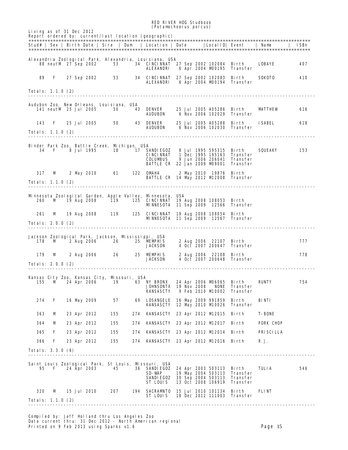#### RED RIVER HOG Studbook (*Potamochoerus porcus*)

| Living as of 31 Dec 2012 |                                        |  |             |                                                                                      | <i>(rotampcnoerus porcus)</i><br>Report ordered by: $current/last$ location (geographic) |                                                                                                                       |                          |                  |      |
|--------------------------|----------------------------------------|--|-------------|--------------------------------------------------------------------------------------|------------------------------------------------------------------------------------------|-----------------------------------------------------------------------------------------------------------------------|--------------------------|------------------|------|
|                          |                                        |  |             |                                                                                      |                                                                                          | Stud#   Sex   Birth Date   Sire   Dam   Location   Date   LocalID  Event   Name                                       |                          |                  | ISBn |
|                          |                                        |  |             |                                                                                      | Alexandria Zoological Park, Alexandria, Louisiana, USA<br>ALEXANDRI                      | 88 neutM 27 Sep 2002 53 34 CINCINNAT 27 Sep 2002 102084 Birth LOBAYE<br>6 Apr 2004 M00195                             | Transfer                 |                  | 407  |
| 89                       | $\mathbf{F}$ . The set of $\mathbf{F}$ |  |             |                                                                                      | ALEXANDRI                                                                                | 27 Sep 2002 53 34 CINCINNAT 27 Sep 2002 102083 Birth<br>6 Apr 2004 M0194 Transfer                                     |                          | SOKOTO           | 410  |
| <b>Totals: 1.1.0 (2)</b> |                                        |  |             |                                                                                      |                                                                                          |                                                                                                                       |                          |                  |      |
|                          |                                        |  |             | Audubon Zoo, New Orleans, Louisiana, USA                                             |                                                                                          |                                                                                                                       |                          |                  |      |
|                          | 141 neutM 25 Jul 2005                  |  |             | 50                                                                                   | <b>43 DENVER</b><br><b>AUDUBON</b>                                                       | 25 Jul 2005 A05286 Birth<br>6 Nov 2006 102029 Transfer                                                                |                          | <b>MITHEW</b>    | 616  |
| 143<br>Totals: 1.1.0 (2) | F                                      |  |             |                                                                                      |                                                                                          | 25 Jul 2005 50 43 DENVER 25 Jul 2005 A05288 Birth<br>AUDUBON 6 Nov 2006 102030 Transfer                               |                          | ISABEL           | 618  |
|                          |                                        |  |             |                                                                                      |                                                                                          |                                                                                                                       |                          |                  |      |
|                          | 34 F                                   |  | 8 Jul 1995  | Binder Park Zoo, Battle Creek, Michigan, USA<br>18                                   | <b>17 SANDIEGOZ</b>                                                                      | 8 Jul 1995 595315 Birth                                                                                               |                          | SQUEAKY          | 153  |
|                          |                                        |  |             |                                                                                      |                                                                                          | CINCINNAT 1 Dec 1995 195163 Transfer<br>9 Jun 2006 206041  Transfer                                                   |                          |                  |      |
|                          |                                        |  |             |                                                                                      | <b>COLUMBUS</b>                                                                          | <b>BATTLE CR</b> 22 Jan 2009 M9001 Transfer                                                                           |                          |                  |      |
| 317                      | M                                      |  |             |                                                                                      | 2 May 2010 61 122 OMAHA                                                                  | 2 May 2010 19876 Birth<br><b>BATTLE CR 14 May 2012 M 2008 Transfer</b>                                                |                          |                  |      |
| Totals: 1.1.0 (2)        |                                        |  |             |                                                                                      |                                                                                          |                                                                                                                       |                          |                  |      |
|                          |                                        |  |             |                                                                                      | Minnesota Zoological Garden, Apple Valley, Minnesota, USA                                | 260 M 19 Aug 2008 119 125 CINCINNAT 19 Aug 2008 108053 Birth<br>MNNESOTA 11 Sep 2009 12566 Transfer                   |                          |                  |      |
| 261                      | M                                      |  |             |                                                                                      |                                                                                          | 19 Aug 2008 119 125 CINCINNAT 19 Aug 2008 108054 Birth                                                                |                          |                  |      |
| Totals: 2.0.0 (2)        |                                        |  |             |                                                                                      |                                                                                          | <b>MNNESOTA 11 Sep 2009 12567 Transfer</b>                                                                            |                          |                  |      |
|                          |                                        |  |             |                                                                                      |                                                                                          |                                                                                                                       |                          |                  |      |
|                          |                                        |  |             | Jackson Zoological Park, Jackson, Mississippi, USA<br>178 M 2 Aug 2006 26 25 MEMPHIS | <b>JACKSON</b>                                                                           | 2 Aug 2006 22107 Birth<br>4 Oct 2007 200647 Transfer                                                                  |                          |                  | 777  |
| 179                      | M                                      |  |             | 2 Aug 2006 26 25 MEMPHIS                                                             | <b>JACKSON</b>                                                                           | 2 Aug 2006 22108 Birth<br>4 Oct 2007 200648 Transfer                                                                  |                          |                  | 778  |
| Totals: $2.0.0(2)$       |                                        |  |             |                                                                                      |                                                                                          |                                                                                                                       |                          |                  |      |
| 155                      | <b>M</b>                               |  | 24 Apr 2006 | Kansas City Zoo, Kansas City, Missouri, USA<br>19                                    |                                                                                          | 63 NY BRONX 24 Apr 2006 M06065 Birth RUNIY<br><b>JOHNSONTX 19 Nov 2008 NONE</b>                                       | Transfer                 |                  | 754  |
| 274                      | F                                      |  | 16 May 2009 | 57                                                                                   | <b>KANSASCTY</b>                                                                         | 9 Feb 2010 M0002<br>69 LOSANGELE 16 May 2009 991859                                                                   | Transfer<br><b>Birth</b> | BINTI            |      |
| 363                      | M                                      |  | 23 Apr 2012 | 155                                                                                  |                                                                                          | <b>KANSASCTY 12 May 2010 M0026</b><br>274 KANSASCTY 23 Apr 2012 M 2015 Birth                                          | Transfer                 | <b>T-BONE</b>    |      |
| 364                      | м                                      |  | 23 Apr 2012 | 155                                                                                  |                                                                                          | 274 KANSASCTY 23 Apr 2012 M 2017 Birth                                                                                |                          | <b>PORK CHOP</b> |      |
| 365                      | F                                      |  | 23 Apr 2012 | 155                                                                                  |                                                                                          | 274 KANSASCTY 23 Apr 2012 M 2014 Birth                                                                                |                          | <b>PRISCILLA</b> |      |
| 366                      | F                                      |  | 23 Apr 2012 | 155                                                                                  |                                                                                          | 274 KANSASCTY 23 Apr 2012 M 2016 Birth                                                                                |                          | R. J.            |      |
| Totals: 3.3.0 (6)        |                                        |  |             |                                                                                      |                                                                                          |                                                                                                                       |                          |                  |      |
| 95                       | - F                                    |  | 24 Apr 2003 | Saint Louis Zoological Park, St Louis, Missouri, USA<br>45.                          | <b>36 SANDIEGOZ</b><br>SD-WAP<br>SANDIEGOZ<br>ST LOUIS                                   | 24 Apr 2003 503113 Birth<br>19 May 2004 503113 Transfer<br>30 Sep 2004 503113 Transfer<br>13 Oct 2008 106919 Transfer |                          | TULIA            | 546  |
| 320                      | M                                      |  | 15 Jul 2010 | 207                                                                                  | ST LOUIS                                                                                 | 194 SACRAMITO 15 Jul 2010 101134 Birth<br>18 Dec 2012 111003 Transfer                                                 |                          | FLINT            |      |
| Totals: 1.1.0 (2)        |                                        |  |             |                                                                                      |                                                                                          |                                                                                                                       |                          |                  |      |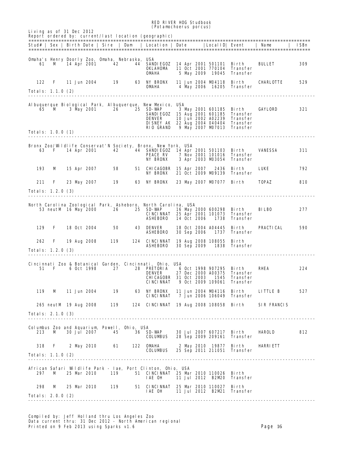#### RED RIVER HOG Studbook (*Potamochoerus porcus*) Living as of 31 Dec 2012 Report ordered by: current/last location (geographic) ======================================================================================================= Stud# | Sex | Birth Date | Sire | Dam | Location | Date ======================================================================================================= Omaha's Henry Doorly Zoo, Omaha, Nebraska, USA 61 M 14 Apr 2001 42 44 SANDIEGOZ 14 Apr 2001 501101 Birth BULLET 309 OKLAHOMA 11 Oct 2001 770104 Transfer **OMAHA 5 May 2009 19045 Transfer**  122 F 11 Jun 2004 19 63 NY BRONX 11 Jun 2004 M04118 Birth CHARLOTTE 529 **OMAHA 4 May 2006 16205 Transfer** Totals: 1.1.0 (2) --------------------------------------------------------------------------------------------------------- Albuquerque Biological Park, Albuquerque, New Mexico, USA 65 M 3 May 2001 26 25 SD-WAP 3 May 2001 601185 Birth GAYLORD 321 SANDIEGOZ 15 Aug 2001 601185 Transfer DENVER 10 Jun 2002 A02239 Transfer DISNEY AK 22 Aug 2004 040404 Transfer RIO GRAND 9 May 2007 M07013 Transfer Totals: 1.0.0 (1) --------------------------------------------------------------------------------------------------------- Bronx Zoo/Wildlife Conservat'N Society, Bronx, New York, USA<br>63 F 14 Apr 2001 42 44 SANDIEGOZ 14 Apr 2001 501103 Birth VANESSA 311 **PEACE RV 7 Nov 2001 101016 Transfer** NY BRONX 3 Apr 2003 M03054 Transfer 193 M 15 Apr 2007 58 51 CHICAGOBR 15 Apr 2007 2436 Birth LUKE 792 NY BRONX 21 Oct 2009 M09139 Transfer 211 F 23 May 2007 19 63 NY BRONX 23 May 2007 M07077 Birth TOPAZ 810 Totals: 1.2.0 (3) --------------------------------------------------------------------------------------------------------- North Carolina Zoological Park, Asheboro, North Carolina, USA 53 neutM 16 May 2000 26 25 SD-WAP 16 May 2000 600298 Birth BILBO 277 CINCINNAT 25 Apr 2001 101073 Transfer ASHEBORO 14 Oct 2006 1738 Transfer 129 F 18 Oct 2004 50 43 DENVER 18 Oct 2004 A04445 Birth PRACTICAL 590 ASHEBORO 30 Sep 2006 1737 Transfer 262 F 19 Aug 2008 119 124 CINCINNAT 19 Aug 2008 108055 Birth ASHEBORO 30 Sep 2009 1838 Transfer Totals: 1.2.0 (3) --------------------------------------------------------------------------------------------------------- Cincinnati Zoo & Botanical Garden, Cincinnati, Ohio, USA 51 F 6 Oct 1998 27 28 PRETORIA 6 Oct 1998 907295 Birth RHEA 224 DENVER 27 Dec 2000 A00375 Transfer CHICAGOBR 31 Oct 2003 1545 Transfer CINCINNAT 9 Oct 2009 109061 Transfer 119 M 11 Jun 2004 19 63 NY BRONX 11 Jun 2004 M04116 Birth LITTLE B 527 CINCINNAT 7 Jun 2006 106049 Transfer 265 neutM 19 Aug 2008 119 124 CINCINNAT 19 Aug 2008 108058 Birth SIR FRANCIS Totals: 2.1.0 (3) --------------------------------------------------------------------------------------------------------- Columbus Zoo and Aquarium, Powell, Ohio, USA 213 M 30 Jul 2007 45 36 SD-WAP 30 Jul 2007 607217 Birth HAROLD 812 COLUMBUS 28 Sep 2009 209161 Transfer 318 F 2 May 2010 61 122 OMAHA 2 May 2010 19877 Birth HARRIETT COLUMBUS 25 Sep 2011 211051 Transfer Totals: 1.1.0 (2) --------------------------------------------------------------------------------------------------------- African Safari Wildlife Park - Iae, Port Clinton, Ohio, USA 297 M 25 Mar 2010 119 51 CINCINNAT 25 Mar 2010 110026 Birth IAE OH 11 Jul 2012 B2M20 Transfer 298 M 25 Mar 2010 119 51 CINCINNAT 25 Mar 2010 110027 Birth IAE OH 11 Jul 2012 B2M21 Transfer Totals: 2.0.0 (2) ---------------------------------------------------------------------------------------------------------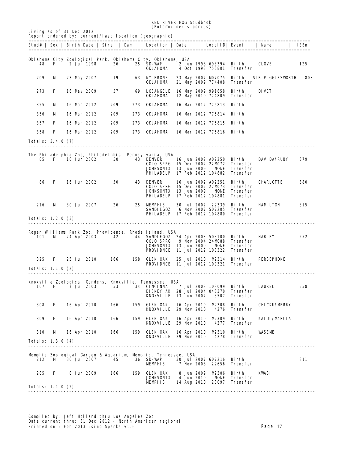| Living as of 31 Dec 2012<br>Report ordered by: current/last location (geographic)<br>Stud#   Sex   Birth Date   Sire   Dam   Location   Date<br> LocalID  Event<br>  Name<br>ISEn<br>Oklahoma City Zoological Park, Oklahoma City, Oklahoma, USA<br>2 Jun 1998<br>26<br><b>25 SD-WAP</b><br>2 Jun 1998 698394 Birth<br><b>CLOVE</b><br>125<br>48<br>F<br>OKLAHOMA<br>4 Oct 1998 750801<br>Transfer<br><b>63 NY BRONX</b><br>209<br>M<br>19<br>23 May 2007 MD7075<br>Birth<br><b>SIR PIGGLESVORTH</b><br>808<br>23 May 2007<br>OKLAHOMA<br>21 May 2009 774408<br><b>Transfer</b><br>273<br>F<br>16 May 2009<br>57<br>LOSANGELE<br>16 May 2009 991858<br>DIVET<br>69<br>Birth<br>OKLAHOMA<br>12 May 2010 774809<br><b>Transfer</b><br>OKLAHOMA<br>355<br>м<br>16 Mar 2012<br>209<br>273<br>16 Mar 2012 775813 Birth<br><b>OKLAHOMA</b><br>356<br>16 Mar 2012<br>209<br>273<br>16 Mar 2012 775814 Birth<br>м<br>357<br>F<br>16 Mar 2012<br>209<br>273<br>OKLAHOMA<br>16 Mar 2012 775815 Birth<br>358<br>F<br>16 Mar 2012<br>209<br>273<br>OKLAHOMA<br>16 Mar 2012 775816 Birth<br><b>Totals: 3.4.0 (7)</b><br>The Philadelphia Zoo, Philadelphia, Pennsylvania, USA<br>16 Jun 2002<br><b>43 DENVER</b><br>16 Jun 2002 A02250 Birth<br><b>DAVIDA/RUBY</b><br>379<br>85.<br>F<br>50<br>COLO SPRG 15 Dec 2002 22MD72<br>Transfer<br><b>JOHNSONTX</b> 13 Jun 2009<br><b>NONE</b><br>Transfer<br><b>PHILADELP</b> 17 Feb 2012 104882<br>Transfer<br>86<br>F<br>16 Jun 2002<br>50<br><b>43 DENVER</b><br>16 Jun 2002 A02251<br>Bi rth<br><b>CHARLOTTE</b><br>380<br><b>COLO SPRG</b> 15 Dec 2002 22MD73<br>Transfer<br><b>Transfer</b><br><b>JOHNSONTX</b> 13 Jun 2009<br><b>NONE</b><br><b>PHILADELP</b> 17 Feb 2012 104881<br>Transfer<br>216<br>30 Jul 2007 22339<br>м<br><b>30 Jul 2007</b><br>26<br>25 MEMPHIS<br>Birth<br><b>HAMILTON</b><br>815<br>6 Nov 2007 507205<br><b>SANDIEGOZ</b><br>Transfer<br><b>PHILADELP</b> 17 Feb 2012 104880<br>Transfer<br>Totals: 1.2.0 (3)<br>Roger Williams Park Zoo, Providence, Rhode Island, USA<br>552<br>101<br>24 Apr 2003<br>42<br>44 SANDIEGOZ 24 Apr 2003 503100 Birth<br>HARLEY<br>м<br>9 Nov 2004 24MD88<br><b>COLO SPRG</b><br>Transfer<br><b>JOHNSONTX</b> 13 Jun 2009<br>NONE<br>Transfer<br>11 Jul 2012 100322<br><b>PROVIDNCE</b><br>Transfer<br>325<br>F<br>25 Jul 2010<br>166<br><b>158 GLEN OAK</b><br>25 Jul 2010 M2314 Birth<br>PERSEPHONE<br><b>PROVIDNCE</b> 11 Jul 2012 100321<br>Transfer<br>Totals: 1.1.0 (2)<br>Knoxville Zoological Gardens, Knoxville, Tennessee, USA<br><b>7 Jul 2003</b><br>53<br>7 Jul 2003 103099<br>107<br>F<br>34<br><b>CINCINNAT</b><br>Birth<br><b>LAUREL</b><br>558<br><b>DISNEY AK 28 Jul 2004 040370</b><br>Transfer<br>KNOXVILLE 13 Jun 2007<br>3507<br>Transfer<br>308<br>F<br>16 Apr 2010<br>166<br><b>GLEN OAK</b><br><b>M2308</b><br><b>Birth</b><br>159<br>16 Apr 2010<br><b>CHICKU/MERRY</b><br><b>KNOXVILLE</b> 29 Nov 2010<br>4276<br>Transfer<br>309<br>F<br>16 Apr 2010<br><b>GLEN OAK</b><br>MP.309<br>Bi rth<br>166<br>159<br>16 Apr 2010<br><b>KAIDI/MARCIA</b><br><b>KNOXVILLE</b> 29 Nov 2010<br>4277<br>Transfer<br>310<br><b>GLEN OAK</b><br><b>M2310</b><br><b>WASEME</b><br>м<br>16 Apr 2010<br>166<br>159<br>16 Apr 2010<br>Birth<br><b>KNOXVILLE</b> 29 Nov 2010<br>4278<br>Transfer<br><b>Totals: 1.3.0 (4)</b><br>Memphis Zoological Garden & Aquarium Memphis, Tennessee, USA<br><b>36 SD-WAP</b><br>811<br>212<br>м<br><b>30 Jul 2007</b><br>45<br><b>30 Jul 2007 607216</b><br>Birth<br>7 Nov 2008 22656<br><b>MEMPHIS</b><br>Transfer<br>285<br><b>GLEN OAK</b><br><b>8 Jun 2009</b><br>MP.306<br>F<br>8 Jun 2009<br>166<br>159<br>Birth<br>KWSI<br><b>JOHNSONTX</b><br>4 Jun 2010<br><b>NONE</b><br>Transfer<br><b>MEMPHIS</b><br>14 Aug 2010<br>23097<br>Transfer<br>Totals: 1.1.0 (2) |  |  |  | <b>RED RIVER HOG Studbook</b><br><i>(Potamochoerus porcus)</i> |  |  |  |  |
|---------------------------------------------------------------------------------------------------------------------------------------------------------------------------------------------------------------------------------------------------------------------------------------------------------------------------------------------------------------------------------------------------------------------------------------------------------------------------------------------------------------------------------------------------------------------------------------------------------------------------------------------------------------------------------------------------------------------------------------------------------------------------------------------------------------------------------------------------------------------------------------------------------------------------------------------------------------------------------------------------------------------------------------------------------------------------------------------------------------------------------------------------------------------------------------------------------------------------------------------------------------------------------------------------------------------------------------------------------------------------------------------------------------------------------------------------------------------------------------------------------------------------------------------------------------------------------------------------------------------------------------------------------------------------------------------------------------------------------------------------------------------------------------------------------------------------------------------------------------------------------------------------------------------------------------------------------------------------------------------------------------------------------------------------------------------------------------------------------------------------------------------------------------------------------------------------------------------------------------------------------------------------------------------------------------------------------------------------------------------------------------------------------------------------------------------------------------------------------------------------------------------------------------------------------------------------------------------------------------------------------------------------------------------------------------------------------------------------------------------------------------------------------------------------------------------------------------------------------------------------------------------------------------------------------------------------------------------------------------------------------------------------------------------------------------------------------------------------------------------------------------------------------------------------------------------------------------------------------------------------------------------------------------------------------------------------------------------------------------------------------------------------------------------------------------------------------------------------------------------------------------------------------------------------------------------------------------------------------------------------------------------------------------------------------------------------------------------------------------------------------------------------------------------------------------|--|--|--|----------------------------------------------------------------|--|--|--|--|
|                                                                                                                                                                                                                                                                                                                                                                                                                                                                                                                                                                                                                                                                                                                                                                                                                                                                                                                                                                                                                                                                                                                                                                                                                                                                                                                                                                                                                                                                                                                                                                                                                                                                                                                                                                                                                                                                                                                                                                                                                                                                                                                                                                                                                                                                                                                                                                                                                                                                                                                                                                                                                                                                                                                                                                                                                                                                                                                                                                                                                                                                                                                                                                                                                                                                                                                                                                                                                                                                                                                                                                                                                                                                                                                                                                                                               |  |  |  |                                                                |  |  |  |  |
|                                                                                                                                                                                                                                                                                                                                                                                                                                                                                                                                                                                                                                                                                                                                                                                                                                                                                                                                                                                                                                                                                                                                                                                                                                                                                                                                                                                                                                                                                                                                                                                                                                                                                                                                                                                                                                                                                                                                                                                                                                                                                                                                                                                                                                                                                                                                                                                                                                                                                                                                                                                                                                                                                                                                                                                                                                                                                                                                                                                                                                                                                                                                                                                                                                                                                                                                                                                                                                                                                                                                                                                                                                                                                                                                                                                                               |  |  |  |                                                                |  |  |  |  |
|                                                                                                                                                                                                                                                                                                                                                                                                                                                                                                                                                                                                                                                                                                                                                                                                                                                                                                                                                                                                                                                                                                                                                                                                                                                                                                                                                                                                                                                                                                                                                                                                                                                                                                                                                                                                                                                                                                                                                                                                                                                                                                                                                                                                                                                                                                                                                                                                                                                                                                                                                                                                                                                                                                                                                                                                                                                                                                                                                                                                                                                                                                                                                                                                                                                                                                                                                                                                                                                                                                                                                                                                                                                                                                                                                                                                               |  |  |  |                                                                |  |  |  |  |
|                                                                                                                                                                                                                                                                                                                                                                                                                                                                                                                                                                                                                                                                                                                                                                                                                                                                                                                                                                                                                                                                                                                                                                                                                                                                                                                                                                                                                                                                                                                                                                                                                                                                                                                                                                                                                                                                                                                                                                                                                                                                                                                                                                                                                                                                                                                                                                                                                                                                                                                                                                                                                                                                                                                                                                                                                                                                                                                                                                                                                                                                                                                                                                                                                                                                                                                                                                                                                                                                                                                                                                                                                                                                                                                                                                                                               |  |  |  |                                                                |  |  |  |  |
|                                                                                                                                                                                                                                                                                                                                                                                                                                                                                                                                                                                                                                                                                                                                                                                                                                                                                                                                                                                                                                                                                                                                                                                                                                                                                                                                                                                                                                                                                                                                                                                                                                                                                                                                                                                                                                                                                                                                                                                                                                                                                                                                                                                                                                                                                                                                                                                                                                                                                                                                                                                                                                                                                                                                                                                                                                                                                                                                                                                                                                                                                                                                                                                                                                                                                                                                                                                                                                                                                                                                                                                                                                                                                                                                                                                                               |  |  |  |                                                                |  |  |  |  |
|                                                                                                                                                                                                                                                                                                                                                                                                                                                                                                                                                                                                                                                                                                                                                                                                                                                                                                                                                                                                                                                                                                                                                                                                                                                                                                                                                                                                                                                                                                                                                                                                                                                                                                                                                                                                                                                                                                                                                                                                                                                                                                                                                                                                                                                                                                                                                                                                                                                                                                                                                                                                                                                                                                                                                                                                                                                                                                                                                                                                                                                                                                                                                                                                                                                                                                                                                                                                                                                                                                                                                                                                                                                                                                                                                                                                               |  |  |  |                                                                |  |  |  |  |
|                                                                                                                                                                                                                                                                                                                                                                                                                                                                                                                                                                                                                                                                                                                                                                                                                                                                                                                                                                                                                                                                                                                                                                                                                                                                                                                                                                                                                                                                                                                                                                                                                                                                                                                                                                                                                                                                                                                                                                                                                                                                                                                                                                                                                                                                                                                                                                                                                                                                                                                                                                                                                                                                                                                                                                                                                                                                                                                                                                                                                                                                                                                                                                                                                                                                                                                                                                                                                                                                                                                                                                                                                                                                                                                                                                                                               |  |  |  |                                                                |  |  |  |  |
|                                                                                                                                                                                                                                                                                                                                                                                                                                                                                                                                                                                                                                                                                                                                                                                                                                                                                                                                                                                                                                                                                                                                                                                                                                                                                                                                                                                                                                                                                                                                                                                                                                                                                                                                                                                                                                                                                                                                                                                                                                                                                                                                                                                                                                                                                                                                                                                                                                                                                                                                                                                                                                                                                                                                                                                                                                                                                                                                                                                                                                                                                                                                                                                                                                                                                                                                                                                                                                                                                                                                                                                                                                                                                                                                                                                                               |  |  |  |                                                                |  |  |  |  |
|                                                                                                                                                                                                                                                                                                                                                                                                                                                                                                                                                                                                                                                                                                                                                                                                                                                                                                                                                                                                                                                                                                                                                                                                                                                                                                                                                                                                                                                                                                                                                                                                                                                                                                                                                                                                                                                                                                                                                                                                                                                                                                                                                                                                                                                                                                                                                                                                                                                                                                                                                                                                                                                                                                                                                                                                                                                                                                                                                                                                                                                                                                                                                                                                                                                                                                                                                                                                                                                                                                                                                                                                                                                                                                                                                                                                               |  |  |  |                                                                |  |  |  |  |
|                                                                                                                                                                                                                                                                                                                                                                                                                                                                                                                                                                                                                                                                                                                                                                                                                                                                                                                                                                                                                                                                                                                                                                                                                                                                                                                                                                                                                                                                                                                                                                                                                                                                                                                                                                                                                                                                                                                                                                                                                                                                                                                                                                                                                                                                                                                                                                                                                                                                                                                                                                                                                                                                                                                                                                                                                                                                                                                                                                                                                                                                                                                                                                                                                                                                                                                                                                                                                                                                                                                                                                                                                                                                                                                                                                                                               |  |  |  |                                                                |  |  |  |  |
|                                                                                                                                                                                                                                                                                                                                                                                                                                                                                                                                                                                                                                                                                                                                                                                                                                                                                                                                                                                                                                                                                                                                                                                                                                                                                                                                                                                                                                                                                                                                                                                                                                                                                                                                                                                                                                                                                                                                                                                                                                                                                                                                                                                                                                                                                                                                                                                                                                                                                                                                                                                                                                                                                                                                                                                                                                                                                                                                                                                                                                                                                                                                                                                                                                                                                                                                                                                                                                                                                                                                                                                                                                                                                                                                                                                                               |  |  |  |                                                                |  |  |  |  |
|                                                                                                                                                                                                                                                                                                                                                                                                                                                                                                                                                                                                                                                                                                                                                                                                                                                                                                                                                                                                                                                                                                                                                                                                                                                                                                                                                                                                                                                                                                                                                                                                                                                                                                                                                                                                                                                                                                                                                                                                                                                                                                                                                                                                                                                                                                                                                                                                                                                                                                                                                                                                                                                                                                                                                                                                                                                                                                                                                                                                                                                                                                                                                                                                                                                                                                                                                                                                                                                                                                                                                                                                                                                                                                                                                                                                               |  |  |  |                                                                |  |  |  |  |
|                                                                                                                                                                                                                                                                                                                                                                                                                                                                                                                                                                                                                                                                                                                                                                                                                                                                                                                                                                                                                                                                                                                                                                                                                                                                                                                                                                                                                                                                                                                                                                                                                                                                                                                                                                                                                                                                                                                                                                                                                                                                                                                                                                                                                                                                                                                                                                                                                                                                                                                                                                                                                                                                                                                                                                                                                                                                                                                                                                                                                                                                                                                                                                                                                                                                                                                                                                                                                                                                                                                                                                                                                                                                                                                                                                                                               |  |  |  |                                                                |  |  |  |  |
|                                                                                                                                                                                                                                                                                                                                                                                                                                                                                                                                                                                                                                                                                                                                                                                                                                                                                                                                                                                                                                                                                                                                                                                                                                                                                                                                                                                                                                                                                                                                                                                                                                                                                                                                                                                                                                                                                                                                                                                                                                                                                                                                                                                                                                                                                                                                                                                                                                                                                                                                                                                                                                                                                                                                                                                                                                                                                                                                                                                                                                                                                                                                                                                                                                                                                                                                                                                                                                                                                                                                                                                                                                                                                                                                                                                                               |  |  |  |                                                                |  |  |  |  |
|                                                                                                                                                                                                                                                                                                                                                                                                                                                                                                                                                                                                                                                                                                                                                                                                                                                                                                                                                                                                                                                                                                                                                                                                                                                                                                                                                                                                                                                                                                                                                                                                                                                                                                                                                                                                                                                                                                                                                                                                                                                                                                                                                                                                                                                                                                                                                                                                                                                                                                                                                                                                                                                                                                                                                                                                                                                                                                                                                                                                                                                                                                                                                                                                                                                                                                                                                                                                                                                                                                                                                                                                                                                                                                                                                                                                               |  |  |  |                                                                |  |  |  |  |
|                                                                                                                                                                                                                                                                                                                                                                                                                                                                                                                                                                                                                                                                                                                                                                                                                                                                                                                                                                                                                                                                                                                                                                                                                                                                                                                                                                                                                                                                                                                                                                                                                                                                                                                                                                                                                                                                                                                                                                                                                                                                                                                                                                                                                                                                                                                                                                                                                                                                                                                                                                                                                                                                                                                                                                                                                                                                                                                                                                                                                                                                                                                                                                                                                                                                                                                                                                                                                                                                                                                                                                                                                                                                                                                                                                                                               |  |  |  |                                                                |  |  |  |  |
|                                                                                                                                                                                                                                                                                                                                                                                                                                                                                                                                                                                                                                                                                                                                                                                                                                                                                                                                                                                                                                                                                                                                                                                                                                                                                                                                                                                                                                                                                                                                                                                                                                                                                                                                                                                                                                                                                                                                                                                                                                                                                                                                                                                                                                                                                                                                                                                                                                                                                                                                                                                                                                                                                                                                                                                                                                                                                                                                                                                                                                                                                                                                                                                                                                                                                                                                                                                                                                                                                                                                                                                                                                                                                                                                                                                                               |  |  |  |                                                                |  |  |  |  |
|                                                                                                                                                                                                                                                                                                                                                                                                                                                                                                                                                                                                                                                                                                                                                                                                                                                                                                                                                                                                                                                                                                                                                                                                                                                                                                                                                                                                                                                                                                                                                                                                                                                                                                                                                                                                                                                                                                                                                                                                                                                                                                                                                                                                                                                                                                                                                                                                                                                                                                                                                                                                                                                                                                                                                                                                                                                                                                                                                                                                                                                                                                                                                                                                                                                                                                                                                                                                                                                                                                                                                                                                                                                                                                                                                                                                               |  |  |  |                                                                |  |  |  |  |
|                                                                                                                                                                                                                                                                                                                                                                                                                                                                                                                                                                                                                                                                                                                                                                                                                                                                                                                                                                                                                                                                                                                                                                                                                                                                                                                                                                                                                                                                                                                                                                                                                                                                                                                                                                                                                                                                                                                                                                                                                                                                                                                                                                                                                                                                                                                                                                                                                                                                                                                                                                                                                                                                                                                                                                                                                                                                                                                                                                                                                                                                                                                                                                                                                                                                                                                                                                                                                                                                                                                                                                                                                                                                                                                                                                                                               |  |  |  |                                                                |  |  |  |  |
|                                                                                                                                                                                                                                                                                                                                                                                                                                                                                                                                                                                                                                                                                                                                                                                                                                                                                                                                                                                                                                                                                                                                                                                                                                                                                                                                                                                                                                                                                                                                                                                                                                                                                                                                                                                                                                                                                                                                                                                                                                                                                                                                                                                                                                                                                                                                                                                                                                                                                                                                                                                                                                                                                                                                                                                                                                                                                                                                                                                                                                                                                                                                                                                                                                                                                                                                                                                                                                                                                                                                                                                                                                                                                                                                                                                                               |  |  |  |                                                                |  |  |  |  |
|                                                                                                                                                                                                                                                                                                                                                                                                                                                                                                                                                                                                                                                                                                                                                                                                                                                                                                                                                                                                                                                                                                                                                                                                                                                                                                                                                                                                                                                                                                                                                                                                                                                                                                                                                                                                                                                                                                                                                                                                                                                                                                                                                                                                                                                                                                                                                                                                                                                                                                                                                                                                                                                                                                                                                                                                                                                                                                                                                                                                                                                                                                                                                                                                                                                                                                                                                                                                                                                                                                                                                                                                                                                                                                                                                                                                               |  |  |  |                                                                |  |  |  |  |
|                                                                                                                                                                                                                                                                                                                                                                                                                                                                                                                                                                                                                                                                                                                                                                                                                                                                                                                                                                                                                                                                                                                                                                                                                                                                                                                                                                                                                                                                                                                                                                                                                                                                                                                                                                                                                                                                                                                                                                                                                                                                                                                                                                                                                                                                                                                                                                                                                                                                                                                                                                                                                                                                                                                                                                                                                                                                                                                                                                                                                                                                                                                                                                                                                                                                                                                                                                                                                                                                                                                                                                                                                                                                                                                                                                                                               |  |  |  |                                                                |  |  |  |  |
|                                                                                                                                                                                                                                                                                                                                                                                                                                                                                                                                                                                                                                                                                                                                                                                                                                                                                                                                                                                                                                                                                                                                                                                                                                                                                                                                                                                                                                                                                                                                                                                                                                                                                                                                                                                                                                                                                                                                                                                                                                                                                                                                                                                                                                                                                                                                                                                                                                                                                                                                                                                                                                                                                                                                                                                                                                                                                                                                                                                                                                                                                                                                                                                                                                                                                                                                                                                                                                                                                                                                                                                                                                                                                                                                                                                                               |  |  |  |                                                                |  |  |  |  |
|                                                                                                                                                                                                                                                                                                                                                                                                                                                                                                                                                                                                                                                                                                                                                                                                                                                                                                                                                                                                                                                                                                                                                                                                                                                                                                                                                                                                                                                                                                                                                                                                                                                                                                                                                                                                                                                                                                                                                                                                                                                                                                                                                                                                                                                                                                                                                                                                                                                                                                                                                                                                                                                                                                                                                                                                                                                                                                                                                                                                                                                                                                                                                                                                                                                                                                                                                                                                                                                                                                                                                                                                                                                                                                                                                                                                               |  |  |  |                                                                |  |  |  |  |
|                                                                                                                                                                                                                                                                                                                                                                                                                                                                                                                                                                                                                                                                                                                                                                                                                                                                                                                                                                                                                                                                                                                                                                                                                                                                                                                                                                                                                                                                                                                                                                                                                                                                                                                                                                                                                                                                                                                                                                                                                                                                                                                                                                                                                                                                                                                                                                                                                                                                                                                                                                                                                                                                                                                                                                                                                                                                                                                                                                                                                                                                                                                                                                                                                                                                                                                                                                                                                                                                                                                                                                                                                                                                                                                                                                                                               |  |  |  |                                                                |  |  |  |  |
|                                                                                                                                                                                                                                                                                                                                                                                                                                                                                                                                                                                                                                                                                                                                                                                                                                                                                                                                                                                                                                                                                                                                                                                                                                                                                                                                                                                                                                                                                                                                                                                                                                                                                                                                                                                                                                                                                                                                                                                                                                                                                                                                                                                                                                                                                                                                                                                                                                                                                                                                                                                                                                                                                                                                                                                                                                                                                                                                                                                                                                                                                                                                                                                                                                                                                                                                                                                                                                                                                                                                                                                                                                                                                                                                                                                                               |  |  |  |                                                                |  |  |  |  |
|                                                                                                                                                                                                                                                                                                                                                                                                                                                                                                                                                                                                                                                                                                                                                                                                                                                                                                                                                                                                                                                                                                                                                                                                                                                                                                                                                                                                                                                                                                                                                                                                                                                                                                                                                                                                                                                                                                                                                                                                                                                                                                                                                                                                                                                                                                                                                                                                                                                                                                                                                                                                                                                                                                                                                                                                                                                                                                                                                                                                                                                                                                                                                                                                                                                                                                                                                                                                                                                                                                                                                                                                                                                                                                                                                                                                               |  |  |  |                                                                |  |  |  |  |
|                                                                                                                                                                                                                                                                                                                                                                                                                                                                                                                                                                                                                                                                                                                                                                                                                                                                                                                                                                                                                                                                                                                                                                                                                                                                                                                                                                                                                                                                                                                                                                                                                                                                                                                                                                                                                                                                                                                                                                                                                                                                                                                                                                                                                                                                                                                                                                                                                                                                                                                                                                                                                                                                                                                                                                                                                                                                                                                                                                                                                                                                                                                                                                                                                                                                                                                                                                                                                                                                                                                                                                                                                                                                                                                                                                                                               |  |  |  |                                                                |  |  |  |  |
|                                                                                                                                                                                                                                                                                                                                                                                                                                                                                                                                                                                                                                                                                                                                                                                                                                                                                                                                                                                                                                                                                                                                                                                                                                                                                                                                                                                                                                                                                                                                                                                                                                                                                                                                                                                                                                                                                                                                                                                                                                                                                                                                                                                                                                                                                                                                                                                                                                                                                                                                                                                                                                                                                                                                                                                                                                                                                                                                                                                                                                                                                                                                                                                                                                                                                                                                                                                                                                                                                                                                                                                                                                                                                                                                                                                                               |  |  |  |                                                                |  |  |  |  |
|                                                                                                                                                                                                                                                                                                                                                                                                                                                                                                                                                                                                                                                                                                                                                                                                                                                                                                                                                                                                                                                                                                                                                                                                                                                                                                                                                                                                                                                                                                                                                                                                                                                                                                                                                                                                                                                                                                                                                                                                                                                                                                                                                                                                                                                                                                                                                                                                                                                                                                                                                                                                                                                                                                                                                                                                                                                                                                                                                                                                                                                                                                                                                                                                                                                                                                                                                                                                                                                                                                                                                                                                                                                                                                                                                                                                               |  |  |  |                                                                |  |  |  |  |
|                                                                                                                                                                                                                                                                                                                                                                                                                                                                                                                                                                                                                                                                                                                                                                                                                                                                                                                                                                                                                                                                                                                                                                                                                                                                                                                                                                                                                                                                                                                                                                                                                                                                                                                                                                                                                                                                                                                                                                                                                                                                                                                                                                                                                                                                                                                                                                                                                                                                                                                                                                                                                                                                                                                                                                                                                                                                                                                                                                                                                                                                                                                                                                                                                                                                                                                                                                                                                                                                                                                                                                                                                                                                                                                                                                                                               |  |  |  |                                                                |  |  |  |  |
|                                                                                                                                                                                                                                                                                                                                                                                                                                                                                                                                                                                                                                                                                                                                                                                                                                                                                                                                                                                                                                                                                                                                                                                                                                                                                                                                                                                                                                                                                                                                                                                                                                                                                                                                                                                                                                                                                                                                                                                                                                                                                                                                                                                                                                                                                                                                                                                                                                                                                                                                                                                                                                                                                                                                                                                                                                                                                                                                                                                                                                                                                                                                                                                                                                                                                                                                                                                                                                                                                                                                                                                                                                                                                                                                                                                                               |  |  |  |                                                                |  |  |  |  |
|                                                                                                                                                                                                                                                                                                                                                                                                                                                                                                                                                                                                                                                                                                                                                                                                                                                                                                                                                                                                                                                                                                                                                                                                                                                                                                                                                                                                                                                                                                                                                                                                                                                                                                                                                                                                                                                                                                                                                                                                                                                                                                                                                                                                                                                                                                                                                                                                                                                                                                                                                                                                                                                                                                                                                                                                                                                                                                                                                                                                                                                                                                                                                                                                                                                                                                                                                                                                                                                                                                                                                                                                                                                                                                                                                                                                               |  |  |  |                                                                |  |  |  |  |
|                                                                                                                                                                                                                                                                                                                                                                                                                                                                                                                                                                                                                                                                                                                                                                                                                                                                                                                                                                                                                                                                                                                                                                                                                                                                                                                                                                                                                                                                                                                                                                                                                                                                                                                                                                                                                                                                                                                                                                                                                                                                                                                                                                                                                                                                                                                                                                                                                                                                                                                                                                                                                                                                                                                                                                                                                                                                                                                                                                                                                                                                                                                                                                                                                                                                                                                                                                                                                                                                                                                                                                                                                                                                                                                                                                                                               |  |  |  |                                                                |  |  |  |  |
|                                                                                                                                                                                                                                                                                                                                                                                                                                                                                                                                                                                                                                                                                                                                                                                                                                                                                                                                                                                                                                                                                                                                                                                                                                                                                                                                                                                                                                                                                                                                                                                                                                                                                                                                                                                                                                                                                                                                                                                                                                                                                                                                                                                                                                                                                                                                                                                                                                                                                                                                                                                                                                                                                                                                                                                                                                                                                                                                                                                                                                                                                                                                                                                                                                                                                                                                                                                                                                                                                                                                                                                                                                                                                                                                                                                                               |  |  |  |                                                                |  |  |  |  |
|                                                                                                                                                                                                                                                                                                                                                                                                                                                                                                                                                                                                                                                                                                                                                                                                                                                                                                                                                                                                                                                                                                                                                                                                                                                                                                                                                                                                                                                                                                                                                                                                                                                                                                                                                                                                                                                                                                                                                                                                                                                                                                                                                                                                                                                                                                                                                                                                                                                                                                                                                                                                                                                                                                                                                                                                                                                                                                                                                                                                                                                                                                                                                                                                                                                                                                                                                                                                                                                                                                                                                                                                                                                                                                                                                                                                               |  |  |  |                                                                |  |  |  |  |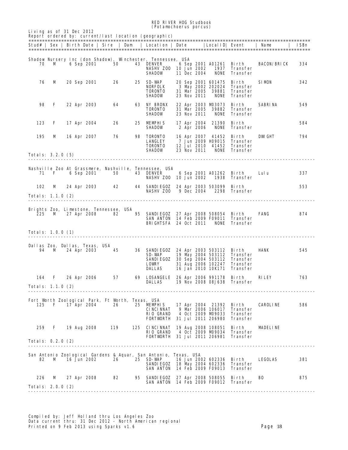RED RIVER HOG Studbook (*Potamochoerus porcus*)

|                                |              |  |             |                                                          |     | Stud#   Sex   Birth Date   Sire   Dam   Location   Date                         |                            | LocalID  Event                           |                             | Name               | ISBn |
|--------------------------------|--------------|--|-------------|----------------------------------------------------------|-----|---------------------------------------------------------------------------------|----------------------------|------------------------------------------|-----------------------------|--------------------|------|
|                                |              |  |             |                                                          |     |                                                                                 |                            |                                          |                             |                    |      |
| 70                             | м            |  | 6 Sep 2001  | 50                                                       |     | Shadow Nursery Inc (don Shadow), Winchester, Tennessee, USA<br><b>43 DENVER</b> |                            | 6 Sep 2001 A01261                        | Birth                       | <b>BACON/BRICK</b> | 334  |
|                                |              |  |             |                                                          |     | NASHV Z00 10 Jun 2002                                                           |                            | 1937                                     | Transfer                    |                    |      |
|                                |              |  |             |                                                          |     | <b>SHADOW</b>                                                                   | 11 Dec 2004                | NONE                                     | Transfer                    |                    |      |
| 76                             | M            |  |             | 26                                                       |     | 25 SD-WAP                                                                       |                            | 20 Sep 2001 601475                       | Birth                       | <b>SIMON</b>       | 342  |
|                                |              |  | 20 Sep 2001 |                                                          |     | <b>NORFOLK</b>                                                                  |                            | 3 May 2002 202024                        | Transfer                    |                    |      |
|                                |              |  |             |                                                          |     | <b>TORONTO</b>                                                                  | 31 Mar 2005                | 39881                                    | <b>Transfer</b>             |                    |      |
|                                |              |  |             |                                                          |     | <b>SHADOW</b>                                                                   | 23 Nov 2011                | NONE                                     | <b>Transfer</b>             |                    |      |
|                                |              |  |             |                                                          |     | <b>63 NY BRONX</b>                                                              |                            | 22 Apr 2003 MD3073                       |                             |                    |      |
| 98                             | F            |  | 22 Apr 2003 | 64                                                       |     | <b>TORONTO</b>                                                                  | 31 Mar 2005                | 39882                                    | Birth<br>Transfer           | SABRINA            | 549  |
|                                |              |  |             |                                                          |     | <b>SHADOW</b>                                                                   | 23 Nov 2011                | <b>NONE</b>                              | Transfer                    |                    |      |
|                                |              |  |             |                                                          |     |                                                                                 |                            |                                          |                             |                    |      |
| 123                            | F            |  | 17 Apr 2004 | 26                                                       |     | 25 MEMPHIS                                                                      |                            | 17 Apr 2004 21390                        | Birth                       |                    | 584  |
|                                |              |  |             |                                                          |     | <b>SHADOW</b>                                                                   | 2 Apr 2006                 | <b>NONE</b>                              | Transfer                    |                    |      |
| 195                            | м            |  | 16 Apr 2007 | 76                                                       | 98  | <b>TORONTO</b>                                                                  |                            | 16 Apr 2007 41452                        | Birth                       | <b>DWGHT</b>       | 794  |
|                                |              |  |             |                                                          |     | <b>LANGLEY</b>                                                                  |                            | 7 Jun 2009 H09015                        | Transfer                    |                    |      |
|                                |              |  |             |                                                          |     | <b>TORONTO</b><br><b>SHADOW</b>                                                 | 12 Jul 2010<br>23 Nov 2011 | 41452<br><b>NONE</b>                     | Transfer<br>Transfer        |                    |      |
| <b>Totals: 3.2.0 (5)</b>       |              |  |             |                                                          |     |                                                                                 |                            |                                          |                             |                    |      |
|                                |              |  |             |                                                          |     |                                                                                 |                            |                                          |                             |                    |      |
|                                |              |  |             |                                                          |     |                                                                                 |                            |                                          |                             |                    |      |
| 71                             | F            |  | 6 Sep 2001  | 50                                                       |     | Nashville Zoo At Grassmere, Nashville, Tennessee, USA<br>43 DENVER              |                            | 6 Sep 2001 A01262 Birth                  |                             | Lulu               | 337  |
|                                |              |  |             |                                                          |     | <b>NASHV Z00 10 Jun 2002</b>                                                    |                            | 1938                                     | Transfer                    |                    |      |
|                                |              |  |             |                                                          |     |                                                                                 |                            |                                          |                             |                    |      |
| 102                            | M            |  | 24 Apr 2003 | 42                                                       |     | 44 SANDIEGOZ 24 Apr 2003 503099                                                 |                            |                                          | Bi rth                      |                    | 553  |
| Totals: 1.1.0 (2)              |              |  |             |                                                          |     | NASHV ZOO                                                                       | 9 Dec 2004                 | 2298                                     | Transfer                    |                    |      |
|                                |              |  |             |                                                          |     |                                                                                 |                            |                                          |                             |                    |      |
|                                |              |  |             |                                                          |     |                                                                                 |                            |                                          |                             |                    |      |
| 225                            | M            |  |             | Brights Zoo, Limestone, Tennessee, USA<br>27 Apr 2008 82 |     | 95 SANDIEGOZ 27 Apr 2008 508054 Birth                                           |                            |                                          |                             | FANG               | 874  |
|                                |              |  |             |                                                          |     | <b>SAN ANTON 14 Feb 2009 F09011</b>                                             |                            |                                          | Transfer                    |                    |      |
|                                |              |  |             |                                                          |     | <b>BRIGHTSFA</b> 24 Oct 2011                                                    |                            |                                          | <b>NONE</b> Transfer        |                    |      |
|                                |              |  |             |                                                          |     |                                                                                 |                            |                                          |                             |                    |      |
| Totals: 1.0.0 (1)              |              |  |             |                                                          |     |                                                                                 |                            |                                          |                             |                    |      |
|                                |              |  |             |                                                          |     |                                                                                 |                            |                                          |                             |                    |      |
| Dallas Zoo, Dallas, Texas, USA |              |  |             |                                                          |     |                                                                                 |                            |                                          |                             |                    |      |
| 94                             | M            |  | 24 Apr 2003 | 45                                                       |     | <b>36 SANDIEGOZ</b>                                                             |                            | 24 Apr 2003 503112 Birth                 |                             | <b>HANK</b>        | 545  |
|                                |              |  |             |                                                          |     | SD-WAP<br><b>SANDI EGOZ</b>                                                     |                            | 19 May 2004 503112<br>30 Sep 2004 503112 | Transfer<br><b>Transfer</b> |                    |      |
|                                |              |  |             |                                                          |     | <b>LOVRY</b>                                                                    |                            | 31 Aug 2006 102247                       | Transfer                    |                    |      |
|                                |              |  |             |                                                          |     | <b>DALLAS</b>                                                                   |                            | 16 Jan 2010 10K171                       | Transfer                    |                    |      |
|                                |              |  |             |                                                          |     |                                                                                 |                            |                                          |                             |                    |      |
| 164                            | $\mathbf{F}$ |  | 26 Apr 2006 | 57                                                       |     | 69 LOSANGELE 26 Apr 2006 991178 Birth<br>DALLAS                                 |                            |                                          | 19 Nov 2008 08J638 Transfer | RILEY              | 763  |
| Totals: 1.1.0 (2)              |              |  |             |                                                          |     |                                                                                 |                            |                                          |                             |                    |      |
|                                |              |  |             |                                                          |     |                                                                                 |                            |                                          |                             |                    |      |
|                                |              |  |             | Fort Worth Zoological Park, Ft Worth, Texas, USA         |     |                                                                                 |                            |                                          |                             |                    |      |
| 125                            | F            |  | 17 Apr 2004 | 26                                                       | 25  | <b>MEMPHIS</b>                                                                  |                            | 17 Apr 2004 21392                        | Birth                       | CAROLINE           | 586  |
|                                |              |  |             |                                                          |     | <b>CINCINNAT</b>                                                                |                            | 9 Mar 2006 106017                        | <b>Transfer</b>             |                    |      |
|                                |              |  |             |                                                          |     | <b>RIO GRAND</b>                                                                |                            | 4 Oct 2009 M9033                         | Transfer                    |                    |      |
|                                |              |  |             |                                                          |     | <b>FORTVORTH 31 Jul 2011 206980</b>                                             |                            |                                          | Transfer                    |                    |      |
| 259                            | F            |  | 19 Aug 2008 | 119                                                      | 125 | <b>CINCINNAT</b>                                                                |                            | 19 Aug 2008 108051                       | Birth                       | <b>MDELINE</b>     |      |
|                                |              |  |             |                                                          |     | <b>RIO GRAND</b>                                                                |                            | 4 Oct 2009 M9034                         | Transfer                    |                    |      |
|                                |              |  |             |                                                          |     | <b>FORTVORTH 31 Jul 2011 206981</b>                                             |                            |                                          | <b>Transfer</b>             |                    |      |
| Totals: 0.2.0 (2)              |              |  |             |                                                          |     |                                                                                 |                            |                                          |                             |                    |      |
|                                |              |  |             |                                                          |     |                                                                                 |                            |                                          |                             |                    |      |
|                                |              |  |             |                                                          |     | San Antonio Zoological Gardens & Aquar, San Antonio, Texas, USA                 |                            |                                          |                             |                    |      |
| 82                             | м            |  | 16 Jun 2002 | 26                                                       | 25  | SD-WAP                                                                          |                            | 16 Jun 2002 602336                       | Bi rth                      | <b>LEGOLAS</b>     | 381  |
|                                |              |  |             |                                                          |     | <b>SANDIEGOZ</b>                                                                |                            | 18 May 2004 602336                       | Transfer                    |                    |      |
|                                |              |  |             |                                                          |     |                                                                                 |                            |                                          |                             |                    |      |
|                                |              |  |             |                                                          |     | <b>SAN ANTON</b>                                                                | 14 Feb 2009 F09013         |                                          | Transfer                    |                    |      |

Totals: 2.0.0 (2) ---------------------------------------------------------------------------------------------------------

Compiled by: Jeff Holland thru Los Angeles Zoo Data current thru: 31 Dec 2012 - North American regional Printed on 9 Feb 2013 using Sparks v1.6 example 2013 using Sparks v1.6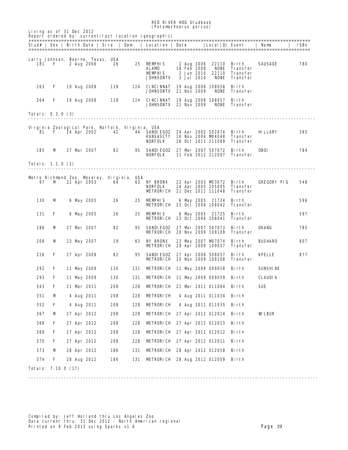RED RIVER HOG Studbook (*Potamochoerus porcus*)

|            |                          |  |                   |                                                  |     | Stud#   Sex   Birth Date   Sire   Dam   Location   Date |  |                           | Local ID  Event                          |                                 | <b>Name</b>        | ISBn |
|------------|--------------------------|--|-------------------|--------------------------------------------------|-----|---------------------------------------------------------|--|---------------------------|------------------------------------------|---------------------------------|--------------------|------|
|            |                          |  |                   |                                                  |     |                                                         |  |                           |                                          |                                 |                    |      |
|            |                          |  |                   | Larry Johnson, Boerne, Texas, USA                |     |                                                         |  |                           |                                          |                                 |                    |      |
| 181        | F                        |  | 2 Aug 2006        | 26                                               | 25  | <b>MEMPHIS</b><br>ALAMD                                 |  | 2 Aug 2006<br>18 Feb 2008 | 22110<br><b>NONE</b>                     | Birth<br>Transfer               | SAUSAGE            | 780  |
|            |                          |  |                   |                                                  |     | MEMPHIS                                                 |  | 3 Jun 2010                | 22110                                    | Transfer                        |                    |      |
|            |                          |  |                   |                                                  |     | JOHNSONTX                                               |  | <b>3 Jul 2010</b>         | <b>NONE</b>                              | Transfer                        |                    |      |
| 263        | F                        |  | 19 Aug 2008       | 119                                              | 124 | <b>CINCINNAT</b>                                        |  |                           | 19 Aug 2008 108056                       | Birth                           |                    |      |
|            |                          |  |                   |                                                  |     | <b>JOHNSONTX 21 Nov 2009</b>                            |  |                           | <b>NONE</b>                              | Transfer                        |                    |      |
| 264        | F                        |  | 19 Aug 2008       | 119                                              | 124 | <b>CINCINNAT</b><br><b>JOHNSONTX 21 Nov 2009</b>        |  |                           | 19 Aug 2008 108057<br>NONE               | Birth<br>Transfer               |                    |      |
|            |                          |  |                   |                                                  |     |                                                         |  |                           |                                          |                                 |                    |      |
|            | <b>Totals: 0.3.0 (3)</b> |  |                   |                                                  |     |                                                         |  |                           |                                          |                                 |                    |      |
|            |                          |  |                   | Virginia Zoological Park, Norfolk, Virginia, USA |     |                                                         |  |                           |                                          |                                 |                    |      |
| 81         | F.                       |  | 24 Apr 2002       | 42                                               |     | <b>44 SANDIEGOZ</b>                                     |  |                           | 24 Apr 2002 502074 Birth                 |                                 | <b>HILLARY</b>     | 365  |
|            |                          |  |                   |                                                  |     | <b>KANSASCTY</b>                                        |  |                           | 10 Nov 2004 MD4048<br>26 Oct 2011 211089 | Transfer<br><b>Transfer</b>     |                    |      |
|            |                          |  |                   |                                                  |     | <b>NORFOLK</b>                                          |  |                           |                                          |                                 |                    |      |
| 185        | м                        |  | 27 Mar 2007       | 82                                               | 95  | <b>SANDIEGOZ</b><br><b>NORFOLK</b>                      |  |                           | 27 Mar 2007 507072<br>11 Feb 2012 212007 | Bi rth<br>Transfer              | <b>OBOI</b>        | 784  |
|            |                          |  |                   |                                                  |     |                                                         |  |                           |                                          |                                 |                    |      |
|            | Totals: 1.1.0 (2)        |  |                   |                                                  |     |                                                         |  |                           |                                          |                                 |                    |      |
|            |                          |  |                   | Metro Richmond Zoo, Moseley, Virginia, USA       |     |                                                         |  |                           |                                          |                                 |                    |      |
| 97         | M                        |  | 22 Apr 2003       | 64                                               | 63  | <b>NY BRONX</b>                                         |  |                           | 22 Apr 2003 MD3072                       | Birth                           | <b>GREGORY PIG</b> | 548  |
|            |                          |  |                   |                                                  |     | <b>NORFOLK</b>                                          |  |                           | 24 Apr 2005 205005                       | Transfer                        |                    |      |
|            |                          |  |                   |                                                  |     | <b>METRORICH 21 Dec 2011 111048</b>                     |  |                           |                                          | Transfer                        |                    |      |
| <b>130</b> | M                        |  | 6 May 2005        | 26                                               | 25  | <b>MEMPHIS</b><br><b>METRORICH 23 Oct 2006 106042</b>   |  |                           | 6 May 2005 21724                         | <b>Birth</b><br><b>Transfer</b> |                    | 596  |
|            |                          |  |                   |                                                  |     |                                                         |  |                           |                                          |                                 |                    |      |
| 131        | F                        |  | <b>6 May 2005</b> | 26                                               | 25  | <b>MEMPHIS</b><br><b>METRORICH 23 Oct 2006 106041</b>   |  |                           | 6 May 2005 21725                         | Birth<br>Transfer               |                    | 597  |
|            |                          |  |                   |                                                  |     |                                                         |  |                           |                                          |                                 |                    |      |
| 186        | м                        |  | 27 Mar 2007       | 82                                               | 95  | <b>SANDIEGOZ</b><br><b>METRORICH 20 Nov 2009 109109</b> |  |                           | 27 Mar 2007 507073                       | Birth<br><b>Transfer</b>        | OKANG              | 785  |
|            |                          |  |                   |                                                  |     |                                                         |  |                           |                                          |                                 |                    |      |
| 208        | M                        |  | 23 May 2007       | 19                                               | 63  | <b>NY BRONX</b><br><b>METRORICH 29 Apr 2009 109057</b>  |  |                           | 23 May 2007 MD7074                       | Bi rth<br>Transfer              | <b>BUSHARO</b>     | 807  |
|            |                          |  |                   |                                                  |     |                                                         |  |                           |                                          |                                 |                    |      |
| 228        | F                        |  | 27 Apr 2008       | 82                                               | 95  | SANDIEGOZ<br><b>METRORICH 20 Nov 2009 109108</b>        |  |                           | 27 Apr 2008 508057                       | Birth<br>Transfer               | KPELLE             | 877  |
| 292        | F                        |  | 11 May 2009       | <b>130</b>                                       | 131 | <b>METRORICH 11 May 2009 009058</b>                     |  |                           |                                          | Birth                           | <b>SUNSHINE</b>    |      |
|            |                          |  |                   |                                                  |     |                                                         |  |                           |                                          |                                 |                    |      |
| 293        | F                        |  | 11 May 2009       | <b>130</b>                                       | 131 | <b>METRORICH 11 May 2009 009059 Birth</b>               |  |                           |                                          |                                 | <b>CLAUDIA</b>     |      |
| 343        | F                        |  | 21 Mar 2011       | 208                                              | 228 | <b>METRORICH 21 Mar 2011 011004 Birth</b>               |  |                           |                                          |                                 | SUE                |      |
| 351        | М                        |  | 4 Aug 2011        | 208                                              | 228 | <b>METRORI CH</b>                                       |  |                           | 4 Aug 2011 011034 Birth                  |                                 |                    |      |
| 352        | F                        |  | 4 Aug 2011        | 208                                              | 228 | METRORICH                                               |  |                           | 4 Aug 2011 011035 Birth                  |                                 |                    |      |
| 367        | M                        |  | 27 Apr 2012       | 208                                              | 228 | <b>METRORICH</b> 27 Apr 2012 012014 Birth               |  |                           |                                          |                                 | <b>WLEUR</b>       |      |
|            |                          |  |                   |                                                  |     |                                                         |  |                           |                                          |                                 |                    |      |
| 368        | F                        |  | 27 Apr 2012       | 208                                              | 228 | <b>METRORICH</b> 27 Apr 2012 012013 Birth               |  |                           |                                          |                                 |                    |      |
| 369        | F                        |  | 27 Apr 2012       | 208                                              | 228 | METRORICH 27 Apr 2012 012012 Birth                      |  |                           |                                          |                                 |                    |      |
| 370        | F                        |  | 27 Apr 2012       | 208                                              | 228 | <b>METRORICH</b> 27 Apr 2012 012011 Birth               |  |                           |                                          |                                 |                    |      |
| 373        | М                        |  | 28 Apr 2012       | 186                                              | 131 | <b>METRORICH 28 Apr 2012 012058 Birth</b>               |  |                           |                                          |                                 |                    |      |
|            |                          |  |                   |                                                  |     |                                                         |  |                           |                                          |                                 |                    |      |
| 374        | F                        |  | 28 Aug 2012       | 186                                              | 131 | <b>METRORICH 28 Aug 2012 012059 Birth</b>               |  |                           |                                          |                                 |                    |      |

----------------------------------------------------------------------------------------------------------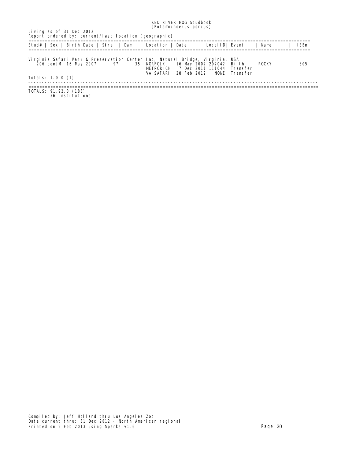|                                                                                                              | <i>(rotamencerus portus)</i>                                |                                                                                |             |             |
|--------------------------------------------------------------------------------------------------------------|-------------------------------------------------------------|--------------------------------------------------------------------------------|-------------|-------------|
| Living as of 31 Dec 2012<br>Report ordered by: current/last location (geographic)                            |                                                             |                                                                                |             |             |
| Stud#   Sex   Birth Date   Sire   Dam   Location   Date                                                      |                                                             | LocalID  Event                                                                 | <b>Name</b> | <b>ISBn</b> |
| Virginia Safari Park & Preservation Center Inc, Natural Bridge, Virginia, USA<br>206 contM 16 May 2007<br>97 | 35 NORFOLK<br><b>METRORI CH</b><br>28 Feb 2012<br>VA SAFARI | 16 May 2007 207042 Birth<br><b>7 Dec 2011 111044 Transfer</b><br>NONE Transfer | ROCKY       | 805         |
| <b>Totals: 1.0.0 (1)</b>                                                                                     |                                                             |                                                                                |             |             |
| <b>TOTALS: 91.92.0 (183)</b><br>56 Institutions                                                              |                                                             |                                                                                |             |             |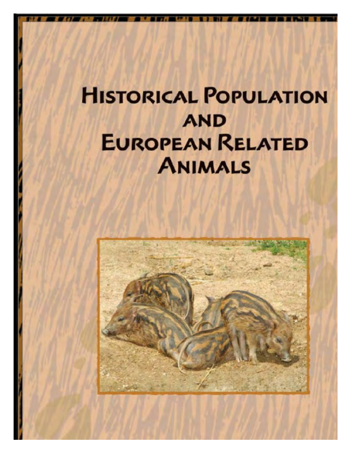## **HISTORICAL POPULATION AND EUROPEAN RELATED ANIMALS**

RED RIVER HOG Studbook

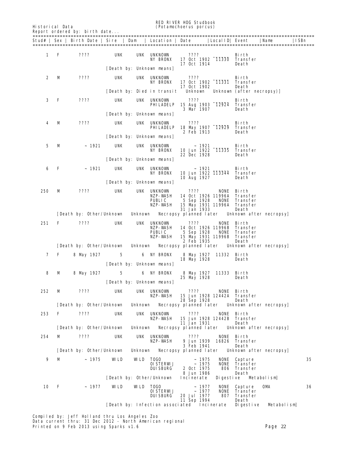| 1<br>2<br>3<br>- F<br>4 | F<br>м | Stud#   Sex   Birth Date   Sire<br>====================================<br>????<br>????<br>???? | UNK<br>UNK<br>UNK | Dam            | Location  <br>=============================<br>UNK UNKNOWN<br><b>NY ERONX</b><br>[Death by: Unknown means]<br>UNK UNKNOWN<br>NY BRONX | Date<br>????<br>17 Oct 1914<br>????         | Local ID  Event<br>=====<br>17 Oct 1902 11330                          | Birth<br>Transfer<br>Death                | Name                    | ISBn |
|-------------------------|--------|-------------------------------------------------------------------------------------------------|-------------------|----------------|---------------------------------------------------------------------------------------------------------------------------------------|---------------------------------------------|------------------------------------------------------------------------|-------------------------------------------|-------------------------|------|
|                         |        |                                                                                                 |                   |                |                                                                                                                                       |                                             |                                                                        |                                           |                         |      |
|                         |        |                                                                                                 |                   |                |                                                                                                                                       |                                             |                                                                        |                                           |                         |      |
|                         |        |                                                                                                 |                   |                |                                                                                                                                       |                                             |                                                                        |                                           |                         |      |
|                         |        |                                                                                                 |                   |                |                                                                                                                                       |                                             | 17 Oct 1902 11331                                                      | Birth<br>Transfer                         |                         |      |
|                         |        |                                                                                                 |                   |                | [Death by: Died in transit                                                                                                            | 17 Oct 1902<br><b>Unknown</b>               |                                                                        | Death<br>Unknown (after necropsy)]        |                         |      |
|                         |        |                                                                                                 |                   |                | UNK UNKNOWN<br>PHILADELP                                                                                                              | ????<br>3 Mar 1907                          | 15 Aug 1903 12924                                                      | Birth<br>Transfer<br>Death                |                         |      |
|                         |        |                                                                                                 |                   |                | [Death by: Unknown means]                                                                                                             |                                             |                                                                        |                                           |                         |      |
|                         | М      | ????                                                                                            | UNK               |                | UNK UNKNOWN<br>PHILADELP                                                                                                              | ????<br>2 Feb 1913                          | 18 May 1907 12929                                                      | Birth<br>Transfer<br>Death                |                         |      |
|                         |        |                                                                                                 |                   |                | [Death by: Unknown means]                                                                                                             |                                             |                                                                        |                                           |                         |      |
| 5                       | м      | ~1921                                                                                           | UNK               |                | UNK UNKNOWN<br><b>NY BRONX</b>                                                                                                        | ~1921<br>22 Dec 1928                        | 10 Jun 1922 11335                                                      | Birth<br>Transfer<br>Death                |                         |      |
|                         |        |                                                                                                 |                   |                | [Death by: Unknown means]                                                                                                             |                                             |                                                                        |                                           |                         |      |
| 6<br>F                  |        | ~1921                                                                                           | UNK               |                | UNK UNKNOWN<br><b>NY BRONX</b>                                                                                                        | ~ 1921<br>10 Aug 1927                       | 10 Jun 1922 113344                                                     | Birth<br>Transfer<br>Death                |                         |      |
|                         |        |                                                                                                 |                   |                | [Death by: Unknown means]                                                                                                             |                                             |                                                                        |                                           |                         |      |
| 250                     | М      | ????                                                                                            | <b>UNK</b>        |                | UNK UNKNOWN<br>NZP- VASH<br>PUBLIC<br>NZP-WASH                                                                                        | ????<br>5 Sep 1928                          | <b>NONE</b><br>14 Oct 1926 11996A<br><b>NONE</b><br>15 May 1931 11996A | Birth<br>Transfer<br>Transfer<br>Transfer |                         |      |
|                         |        | [Death by: Other/Unknown]                                                                       |                   | Unknown        |                                                                                                                                       | 31 Jan 1933<br>Necropsy planned later       |                                                                        | Death                                     | Unknown after necropsy  |      |
| 251                     | F      | ????                                                                                            | UNK               |                | UNK UNKNOWN<br>NZP- VASH<br>PUBLIC<br>NZP- VASH                                                                                       | ????<br>5 Sep 1928                          | NONE<br>14 Oct 1926 11996B<br>NONE<br>15 May 1931 11996B               | Birth<br>Transfer<br>Transfer<br>Transfer |                         |      |
|                         |        | [Death by: Other/Unknown]                                                                       |                   | <b>Unknown</b> |                                                                                                                                       | 2 Feb 1935<br><b>Necropsy planned later</b> |                                                                        | Death                                     | Unknown after necropsy] |      |
| 7 F                     |        | 8 May 1927 5                                                                                    |                   |                | <b>6 NY BRONX</b>                                                                                                                     | 18 May 1928                                 | 8 May 1927 11332 Birth                                                 | Death                                     |                         |      |
|                         |        |                                                                                                 |                   |                | [Death by: Unknown means]                                                                                                             |                                             |                                                                        |                                           |                         |      |
| 8                       | M      | 8 May 1927                                                                                      | $\bf 5$           |                | <b>6 NY BRONX</b>                                                                                                                     | 25 May 1928                                 | 8 May 1927 11333 Birth                                                 | Death                                     |                         |      |
|                         |        |                                                                                                 |                   |                | [Death by: Unknown neans]                                                                                                             |                                             |                                                                        |                                           |                         |      |
| 252                     | М      | ????                                                                                            | UNK               |                | UNK UNKNOWN<br>NZP-WASH                                                                                                               | ????<br>28 Sep 1928                         | 15 Jun 1928 12442A Transfer                                            | NONE Birth<br>Death                       |                         |      |

NZP-WASH 15 Jun 1928 12442B Transfer<br>11 Jan 1931 Death NLP- VASH المحتمد المحتمدة العام 13,000 NLP- VASH المحتمدة المحتمدة 14<br>[Death by: Other/Unknown Unknown Necropsy planned later Unknown after necropsy] 254 M ???? UNK UNK UNKNOWN ???? NONE Birth NZP-WASH 9 Jun 1939 16826 Transfer 3 Feb 1941<br>Unknown Mecropsy planned later Unknown after necropsy]  $[$  Death by: Other/Unknown 9 M ~ 1975 WILD WILD TOGO ~ 1975 NONE Capture 35<br>
OISTERWIJ ~ 1975 NONE Transfer<br>
DUISBURG 2 Oct 1975 806 Transfer NONE Transfer<br>806 Transfer ~ 1975 NONE Captu<br>~ 1975 NONE Transf<br>2 Oct 1975 806 Transf<br>8 Jun 1986 Death 8 Jun 1986 Death<br>Incinerate Digestive Metabolism [Death by: Other/Unknown 10 F ~ 1977 WILD WILD TOGO ~ 1977 NONE Capture OMA 36 OISTERWIJ ~ 1977 NONE Transfer<br>DUISBURG 20 Jul 1977 807 Transfer 20 Jul 1977 807 Transf<br>11 Sep 1994 Death 11 Sep 1994 Death<br>ated Incinerate Digestive [Death by: Infection associated Incinerate Digestive Metabolism]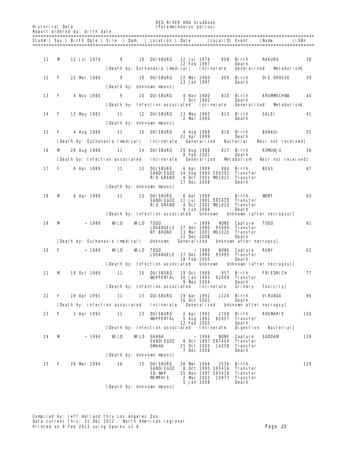RED RIVER HOG Studbook Historical Data (*Potamochoerus porcus*)

| 11<br>м<br><b>12 Jul 1979</b><br>9<br>10 DUISBURG<br>12 Jul 1979<br>808<br>Birth<br><b>NAKURU</b><br>12 Feb 1997<br>Death<br>[Death by: Euthanasia (medical)<br>Incinerate<br>Generalized<br>12<br>F<br>22 Mar 1980<br>9<br><b>10 DUISBURG</b><br>809<br>22 Mar 1980<br>Birth<br>13 Jan 1997<br>Death<br>[Death by: Unknown means]<br>13<br>9<br><b>10 DUISBURG</b><br>F<br>4 Nov 1980<br>4 Nov 1980<br>810 Birth<br><b>KRUMASCHWA</b><br><b>7 Oct 1992</b><br>Death<br>[Death by: Infection associated]<br>Generalized<br>Incinerate<br>Metabolism<br>14<br>F<br>12 DUISBURG<br>13 May 1983<br>11<br>813 Birth<br>SALEI<br>13 May 1983<br>2 Mar 2000<br>Death<br>[Death by: Unknown means]<br>15<br>F<br>11<br><b>10 DUISBURG</b><br><b>BANAGI</b><br>4 Aug 1988<br>4 Aug 1988<br>816 Birth<br>22 Apr 1999<br>Death<br>[Death by: Euthanasia (nedical)<br><b>Generalized</b><br>Incinerate<br>Bacterial<br>Necr not received]<br>16<br>11<br>14 DUISBURG<br><b>KOMJNJU</b><br>м<br>29 Aug 1988<br>29 Aug 1988<br>817 Birth<br>9 Feb 2001<br>Death<br>[Death by: Infection associated Incinerate<br>Generalized<br>Metabolism<br>17<br><b>BESS</b><br>F<br>6 Apr 1989<br>11<br><b>13 DUISBURG</b><br>6 Apr 1989<br>884<br>Birth<br>SANDIEGOZ<br>14 Sep 1990 590392<br>Transfer<br><b>RIO GRAND</b><br>4 Oct 2001 MD1021<br>Transfer<br>17 Dec 2008<br>Death<br>[Death by: Unknown means]<br>18<br>М<br>6 Apr 1989<br>11<br><b>13 DUISBURG</b><br>6 Apr 1989<br><b>VORF</b><br>Birth<br><b>SANDIEGOZ</b><br>11 Jul 1991 591420<br>Transfer<br><b>RIO GRAND</b><br>4 Oct 2001 MD1020<br>Transfer<br>9 Jun 2006<br>Death<br>[Death by: Infection associated]<br>Unknown Unknown (after necropsy)<br>19<br>~1989<br>WLD<br>WLD<br>м<br>TOGO<br>~1989<br><b>NONE</b><br>Capture<br><b>TOGO</b><br><b>LOSANGELE</b><br>27 Dec 1990<br>95994<br>Transfer<br><b>NY BRONX</b><br>13 Mar 2001 MD1020<br>Transfer<br>22 Dec 2008<br>Death<br>[Death by: Euthanasia (medical)<br>Unknown<br>Generalized<br>Unknown after necropsy<br>20<br>F<br>~1989<br>WLD<br>WLD<br><b>TOGO</b><br>~ 1989<br><b>NONE</b><br>Capture<br><b>RUBY</b><br><b>LOSANGELE</b> 27 Dec 1990<br>95995<br>Transfer<br><b>18 Feb 2005</b><br>Death<br>[Death by: Infection associated]<br>Unknown<br>Unknown (after necropsy)<br>21<br>м<br>19 Oct 1989<br>11<br><b>10 DUISBURG</b><br>19 Oct 1989<br>957 Birth<br><b>WPPERTAL</b><br>30 Jan 1992<br>92009<br><b>Transfer</b><br>9 May 2004<br><b>Death</b><br>[Death by: Infection associated Incinerate Urinary<br><b>Toxicity</b><br>22<br>19 Apr 1991<br>11<br>13 DUISBURG<br><b>VIRUNGA</b><br>F<br>19 Apr 1991<br>1224<br>Birth<br>16 Oct 2001<br>Death<br>Incinerate<br>[Death by: Infection associated]<br><b>Generalized</b><br>Unknown after necropsy<br>23<br>11<br>13 DUISBURG<br><b>ROSMARIE</b><br>F<br>2 Apr 1992<br>2 Apr 1992<br>1708<br>Birth<br><b>WIPPERTAL</b><br>5 Aug 1992<br>92057<br>Transfer<br>12 Feb 2005<br>Death<br>[Death by: Infection associated<br><b>Digestive</b><br>Incinerate<br>24<br>М<br>~1994<br>WLD<br><b>WILD GHANA</b><br>~1994<br><b>NONE</b><br>Capture<br><b>SADDAM</b> | ISBn       |                    | Name |                 | Local ID  Event |  | Location   Date |  | Stud#   Sex   Birth Date   Sire   Dam |  |  |  |
|------------------------------------------------------------------------------------------------------------------------------------------------------------------------------------------------------------------------------------------------------------------------------------------------------------------------------------------------------------------------------------------------------------------------------------------------------------------------------------------------------------------------------------------------------------------------------------------------------------------------------------------------------------------------------------------------------------------------------------------------------------------------------------------------------------------------------------------------------------------------------------------------------------------------------------------------------------------------------------------------------------------------------------------------------------------------------------------------------------------------------------------------------------------------------------------------------------------------------------------------------------------------------------------------------------------------------------------------------------------------------------------------------------------------------------------------------------------------------------------------------------------------------------------------------------------------------------------------------------------------------------------------------------------------------------------------------------------------------------------------------------------------------------------------------------------------------------------------------------------------------------------------------------------------------------------------------------------------------------------------------------------------------------------------------------------------------------------------------------------------------------------------------------------------------------------------------------------------------------------------------------------------------------------------------------------------------------------------------------------------------------------------------------------------------------------------------------------------------------------------------------------------------------------------------------------------------------------------------------------------------------------------------------------------------------------------------------------------------------------------------------------------------------------------------------------------------------------------------------------------------------------------------------------------------------------------------------------------------------------------------------------------------------------------------------------------------------------------------------------------------------|------------|--------------------|------|-----------------|-----------------|--|-----------------|--|---------------------------------------|--|--|--|
|                                                                                                                                                                                                                                                                                                                                                                                                                                                                                                                                                                                                                                                                                                                                                                                                                                                                                                                                                                                                                                                                                                                                                                                                                                                                                                                                                                                                                                                                                                                                                                                                                                                                                                                                                                                                                                                                                                                                                                                                                                                                                                                                                                                                                                                                                                                                                                                                                                                                                                                                                                                                                                                                                                                                                                                                                                                                                                                                                                                                                                                                                                                                    |            |                    |      |                 |                 |  |                 |  |                                       |  |  |  |
|                                                                                                                                                                                                                                                                                                                                                                                                                                                                                                                                                                                                                                                                                                                                                                                                                                                                                                                                                                                                                                                                                                                                                                                                                                                                                                                                                                                                                                                                                                                                                                                                                                                                                                                                                                                                                                                                                                                                                                                                                                                                                                                                                                                                                                                                                                                                                                                                                                                                                                                                                                                                                                                                                                                                                                                                                                                                                                                                                                                                                                                                                                                                    | 38         |                    |      |                 |                 |  |                 |  |                                       |  |  |  |
|                                                                                                                                                                                                                                                                                                                                                                                                                                                                                                                                                                                                                                                                                                                                                                                                                                                                                                                                                                                                                                                                                                                                                                                                                                                                                                                                                                                                                                                                                                                                                                                                                                                                                                                                                                                                                                                                                                                                                                                                                                                                                                                                                                                                                                                                                                                                                                                                                                                                                                                                                                                                                                                                                                                                                                                                                                                                                                                                                                                                                                                                                                                                    |            | Metabolism         |      |                 |                 |  |                 |  |                                       |  |  |  |
|                                                                                                                                                                                                                                                                                                                                                                                                                                                                                                                                                                                                                                                                                                                                                                                                                                                                                                                                                                                                                                                                                                                                                                                                                                                                                                                                                                                                                                                                                                                                                                                                                                                                                                                                                                                                                                                                                                                                                                                                                                                                                                                                                                                                                                                                                                                                                                                                                                                                                                                                                                                                                                                                                                                                                                                                                                                                                                                                                                                                                                                                                                                                    | 39         | <b>DIE GROSSE</b>  |      |                 |                 |  |                 |  |                                       |  |  |  |
|                                                                                                                                                                                                                                                                                                                                                                                                                                                                                                                                                                                                                                                                                                                                                                                                                                                                                                                                                                                                                                                                                                                                                                                                                                                                                                                                                                                                                                                                                                                                                                                                                                                                                                                                                                                                                                                                                                                                                                                                                                                                                                                                                                                                                                                                                                                                                                                                                                                                                                                                                                                                                                                                                                                                                                                                                                                                                                                                                                                                                                                                                                                                    | 40         |                    |      |                 |                 |  |                 |  |                                       |  |  |  |
|                                                                                                                                                                                                                                                                                                                                                                                                                                                                                                                                                                                                                                                                                                                                                                                                                                                                                                                                                                                                                                                                                                                                                                                                                                                                                                                                                                                                                                                                                                                                                                                                                                                                                                                                                                                                                                                                                                                                                                                                                                                                                                                                                                                                                                                                                                                                                                                                                                                                                                                                                                                                                                                                                                                                                                                                                                                                                                                                                                                                                                                                                                                                    |            |                    |      |                 |                 |  |                 |  |                                       |  |  |  |
|                                                                                                                                                                                                                                                                                                                                                                                                                                                                                                                                                                                                                                                                                                                                                                                                                                                                                                                                                                                                                                                                                                                                                                                                                                                                                                                                                                                                                                                                                                                                                                                                                                                                                                                                                                                                                                                                                                                                                                                                                                                                                                                                                                                                                                                                                                                                                                                                                                                                                                                                                                                                                                                                                                                                                                                                                                                                                                                                                                                                                                                                                                                                    |            |                    |      |                 |                 |  |                 |  |                                       |  |  |  |
|                                                                                                                                                                                                                                                                                                                                                                                                                                                                                                                                                                                                                                                                                                                                                                                                                                                                                                                                                                                                                                                                                                                                                                                                                                                                                                                                                                                                                                                                                                                                                                                                                                                                                                                                                                                                                                                                                                                                                                                                                                                                                                                                                                                                                                                                                                                                                                                                                                                                                                                                                                                                                                                                                                                                                                                                                                                                                                                                                                                                                                                                                                                                    | 41         |                    |      |                 |                 |  |                 |  |                                       |  |  |  |
|                                                                                                                                                                                                                                                                                                                                                                                                                                                                                                                                                                                                                                                                                                                                                                                                                                                                                                                                                                                                                                                                                                                                                                                                                                                                                                                                                                                                                                                                                                                                                                                                                                                                                                                                                                                                                                                                                                                                                                                                                                                                                                                                                                                                                                                                                                                                                                                                                                                                                                                                                                                                                                                                                                                                                                                                                                                                                                                                                                                                                                                                                                                                    |            |                    |      |                 |                 |  |                 |  |                                       |  |  |  |
|                                                                                                                                                                                                                                                                                                                                                                                                                                                                                                                                                                                                                                                                                                                                                                                                                                                                                                                                                                                                                                                                                                                                                                                                                                                                                                                                                                                                                                                                                                                                                                                                                                                                                                                                                                                                                                                                                                                                                                                                                                                                                                                                                                                                                                                                                                                                                                                                                                                                                                                                                                                                                                                                                                                                                                                                                                                                                                                                                                                                                                                                                                                                    | 55         |                    |      |                 |                 |  |                 |  |                                       |  |  |  |
|                                                                                                                                                                                                                                                                                                                                                                                                                                                                                                                                                                                                                                                                                                                                                                                                                                                                                                                                                                                                                                                                                                                                                                                                                                                                                                                                                                                                                                                                                                                                                                                                                                                                                                                                                                                                                                                                                                                                                                                                                                                                                                                                                                                                                                                                                                                                                                                                                                                                                                                                                                                                                                                                                                                                                                                                                                                                                                                                                                                                                                                                                                                                    |            |                    |      |                 |                 |  |                 |  |                                       |  |  |  |
|                                                                                                                                                                                                                                                                                                                                                                                                                                                                                                                                                                                                                                                                                                                                                                                                                                                                                                                                                                                                                                                                                                                                                                                                                                                                                                                                                                                                                                                                                                                                                                                                                                                                                                                                                                                                                                                                                                                                                                                                                                                                                                                                                                                                                                                                                                                                                                                                                                                                                                                                                                                                                                                                                                                                                                                                                                                                                                                                                                                                                                                                                                                                    | 56         |                    |      |                 |                 |  |                 |  |                                       |  |  |  |
|                                                                                                                                                                                                                                                                                                                                                                                                                                                                                                                                                                                                                                                                                                                                                                                                                                                                                                                                                                                                                                                                                                                                                                                                                                                                                                                                                                                                                                                                                                                                                                                                                                                                                                                                                                                                                                                                                                                                                                                                                                                                                                                                                                                                                                                                                                                                                                                                                                                                                                                                                                                                                                                                                                                                                                                                                                                                                                                                                                                                                                                                                                                                    |            | Necr not received] |      |                 |                 |  |                 |  |                                       |  |  |  |
|                                                                                                                                                                                                                                                                                                                                                                                                                                                                                                                                                                                                                                                                                                                                                                                                                                                                                                                                                                                                                                                                                                                                                                                                                                                                                                                                                                                                                                                                                                                                                                                                                                                                                                                                                                                                                                                                                                                                                                                                                                                                                                                                                                                                                                                                                                                                                                                                                                                                                                                                                                                                                                                                                                                                                                                                                                                                                                                                                                                                                                                                                                                                    | 67         |                    |      |                 |                 |  |                 |  |                                       |  |  |  |
|                                                                                                                                                                                                                                                                                                                                                                                                                                                                                                                                                                                                                                                                                                                                                                                                                                                                                                                                                                                                                                                                                                                                                                                                                                                                                                                                                                                                                                                                                                                                                                                                                                                                                                                                                                                                                                                                                                                                                                                                                                                                                                                                                                                                                                                                                                                                                                                                                                                                                                                                                                                                                                                                                                                                                                                                                                                                                                                                                                                                                                                                                                                                    |            |                    |      |                 |                 |  |                 |  |                                       |  |  |  |
|                                                                                                                                                                                                                                                                                                                                                                                                                                                                                                                                                                                                                                                                                                                                                                                                                                                                                                                                                                                                                                                                                                                                                                                                                                                                                                                                                                                                                                                                                                                                                                                                                                                                                                                                                                                                                                                                                                                                                                                                                                                                                                                                                                                                                                                                                                                                                                                                                                                                                                                                                                                                                                                                                                                                                                                                                                                                                                                                                                                                                                                                                                                                    | 63         |                    |      |                 |                 |  |                 |  |                                       |  |  |  |
|                                                                                                                                                                                                                                                                                                                                                                                                                                                                                                                                                                                                                                                                                                                                                                                                                                                                                                                                                                                                                                                                                                                                                                                                                                                                                                                                                                                                                                                                                                                                                                                                                                                                                                                                                                                                                                                                                                                                                                                                                                                                                                                                                                                                                                                                                                                                                                                                                                                                                                                                                                                                                                                                                                                                                                                                                                                                                                                                                                                                                                                                                                                                    |            |                    |      |                 |                 |  |                 |  |                                       |  |  |  |
|                                                                                                                                                                                                                                                                                                                                                                                                                                                                                                                                                                                                                                                                                                                                                                                                                                                                                                                                                                                                                                                                                                                                                                                                                                                                                                                                                                                                                                                                                                                                                                                                                                                                                                                                                                                                                                                                                                                                                                                                                                                                                                                                                                                                                                                                                                                                                                                                                                                                                                                                                                                                                                                                                                                                                                                                                                                                                                                                                                                                                                                                                                                                    | 61         |                    |      |                 |                 |  |                 |  |                                       |  |  |  |
|                                                                                                                                                                                                                                                                                                                                                                                                                                                                                                                                                                                                                                                                                                                                                                                                                                                                                                                                                                                                                                                                                                                                                                                                                                                                                                                                                                                                                                                                                                                                                                                                                                                                                                                                                                                                                                                                                                                                                                                                                                                                                                                                                                                                                                                                                                                                                                                                                                                                                                                                                                                                                                                                                                                                                                                                                                                                                                                                                                                                                                                                                                                                    |            |                    |      |                 |                 |  |                 |  |                                       |  |  |  |
|                                                                                                                                                                                                                                                                                                                                                                                                                                                                                                                                                                                                                                                                                                                                                                                                                                                                                                                                                                                                                                                                                                                                                                                                                                                                                                                                                                                                                                                                                                                                                                                                                                                                                                                                                                                                                                                                                                                                                                                                                                                                                                                                                                                                                                                                                                                                                                                                                                                                                                                                                                                                                                                                                                                                                                                                                                                                                                                                                                                                                                                                                                                                    |            |                    |      |                 |                 |  |                 |  |                                       |  |  |  |
|                                                                                                                                                                                                                                                                                                                                                                                                                                                                                                                                                                                                                                                                                                                                                                                                                                                                                                                                                                                                                                                                                                                                                                                                                                                                                                                                                                                                                                                                                                                                                                                                                                                                                                                                                                                                                                                                                                                                                                                                                                                                                                                                                                                                                                                                                                                                                                                                                                                                                                                                                                                                                                                                                                                                                                                                                                                                                                                                                                                                                                                                                                                                    | 62         |                    |      |                 |                 |  |                 |  |                                       |  |  |  |
|                                                                                                                                                                                                                                                                                                                                                                                                                                                                                                                                                                                                                                                                                                                                                                                                                                                                                                                                                                                                                                                                                                                                                                                                                                                                                                                                                                                                                                                                                                                                                                                                                                                                                                                                                                                                                                                                                                                                                                                                                                                                                                                                                                                                                                                                                                                                                                                                                                                                                                                                                                                                                                                                                                                                                                                                                                                                                                                                                                                                                                                                                                                                    |            |                    |      |                 |                 |  |                 |  |                                       |  |  |  |
|                                                                                                                                                                                                                                                                                                                                                                                                                                                                                                                                                                                                                                                                                                                                                                                                                                                                                                                                                                                                                                                                                                                                                                                                                                                                                                                                                                                                                                                                                                                                                                                                                                                                                                                                                                                                                                                                                                                                                                                                                                                                                                                                                                                                                                                                                                                                                                                                                                                                                                                                                                                                                                                                                                                                                                                                                                                                                                                                                                                                                                                                                                                                    | 77         | FRIEDRICH          |      |                 |                 |  |                 |  |                                       |  |  |  |
|                                                                                                                                                                                                                                                                                                                                                                                                                                                                                                                                                                                                                                                                                                                                                                                                                                                                                                                                                                                                                                                                                                                                                                                                                                                                                                                                                                                                                                                                                                                                                                                                                                                                                                                                                                                                                                                                                                                                                                                                                                                                                                                                                                                                                                                                                                                                                                                                                                                                                                                                                                                                                                                                                                                                                                                                                                                                                                                                                                                                                                                                                                                                    |            |                    |      |                 |                 |  |                 |  |                                       |  |  |  |
|                                                                                                                                                                                                                                                                                                                                                                                                                                                                                                                                                                                                                                                                                                                                                                                                                                                                                                                                                                                                                                                                                                                                                                                                                                                                                                                                                                                                                                                                                                                                                                                                                                                                                                                                                                                                                                                                                                                                                                                                                                                                                                                                                                                                                                                                                                                                                                                                                                                                                                                                                                                                                                                                                                                                                                                                                                                                                                                                                                                                                                                                                                                                    |            |                    |      |                 |                 |  |                 |  |                                       |  |  |  |
|                                                                                                                                                                                                                                                                                                                                                                                                                                                                                                                                                                                                                                                                                                                                                                                                                                                                                                                                                                                                                                                                                                                                                                                                                                                                                                                                                                                                                                                                                                                                                                                                                                                                                                                                                                                                                                                                                                                                                                                                                                                                                                                                                                                                                                                                                                                                                                                                                                                                                                                                                                                                                                                                                                                                                                                                                                                                                                                                                                                                                                                                                                                                    | 96         |                    |      |                 |                 |  |                 |  |                                       |  |  |  |
|                                                                                                                                                                                                                                                                                                                                                                                                                                                                                                                                                                                                                                                                                                                                                                                                                                                                                                                                                                                                                                                                                                                                                                                                                                                                                                                                                                                                                                                                                                                                                                                                                                                                                                                                                                                                                                                                                                                                                                                                                                                                                                                                                                                                                                                                                                                                                                                                                                                                                                                                                                                                                                                                                                                                                                                                                                                                                                                                                                                                                                                                                                                                    |            |                    |      |                 |                 |  |                 |  |                                       |  |  |  |
|                                                                                                                                                                                                                                                                                                                                                                                                                                                                                                                                                                                                                                                                                                                                                                                                                                                                                                                                                                                                                                                                                                                                                                                                                                                                                                                                                                                                                                                                                                                                                                                                                                                                                                                                                                                                                                                                                                                                                                                                                                                                                                                                                                                                                                                                                                                                                                                                                                                                                                                                                                                                                                                                                                                                                                                                                                                                                                                                                                                                                                                                                                                                    | <b>100</b> |                    |      |                 |                 |  |                 |  |                                       |  |  |  |
|                                                                                                                                                                                                                                                                                                                                                                                                                                                                                                                                                                                                                                                                                                                                                                                                                                                                                                                                                                                                                                                                                                                                                                                                                                                                                                                                                                                                                                                                                                                                                                                                                                                                                                                                                                                                                                                                                                                                                                                                                                                                                                                                                                                                                                                                                                                                                                                                                                                                                                                                                                                                                                                                                                                                                                                                                                                                                                                                                                                                                                                                                                                                    |            | <b>Bacterial</b>   |      |                 |                 |  |                 |  |                                       |  |  |  |
| <b>SANDIEGOZ</b><br>8 Oct 1997 597404<br>25 Oct 2003<br><b>OMAHA</b><br>14058<br>Transfer                                                                                                                                                                                                                                                                                                                                                                                                                                                                                                                                                                                                                                                                                                                                                                                                                                                                                                                                                                                                                                                                                                                                                                                                                                                                                                                                                                                                                                                                                                                                                                                                                                                                                                                                                                                                                                                                                                                                                                                                                                                                                                                                                                                                                                                                                                                                                                                                                                                                                                                                                                                                                                                                                                                                                                                                                                                                                                                                                                                                                                          | 126        |                    |      | <b>Transfer</b> |                 |  |                 |  |                                       |  |  |  |
| <b>7 Dec 2008</b><br>Death<br>[Death by: Unknown means]                                                                                                                                                                                                                                                                                                                                                                                                                                                                                                                                                                                                                                                                                                                                                                                                                                                                                                                                                                                                                                                                                                                                                                                                                                                                                                                                                                                                                                                                                                                                                                                                                                                                                                                                                                                                                                                                                                                                                                                                                                                                                                                                                                                                                                                                                                                                                                                                                                                                                                                                                                                                                                                                                                                                                                                                                                                                                                                                                                                                                                                                            |            |                    |      |                 |                 |  |                 |  |                                       |  |  |  |
| 25<br>F<br>26 Mar 1994<br>16<br>15 DUISBURG<br>26 Mar 1994<br>2536<br>Birth<br><b>SANDIEGOZ</b><br>8 Oct 1995 595416<br>Transfer<br>25 Nov 1997 595416<br>SD-WAP<br>Transfer<br><b>MEMPHIS</b><br>2 Mar 2003<br>20973<br>Transfer                                                                                                                                                                                                                                                                                                                                                                                                                                                                                                                                                                                                                                                                                                                                                                                                                                                                                                                                                                                                                                                                                                                                                                                                                                                                                                                                                                                                                                                                                                                                                                                                                                                                                                                                                                                                                                                                                                                                                                                                                                                                                                                                                                                                                                                                                                                                                                                                                                                                                                                                                                                                                                                                                                                                                                                                                                                                                                  | 129        |                    |      |                 |                 |  |                 |  |                                       |  |  |  |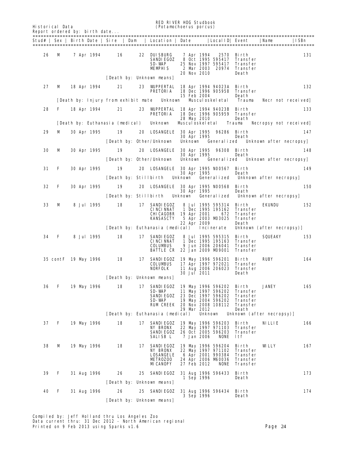|    | Historical Data<br>Report ordered by: birth date |  |                    |                                       |                                     | <b>RED RIVER HDG Studbook</b><br>(Potamochoerus porcus)                                       |                |                |                                   |                                                                                                            |                                                                |                           |                       |
|----|--------------------------------------------------|--|--------------------|---------------------------------------|-------------------------------------|-----------------------------------------------------------------------------------------------|----------------|----------------|-----------------------------------|------------------------------------------------------------------------------------------------------------|----------------------------------------------------------------|---------------------------|-----------------------|
|    |                                                  |  |                    | Stud#   Sex   Birth Date   Sire   Dam |                                     | Location   Date                                                                               |                |                |                                   | Local ID  Event                                                                                            |                                                                | Name                      | ISBn<br>=========     |
| 26 | м                                                |  | 7 Apr 1994         | 16                                    | 22                                  | <b>DUISBURG</b><br><b>SANDIEGOZ</b><br>SD-WAP<br><b>MEMPHIS</b>                               |                |                | 7 Apr 1994<br>20 Nov 2010         | 2570<br>8 Oct 1995 595417<br>25 Nov 1997 595417<br>2 Mar 2003 20974                                        | Birth<br>Transfer<br>Transfer<br>Transfer<br>Death             |                           | 131                   |
| 27 | M                                                |  | 18 Apr 1994        | 21                                    | 23                                  | [Death by: Unknown neans]<br><b>WIPPERTAL</b>                                                 |                |                |                                   | 18 Apr 1994 94023A Birth                                                                                   |                                                                |                           | 132                   |
|    |                                                  |  |                    |                                       |                                     | <b>PRETORIA</b>                                                                               |                |                | 15 Feb 2004                       | 18 Dec 1996 905958                                                                                         | Transfer<br>Death                                              |                           |                       |
|    |                                                  |  |                    |                                       | [Death by: Injury from exhibit mate | Unknown                                                                                       |                |                |                                   | Miscul oskel et al                                                                                         | <b>Trauma</b>                                                  |                           | Necr not received     |
| 28 | F                                                |  | 18 Apr 1994        | 21                                    | 23                                  | <b>WJPPERTAL</b><br><b>PRETORIA</b>                                                           |                |                | 28 May 2010                       | 18 Apr 1994 94023B Birth<br>18 Dec 1996 905959                                                             | Transfer<br>Death                                              |                           | 133                   |
|    |                                                  |  |                    | [Death by: Euthanasia (medical)       |                                     | <b>Unknown</b>                                                                                |                |                | Miscul oskel etal                 |                                                                                                            | <b>Trauma</b>                                                  |                           | Necropsy not received |
| 29 | м                                                |  | <b>30 Apr 1995</b> | 19                                    | 20                                  | <b>LOSANGELE</b>                                                                              |                |                | <b>30 Apr 1995</b><br>30 Apr 1995 | 96286                                                                                                      | Birth<br>Death                                                 |                           | 147                   |
|    |                                                  |  |                    |                                       |                                     | [Death by: Other/Unknown]                                                                     |                | <b>Unknown</b> |                                   | Generalized                                                                                                |                                                                | Unknown after necropsy    |                       |
| 30 | м                                                |  | <b>30 Apr 1995</b> | 19                                    | 20                                  | <b>LOSANGELE</b>                                                                              |                |                | 30 Apr 1995                       | 30 Apr 1995 96308 Birth                                                                                    | Death                                                          |                           | 148                   |
|    |                                                  |  |                    |                                       |                                     | [Death by: Other/Unknown]                                                                     |                | Unknown        |                                   | Generalized                                                                                                |                                                                | Unknown after necropsyl   |                       |
| 31 | F                                                |  | <b>30 Apr 1995</b> | 19                                    | 20<br>[Death by: Stillbirth         | <b>LOSANGELE</b>                                                                              | Unknown        |                | 30 Apr 1995                       | 30 Apr 1995 N00567<br><b>Generalized</b>                                                                   | Birth<br>Death                                                 | Unknown after necropsy    | 149                   |
| 32 | F                                                |  | <b>30 Apr 1995</b> | 19                                    | 20                                  | <b>LOSANGELE</b>                                                                              |                |                |                                   | 30 Apr 1995 N00568                                                                                         | Birth                                                          |                           | <b>150</b>            |
|    |                                                  |  |                    |                                       | Death by: Stillbirth                |                                                                                               | <b>Unknown</b> |                | 30 Apr 1995                       | <b>Generalized</b>                                                                                         | Death                                                          | Unknown after necropsy    |                       |
| 33 | м                                                |  | <b>8 Jul 1995</b>  | 18                                    | 17                                  | <b>SANDIEGOZ</b><br><b>CINCINNAT</b><br>CHICAGOBR<br>KANSASCTY                                |                |                | 19 Apr 2001<br>22 Apr 2009        | 8 Jul 1995 595314<br>1 Dec 1995 195162<br>672<br>5 Apr 2003 MD3025                                         | Birth<br>Transfer<br>Transfer<br>Transfer<br>Death             | EKUNDU                    | 152                   |
|    |                                                  |  |                    |                                       |                                     | [Death by: Euthanasia (medical)                                                               |                |                |                                   | Incinerate                                                                                                 |                                                                | Unknown (after necropsy)] |                       |
| 34 | F                                                |  | <b>8 Jul 1995</b>  | 18                                    | 17                                  | <b>SANDIEGOZ</b><br><b>CINCINNAT</b><br>COLUMBUS<br><b>BATTLE CR 22 Jan 2009 M99001</b>       |                |                |                                   | 8 Jul 1995 595315<br>1 Dec 1995 195163<br>9 Jun 2006 206041                                                | Birth<br>Transfer<br>Transfer<br><b>Transfer</b>               | SQUEAKY                   | 153                   |
|    | 35 cont F 19 May 1996                            |  |                    | 18                                    | 17                                  | <b>SANDIEGOZ</b><br>COLUMBUS<br><b>NORFOLK</b>                                                |                |                | 30 Jul 2011                       | 19 May 1996 596201<br>17 Apr 1997 972021<br>11 Aug 2006 206023                                             | Birth<br>Transfer<br>Transfer<br>Death                         | <b>RUBY</b>               | 164                   |
|    |                                                  |  |                    |                                       |                                     | [Death by: Unknown means]                                                                     |                |                |                                   |                                                                                                            |                                                                |                           |                       |
| 36 | F                                                |  | 19 May 1996        | 18                                    | 17                                  | SANDIEGOZ<br>SD-WAP<br><b>SANDIEGOZ</b><br>SD-WAP<br><b>RUM CREEK</b>                         |                |                | 29 Mar 2012                       | 19 May 1996 596202<br>11 May 1997 596202<br>23 Dec 1997 596202<br>19 May 2004 596202<br>20 Nov 2008 108112 | Birth<br>Transfer<br>Transfer<br>Transfer<br>Transfer<br>Death | <b>JANEY</b>              | 165                   |
|    |                                                  |  |                    |                                       |                                     | [Death by: Euthanasia (medical)                                                               |                |                | Unknown                           |                                                                                                            |                                                                | Unknown (after necropsy)] |                       |
| 37 | F                                                |  | 19 May 1996        | 18                                    | 17                                  | <b>SANDI EGOZ</b><br><b>NY BRONX</b><br><b>SANDIEGOZ</b><br>SALISB L                          |                |                | 7 Jan 2006                        | 19 May 1996 596203<br>22 May 1997 971103<br>26 Oct 2005 596203<br><b>NONE</b>                              | Birth<br>Transfer<br>Transfer<br>ltf                           | NI П.Н.                   | 166                   |
| 38 | M                                                |  | 19 May 1996        | 18                                    | 17                                  | <b>SANDIEGOZ</b><br><b>NY BRONX</b><br><b>LOSANGELE</b><br><b>METROZOO</b><br><b>MICANOPY</b> |                |                | 27 Feb 2012                       | 19 May 1996 596204<br>22 May 1997 971102<br>6 Apr 2001 990384<br>24 Apr 2006 M60036<br><b>NONE</b>         | Birth<br>Transfer<br><b>Transfer</b><br>Transfer<br>Transfer   | WLLY                      | 167                   |
| 39 | F                                                |  | <b>31 Aug 1996</b> | 26                                    | 25                                  | <b>SANDIEGOZ</b>                                                                              |                |                | 1 Sep 1996                        | 31 Aug 1996 596433                                                                                         | Birth<br>Death                                                 |                           | 173                   |
|    |                                                  |  |                    |                                       |                                     | [Death by: Unknown means]                                                                     |                |                |                                   |                                                                                                            |                                                                |                           |                       |
| 40 | F                                                |  | <b>31 Aug 1996</b> | 26                                    | 25                                  | <b>SANDIEGOZ</b>                                                                              |                |                | 3 Sep 1996                        | 31 Aug 1996 596434                                                                                         | Birth<br>Death                                                 |                           | 174                   |
|    |                                                  |  |                    |                                       |                                     | [Death by: Unknown means]                                                                     |                |                |                                   |                                                                                                            |                                                                |                           |                       |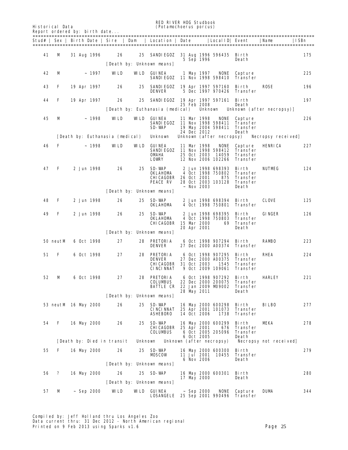|           | <b>Historical Data</b> | Report ordered by: birth date |                 |                                       |                | <b>RED RIVER HOG Studbook</b>                                     | (Potamochoerus porcus)     |                                                                      |                                                                  |                           |                   |
|-----------|------------------------|-------------------------------|-----------------|---------------------------------------|----------------|-------------------------------------------------------------------|----------------------------|----------------------------------------------------------------------|------------------------------------------------------------------|---------------------------|-------------------|
| ========= |                        |                               |                 | Stud#   Sex   Birth Date   Sire   Dam |                | Location   Date                                                   |                            | Local ID  Event                                                      |                                                                  | Name                      | ISBn<br>========= |
| 41        | M                      | <b>31 Aug 1996</b>            |                 | 26                                    | 25             | SANDIEGOZ                                                         | 5 Sep 1996                 | 31 Aug 1996 596435                                                   | Birth<br>Death                                                   |                           | 175               |
|           |                        |                               |                 |                                       |                | [Death by: Unknown means]                                         |                            |                                                                      |                                                                  |                           |                   |
| 42        | м                      |                               | ~ 1997          | WLD                                   | WLD            | GUINEA<br><b>SANDIEGOZ</b>                                        | 1 May 1997                 | <b>NONE</b><br>11 Nov 1998 598410                                    | Capture<br>Transfer                                              |                           | 225               |
| 43        | F                      | 19 Apr 1997                   |                 | 26                                    | 25             | <b>SANDIEGOZ</b><br><b>DENVER</b>                                 |                            | 19 Apr 1997 597160<br>5 Dec 1997 970426                              | Birth<br>Transfer                                                | <b>ROSE</b>               | 196               |
| 44        | F                      | 19 Apr 1997                   |                 | 26                                    | 25             | SANDIEGOZ                                                         | 25 Feb 2008                | 19 Apr 1997 597161 Birth                                             | Death                                                            |                           | 197               |
|           |                        |                               |                 |                                       |                | [Death by: Euthanasia (medical)                                   |                            | <b>Unknown</b>                                                       |                                                                  | Unknown (after necropsy)] |                   |
| 45        | м                      |                               | ~1998           | WLD                                   | <b>WLD</b>     | GUINEA<br><b>SANDIEGOZ</b><br>SD-WAP                              | 11 Mar 1998                | <b>NONE</b><br>11 Nov 1998 598411<br>19 May 2004 598411              | Capture<br>Transfer<br>Transfer                                  |                           | 226               |
|           |                        |                               |                 | [Death by: Euthanasia (medical)       |                | Unknown                                                           | 24 Dec 2012                | Unknown (after necropsy)                                             | Death                                                            | Necropsy received]        |                   |
|           |                        |                               |                 |                                       |                |                                                                   |                            |                                                                      |                                                                  |                           |                   |
| 46        | F                      |                               | ~ 1998          | WLD                                   | WLD            | <b>GUINEA</b><br><b>SANDIEGOZ</b><br><b>OMAHA</b><br><b>LOWRY</b> | 11 Mar 1998<br>25 Oct 2003 | <b>NONE</b><br>11 Nov 1998 598412<br>14059<br>12 Nov 2006 102266     | <b>Capture</b><br><b>Transfer</b><br><b>Transfer</b><br>Transfer | HENRICA                   | 227               |
| 47        | F                      |                               | 2 Jun 1998      | 26                                    | 25             | SD-WAP<br>OKLAHDMA<br><b>CHICAGOBR</b><br><b>PEACE RV</b>         | 26 Oct 2001                | 2 Jun 1998 698393<br>4 Oct 1998 750802<br>875<br>28 Oct 2003 103128  | Birth<br>Transfer<br>Transfer<br><b>Transfer</b>                 | <b>NUTMEG</b>             | 124               |
|           |                        |                               |                 |                                       |                | [Death by: Unknown means]                                         | $\sim$ Nov 2003            |                                                                      | Death                                                            |                           |                   |
| 48        | F                      |                               | 2 Jun 1998      | 26                                    | 25             | SD-WAP<br><b>OKLAHOMA</b>                                         |                            | 2 Jun 1998 698394<br>4 Oct 1998 750801                               | Birth<br>Transfer                                                | <b>CLOVE</b>              | 125               |
| 49        | F                      |                               | 2 Jun 1998      | 26                                    | 25             | SD-WAP<br>OKLAHDMA<br>CHICAGOBR                                   | 15 Mar 2000<br>20 Apr 2001 | 2 Jun 1998 698395<br>4 Oct 1998 750803<br>69                         | Birth<br>Transfer<br><b>Transfer</b><br>Death                    | <b>GINGER</b>             | 126               |
|           |                        |                               |                 |                                       |                | [Death by: Unknown means]                                         |                            |                                                                      |                                                                  |                           |                   |
|           | 50 neutM               |                               | 6 Oct 1998      | 27                                    | 28             | PRETORIA<br><b>DENVER</b>                                         |                            | 6 Oct 1998 907294<br>27 Dec 2000 A00374                              | Birth<br>Transfer                                                | <b>RAMBO</b>              | 223               |
| 51        | F                      |                               | 6 Oct 1998      | 27                                    | 28             | PRETORIA<br><b>DENVER</b><br>CHICAGOBR<br><b>CINCINNAT</b>        | 31 Oct 2003                | 6 Oct 1998 907295<br>27 Dec 2000 A00375<br>1545<br>9 Oct 2009 109061 | Birth<br>Transfer<br>Transfer<br>Transfer                        | RHEA                      | 224               |
| 52        | м                      |                               | 6 Oct 1998      | 27                                    | 28             | PRETORIA<br><b>COLUMBUS</b><br><b>BATTLE CR</b>                   | 28 May 2011                | 6 Oct 1998 907292<br>22 Dec 2000 200075<br>22 Jan 2009 M9002         | Birth<br>Transfer<br>Transfer<br>Death                           | HARLEY                    | 221               |
|           |                        |                               |                 |                                       |                | [Death by: Unknown neans]                                         |                            |                                                                      |                                                                  |                           |                   |
|           |                        | 53 neutM 16 May 2000          |                 | 26                                    | 25             | SD-WAP<br><b>CINCINNAT</b><br><b>ASHEBORO</b>                     | 14 Oct 2006                | 16 May 2000 600298<br>25 Apr 2001 101073<br>1738                     | Birth<br>Transfer<br>Transfer                                    | <b>BILBO</b>              | 277               |
| 54        | F                      | 16 May 2000                   |                 | 26                                    | 25             | SD-WAP<br><b>CHICAGOBR</b><br><b>COLUMBUS</b>                     | 25 Apr 2001<br>6 Oct 2005  | 16 May 2000 600299<br>676<br>6 Oct 2005 205096                       | Birth<br>Transfer<br>Transfer<br>Death                           | MEKA                      | 278               |
|           |                        |                               |                 | [Death by: Died in transit            | <b>Unknown</b> |                                                                   |                            | Unknown (after necropsy)                                             |                                                                  | Necropsy not received     |                   |
| 55        | F                      | 16 May 2000                   |                 | 26                                    | 25             | SD-WAP<br><b>MOSCOW</b>                                           | 11 Jul 2001<br>6 Nov 2006  | 16 May 2000 600300<br>10455                                          | Birth<br>Transfer<br>Death                                       |                           | 279               |
|           |                        |                               |                 |                                       |                | [Death by: Unknown neans]                                         |                            |                                                                      |                                                                  |                           |                   |
| 56        | ?                      | 16 May 2000                   |                 | 26                                    | 25             | SD-WAP                                                            | 17 May 2000                | 16 May 2000 600301                                                   | Birth<br>Death                                                   |                           | 280               |
|           |                        |                               |                 |                                       |                | [Death by: Unknown means]                                         |                            |                                                                      |                                                                  |                           |                   |
| 57        | M                      |                               | $\sim$ Sep 2000 | WLD                                   |                | <b>WILD</b> GUINEA<br><b>LOSANGELE</b>                            | ~ Sep 2000                 | <b>NONE</b><br>25 Sep 2001 990496                                    | <b>Capture</b><br>Transfer                                       | <b>DUM</b>                | 344               |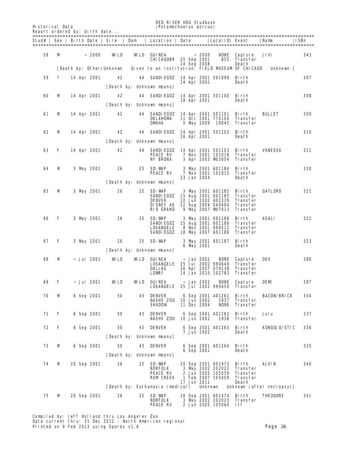RED RIVER HOG Studbook

| <b>Historical Data</b><br>Report ordered by: birth date |   |  |             |                           |     | KED KLVEK HIJG Studbook<br><i>(Potamochoerus porcus)</i> |  |                            |                                                  |                                  |               |      |  |  |  |
|---------------------------------------------------------|---|--|-------------|---------------------------|-----|----------------------------------------------------------|--|----------------------------|--------------------------------------------------|----------------------------------|---------------|------|--|--|--|
| Stud# l                                                 |   |  |             |                           |     | Sex   Birth Date   Sire   Dam   Location   Date          |  |                            | Local ID  Event                                  |                                  | Name          | ISBn |  |  |  |
| 58                                                      | M |  | ~1000       | WLD                       | WLD | <b>GUINEA</b><br><b>CHICAGOBR</b>                        |  | 25 Sep 2001<br>14 Sep 2008 | ~1000<br>NONE                                    | Capture<br>855 Transfer<br>Death | <b>JIVI</b>   | 343  |  |  |  |
|                                                         |   |  |             | [Death by: Other/Unknown] |     |                                                          |  |                            | Given to an institution: FIELD MISEUM OF CHICAGO |                                  | Unknown 1     |      |  |  |  |
| 59                                                      | ? |  | 14 Apr 2001 | 42                        |     | SANDIEGOZ<br>44                                          |  | 14 Apr 2001                | 14 Apr 2001 501099                               | Birth<br>Death                   |               | 307  |  |  |  |
|                                                         |   |  |             |                           |     | [Death by: Unknown means]                                |  |                            |                                                  |                                  |               |      |  |  |  |
| 60                                                      | М |  | 14 Apr 2001 | 42                        |     | SANDIEGOZ<br>44                                          |  | 18 Apr 2001                | 14 Apr 2001 501100                               | Birth<br>Death                   |               | 308  |  |  |  |
|                                                         |   |  |             |                           |     | [Death by: Unknown means]                                |  |                            |                                                  |                                  |               |      |  |  |  |
| 61                                                      | м |  | 14 Apr 2001 | 42                        |     | SANDIEGOZ<br>44                                          |  |                            | 14 Apr 2001 501101                               | Birth                            | <b>BULLET</b> | 309  |  |  |  |

| 61         | M | 14 Apr 2001     | 42         | 44 | SANDIEGOZ<br>OKLAHDMA<br><b>OMAHA</b>                                                    |  | 5 May 2009                 | 14 Apr 2001 501101 Birth<br>11 Oct 2001 770104<br>19045                            | Transfer<br>Transfer                                         | <b>BULLET</b>             | 309 |
|------------|---|-----------------|------------|----|------------------------------------------------------------------------------------------|--|----------------------------|------------------------------------------------------------------------------------|--------------------------------------------------------------|---------------------------|-----|
| 62         | м | 14 Apr 2001     | 42         |    | 44 SANDIEGOZ 14 Apr 2001 501102                                                          |  | 16 Apr 2001                |                                                                                    | Birth<br>Death                                               |                           | 310 |
|            |   |                 |            |    | [Death by: Unknown means]                                                                |  |                            |                                                                                    |                                                              |                           |     |
| 63         | F | 14 Apr 2001     | 42         |    | <b>44 SANDIEGOZ</b><br><b>PEACE RV</b><br><b>NY BRONX</b>                                |  |                            | 14 Apr 2001 501103<br>7 Nov 2001 101016<br>3 Apr 2003 MD3054                       | Birth<br>Transfer<br>Transfer                                | <b>VANESSA</b>            | 311 |
| 64         | M | 3 May 2001      | 26         | 25 | SD-WAP<br><b>PEACE RV</b>                                                                |  | 23 Jan 2004                | 3 May 2001 601184<br>7 Nov 2001 101015                                             | Birth<br><b>Transfer</b><br>Death                            |                           | 320 |
|            |   |                 |            |    | [Death by: Unknown means]                                                                |  |                            |                                                                                    |                                                              |                           |     |
| 65         | M | 3 May 2001      | 26         | 25 | SD-WAP<br>SANDIEGOZ<br>DENVER<br><b>DISNEY AK 22 Aug 2004 040404</b><br><b>RIO GRAND</b> |  |                            | 3 May 2001 601185<br>15 Aug 2001 601185<br>10 Jun 2002 A02239<br>9 May 2007 MD7013 | Birth<br>Transfer<br>Transfer<br><b>Transfer</b><br>Transfer | <b>GAYLORD</b>            | 321 |
| 66         | F | 3 May 2001      | 26         | 25 | SD-WAP<br>SANDIEGOZ<br><b>LOSANGELE</b><br>SANDIEGOZ                                     |  |                            | 3 May 2001 601186<br>15 Aug 2001 601186<br>8 Nov 2001 990512<br>18 May 2007 601186 | Birth<br>Transfer<br>Transfer<br>Transfer                    | ASALI                     | 322 |
| 67         | F | 3 May 2001      | 26         | 25 | SD-WAP                                                                                   |  |                            | 3 May 2001 601187                                                                  | Birth                                                        |                           | 323 |
|            |   |                 |            |    | [Death by: Unknown means]                                                                |  | 6 May 2001                 |                                                                                    | Death                                                        |                           |     |
| 68         | м | ~ Jul 2001      | WLD        |    | <b>WILD GUINEA</b>                                                                       |  | ~ Jan 2002                 | <b>NONE</b>                                                                        | <b>Capture</b>                                               | DEX                       | 386 |
|            |   |                 |            |    | <b>LOSANGELE</b>                                                                         |  |                            | 25 Jul 2002 990649                                                                 | Transfer                                                     |                           |     |
|            |   |                 |            |    | DALLAS<br><b>LOVRY</b>                                                                   |  |                            | 26 Apr 2007 07H138<br>14 Jan 2010 102783                                           | Transfer<br>Transfer                                         |                           |     |
| 69         | F | $\sim$ Jul 2001 | <b>WLD</b> |    | <b>WILD</b> GUINEA                                                                       |  | ~ Jan 2002                 | <b>NONE</b>                                                                        | Capture                                                      | DEM                       | 387 |
|            |   |                 |            |    | <b>LOSANGELE</b>                                                                         |  |                            | 25 Jul 2002 990650                                                                 | Transfer                                                     |                           |     |
| 70         | м | 6 Sep 2001      | 50         |    | <b>43 DENVER</b>                                                                         |  |                            | 6 Sep 2001 A01261                                                                  | Birth                                                        | <b>BACON/BRICK</b>        | 334 |
|            |   |                 |            |    | <b>NASHV ZOO</b><br><b>SHADOW</b>                                                        |  | 10 Jun 2002<br>11 Dec 2004 | 1937<br><b>NONE</b>                                                                | Transfer<br>Transfer                                         |                           |     |
| 71         | F |                 |            | 43 |                                                                                          |  |                            |                                                                                    |                                                              |                           | 337 |
|            |   | 6 Sep 2001      | 50         |    | DENVER<br><b>NASHV ZOO</b>                                                               |  | 10 Jun 2002                | 6 Sep 2001 A01262<br>1938                                                          | Birth<br>Transfer                                            | Lulu                      |     |
| 72         | F | 6 Sep 2001      | 50         |    | <b>43 DENVER</b>                                                                         |  |                            | 6 Sep 2001 A01263 Birth                                                            |                                                              | <b>KONGOJO/STIC</b>       | 336 |
|            |   |                 |            |    | [Death by: Unknown means]                                                                |  | 7 Jun 2002                 |                                                                                    | Death                                                        |                           |     |
| 73         | M | 6 Sep 2001      | 50         |    | <b>43 DENVER</b>                                                                         |  |                            | 6 Sep 2001 A01264 - Birth                                                          |                                                              |                           | 335 |
|            |   |                 |            |    |                                                                                          |  | 6 Sep 2001                 |                                                                                    | Death                                                        |                           |     |
|            |   |                 |            |    | [Death by: Unknown neans]                                                                |  |                            |                                                                                    |                                                              |                           |     |
| ${\bf 74}$ | M | 20 Sep 2001     | 26         |    | <b>25 SD-WAP</b><br><b>NORFOLK</b>                                                       |  |                            | 20 Sep 2001 601473 Birth<br>3 May 2002 202022                                      | Transfer                                                     | <b>ALVIN</b>              | 340 |
|            |   |                 |            |    | <b>PEACE RV</b><br><b>RUM CREEK</b>                                                      |  |                            | 2 Jun 2005 105059<br>1 Feb 2007 105059                                             | Transfer<br><b>Transfer</b>                                  |                           |     |
|            |   |                 |            |    |                                                                                          |  | 17 Jun 2011                |                                                                                    | Death                                                        |                           |     |
|            |   |                 |            |    | [Death by: Euthanasia (medical)                                                          |  | Unknown                    |                                                                                    |                                                              | Unknown (after necropsy)] |     |
| 75         | М | 20 Sep 2001     | 26         |    | 25 SD-WAP<br><b>NORFOLK</b>                                                              |  |                            | 20 Sep 2001 601474 Birth                                                           | 3 May 2002 202023 Transfer                                   | <b>THEODORE</b>           | 341 |
|            |   |                 |            |    | <b>PEACE RV</b>                                                                          |  |                            | 2 Jun 2005 105060 ltf                                                              |                                                              |                           |     |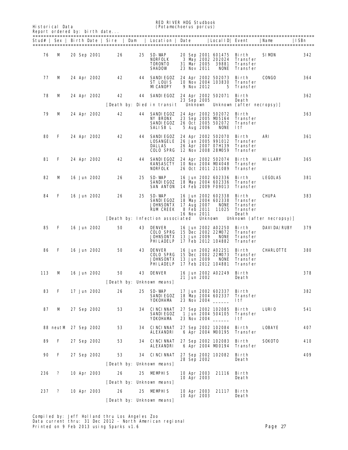Historical Data (*Potamochoerus porcus*) Report ordered by

RED RIVER HOG Studbook<br>
(Potamochoerus porcus)<br>
(Potamochoerus porcus)

|       | Report ordered by: birth date |  |             |    |    |                                                      |             |                                                                             |                                  |              |             |  |  |  |
|-------|-------------------------------|--|-------------|----|----|------------------------------------------------------|-------------|-----------------------------------------------------------------------------|----------------------------------|--------------|-------------|--|--|--|
| Stud# |                               |  |             |    |    | Sex   Birth Date   Sire   Dam   Location   Date      |             | Local ID  Event                                                             |                                  | Name         | <b>ISBn</b> |  |  |  |
| 76    | м                             |  | 20 Sep 2001 | 26 | 25 | SD-WAP<br>NORFOLK<br><b>TORONTO</b><br><b>SHADOW</b> | 23 Nov 2011 | 20 Sep 2001 601475 Birth<br>3 May 2002 202024 Transfer<br>31 Mar 2005 39881 | Transfer<br><b>NONE</b> Transfer | <b>SIMON</b> | 342         |  |  |  |
| 77    | м                             |  | 24 Apr 2002 | 42 | 44 | SANDIEGOZ<br>ST LOUIS<br><b>MICANOPY</b>             | 9 Nov 2012  | 24 Apr 2002 502073 Birth<br>10 Nov 2004 103830 Transfer                     | 5 Transfer                       | <b>CONGO</b> | 364         |  |  |  |
| 78    | м                             |  | 24 Apr 2002 | 42 | 44 | SANDIEGOZ                                            |             | 24 Apr 2002 502071                                                          | Bi rth                           |              | 362         |  |  |  |

|    |   |             |    |    | [Death by: Died in transit – Unknown                               | 23 Sep 2005 |                                                                | Death<br>Unknown (after necropsy)]                                         |                |     |
|----|---|-------------|----|----|--------------------------------------------------------------------|-------------|----------------------------------------------------------------|----------------------------------------------------------------------------|----------------|-----|
| 79 | м | 24 Apr 2002 | 42 | 44 | SANDIEGOZ<br><b>NY BRONX</b><br>SANDIEGOZ<br><b>SALISB L</b>       | 5 Aug 2006  | 24 Apr 2002 502072<br>NONE                                     | Birth<br>23 Sep 2005 M5164 Transfer<br>26 Oct 2005 502072 Transfer<br>1tf  |                | 363 |
| 80 | F | 24 Apr 2002 | 42 | 44 | <b>SANDIEGOZ</b><br><b>LOSANGELE</b><br>DALLAS<br><b>COLO SPRG</b> |             | 24 Apr 2002 502070<br>26 Jan 2005 991012<br>12 Nov 2008 28MD59 | Birth<br><b>Transfer</b><br>26 Apr 2007 07H139 Transfer<br><b>Transfer</b> | ARI            | 361 |
| 81 | F | 24 Apr 2002 | 42 | 44 | SANDIEGOZ<br><b>KANSASCTY</b><br><b>NORFOLK</b>                    |             | 24 Apr 2002 502074<br>10 Nov 2004 M94048<br>26 Oct 2011 211089 | Birth<br>Transfer<br><b>Transfer</b>                                       | <b>HILLARY</b> | 365 |
| 82 | м | 16 Jun 2002 | 26 | 25 | SD-WAP<br>SANDIEGOZ<br><b>SAN ANTON</b>                            |             | 16 Jun 2002 602336<br>18 May 2004 602336<br>14 Feb 2009 F09013 | Birth<br>Transfer<br><b>Transfer</b>                                       | <b>LEGOLAS</b> | 381 |
| 84 | F | 16 Jun 2002 | 26 | 25 | SD-WAP<br>SANDIEGOZ<br><b>JOHNSONTX</b>                            | 17 Aug 2007 | 16 Jun 2002 602338<br>NONE                                     | Birth<br>18 May 2004 602338 Transfer<br>Transfer                           | <b>CHUPA</b>   | 383 |

RUM CREEK 8 Feb 2011 11025 Transfer 16 Nov 2011 Death [Death by: Infection associated Unknown Unknown (after necropsy)]

| 85  | F                    |  | 16 Jun 2002 | 50 | 43 | <b>DENVER</b><br><b>COLO SPRG</b><br><b>JOHNSONTX</b> 13 Jun 2009<br><b>PHILADELP</b>    |  |             | 16 Jun 2002 A02250<br>15 Dec 2002 22MD72<br><b>NONE</b><br>17 Feb 2012 104882 | Birth<br><b>Transfer</b><br><b>Transfer</b><br><b>Transfer</b> | <b>DAVIDA/RUBY</b> | 379 |
|-----|----------------------|--|-------------|----|----|------------------------------------------------------------------------------------------|--|-------------|-------------------------------------------------------------------------------|----------------------------------------------------------------|--------------------|-----|
| 86  | F                    |  | 16 Jun 2002 | 50 |    | <b>43 DENVER</b><br><b>COLO SPRG</b><br><b>JOHNSONTX</b> 13 Jun 2009<br><b>PHILADELP</b> |  |             | 16 Jun 2002 A02251<br>15 Dec 2002 22MD73<br><b>NONE</b><br>17 Feb 2012 104881 | Birth<br><b>Transfer</b><br><b>Transfer</b><br><b>Transfer</b> | <b>CHARLOTTE</b>   | 380 |
| 113 | М                    |  | 16 Jun 2002 | 50 | 43 | DENVER                                                                                   |  | 21 Jun 2002 | 16 Jun 2002 A02249                                                            | Birth<br>Death                                                 |                    | 378 |
|     |                      |  |             |    |    | [Death by: Unknown means]                                                                |  |             |                                                                               |                                                                |                    |     |
| 83  | F                    |  | 17 Jun 2002 | 26 | 25 | SD-WAP<br><b>SANDIEGOZ</b><br>YOKOHAMA                                                   |  |             | 17 Jun 2002 602337<br>18 May 2004 602337<br>23 Nov 2004                       | Birth<br><b>Transfer</b><br>ltf                                |                    | 382 |
| 87  | М                    |  | 27 Sep 2002 | 53 |    | 34 CINCINNAT<br><b>SANDIEGOZ</b><br>YOKOHAMA                                             |  |             | 27 Sep 2002 102085<br>1 Jun 2004 504105<br>23 Nov 2004                        | Birth<br><b>Transfer</b><br><b>ltf</b>                         | <b>LURIO</b>       | 541 |
|     | 88 neutM 27 Sep 2002 |  |             | 53 |    | <b>34 CINCINNAT</b><br><b>ALEXANDRI</b>                                                  |  |             | 27 Sep 2002 102084<br>6 Apr 2004 M0195                                        | Birth<br><b>Transfer</b>                                       | <b>LOBAYE</b>      | 407 |
| 89  | F                    |  | 27 Sep 2002 | 53 |    | <b>34 CINCINNAT</b><br><b>ALEXANDRI</b>                                                  |  |             | 27 Sep 2002 102083<br>6 Apr 2004 M00194                                       | Birth<br><b>Transfer</b>                                       | SOKOTO             | 410 |
| 90  | F                    |  | 27 Sep 2002 | 53 |    | 34 CINCINNAT                                                                             |  |             | 27 Sep 2002 102082                                                            | Birth                                                          |                    | 409 |
|     |                      |  |             |    |    | [Death by: Unknown means]                                                                |  | 28 Sep 2002 |                                                                               | <b>Death</b>                                                   |                    |     |
| 236 | ?                    |  | 10 Apr 2003 | 26 |    | 25 MEMPHIS                                                                               |  | 10 Apr 2003 | 10 Apr 2003 21116                                                             | Birth<br>Death                                                 |                    |     |
|     |                      |  |             |    |    | [Death by: Unknown means]                                                                |  |             |                                                                               |                                                                |                    |     |
| 237 | ?                    |  | 10 Apr 2003 | 26 |    | 25 MEMPHIS                                                                               |  | 10 Apr 2003 | 10 Apr 2003 21117                                                             | Birth<br>Death                                                 |                    |     |
|     |                      |  |             |    |    | [Death by: Unknown means]                                                                |  |             |                                                                               |                                                                |                    |     |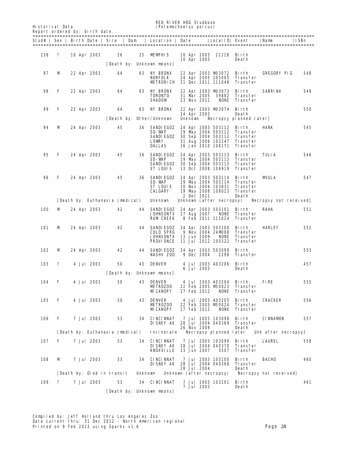RED RIVER HOG Studbook<br>
(Potamochoerus porcus)<br>
(Potamochoerus porcus)

| <b>Historical Data</b>        | (Potamochoerus porcus) |  |
|-------------------------------|------------------------|--|
| Report ordered by: birth date |                        |  |

| Report ordered by: birth date |   |  |                   |                                       |                |                                                                                |                |                            |                                                                                                            |                                                                     |                        |      |
|-------------------------------|---|--|-------------------|---------------------------------------|----------------|--------------------------------------------------------------------------------|----------------|----------------------------|------------------------------------------------------------------------------------------------------------|---------------------------------------------------------------------|------------------------|------|
|                               |   |  |                   | Stud#   Sex   Birth Date   Sire   Dam |                | Location   Date                                                                |                |                            | Local ID  Event                                                                                            |                                                                     | Name                   | ISBn |
| 238                           | ? |  | 10 Apr 2003       | 26                                    | 25             | <b>MEMPHIS</b>                                                                 |                | 10 Apr 2003                | 10 Apr 2003 21118 Birth                                                                                    | Death                                                               |                        |      |
|                               |   |  |                   |                                       |                | [Death by: Unknown means]                                                      |                |                            |                                                                                                            |                                                                     |                        |      |
| 97                            | M |  | 22 Apr 2003       | 64                                    | 63             | <b>NY BRONX</b><br><b>NORFOLK</b><br>METRORICH                                 |                |                            | 22 Apr 2003 MD3072<br>24 Apr 2005 205005<br>21 Dec 2011 111048                                             | Birth<br>Transfer<br>Transfer                                       | <b>GREGORY PIG</b>     | 548  |
| 98                            | F |  | 22 Apr 2003       | 64                                    | 63             | <b>NY BRONX</b><br><b>TORONTO</b><br><b>SHADOW</b>                             |                | 31 Mar 2005<br>23 Nov 2011 | 22 Apr 2003 MD3073<br>39882<br><b>NONE</b>                                                                 | Birth<br>Transfer<br><b>Transfer</b>                                | SABRINA                | 549  |
| 99                            | F |  | 22 Apr 2003       | 64                                    | 63             | <b>NY BRONX</b>                                                                |                | 24 Apr 2003                | 22 Apr 2003 MD3074                                                                                         | Birth<br>Death                                                      |                        | 550  |
|                               |   |  |                   |                                       |                | [Death by: Other/Unknown                                                       | <b>Unknown</b> |                            |                                                                                                            | Necropsy planned later                                              |                        |      |
| 94                            | M |  | 24 Apr 2003       | 45                                    | 36             | <b>SANDIEGOZ</b><br>SD-WAP<br><b>SANDIEGOZ</b><br>LOWRY<br>DALLAS              |                |                            | 24 Apr 2003 503112<br>19 May 2004 503112<br>30 Sep 2004 503112<br>31 Aug 2006 102247<br>16 Jan 2010 10K171 | Birth<br>Transfer<br><b>Transfer</b><br>Transfer<br><b>Transfer</b> | <b>HANK</b>            | 545  |
| 95                            | F |  | 24 Apr 2003       | 45                                    | 36             | <b>SANDIEGOZ</b><br>SD-WAP<br><b>SANDIEGOZ</b><br><b>ST LOUIS</b>              |                |                            | 24 Apr 2003 503113<br>19 May 2004 503113<br>30 Sep 2004 503113<br>13 Oct 2008 106919                       | Birth<br>Transfer<br>Transfer<br>Transfer                           | TULIA                  | 546  |
| 96                            | F |  | 24 Apr 2003       | 45                                    | 36             | <b>SANDIEGOZ</b><br>SD-WAP<br><b>ST LOUIS</b><br><b>CALGARY</b>                |                |                            | 24 Apr 2003 503114<br>19 May 2004 503114<br>10 Nov 2004 103831<br>19 May 2008 108023                       | Birth<br>Transfer<br>Transfer<br>Transfer                           | <b>MVULA</b>           | 547  |
|                               |   |  |                   | [Death by: Euthanasia (medical)       |                | <b>Unknown</b>                                                                 |                | 2 Dec 2011                 | Unknown (after necropsy)                                                                                   | Death                                                               | Necropsy not received] |      |
| <b>100</b>                    | M |  | 24 Apr 2003       | 42                                    | 44             | SANDIEGOZ<br><b>JOHNSONTX</b><br><b>RUM CREEK</b>                              |                | 17 Aug 2007                | 24 Apr 2003 503101<br><b>NONE</b><br>8 Feb 2011 111024                                                     | Birth<br>Transfer<br>Transfer                                       | <b>RAHA</b>            | 551  |
| 101                           | м |  | 24 Apr 2003       | 42                                    | 44             | SANDIEGOZ<br>COLO SPRG<br><b>JOHNSONTX</b><br><b>PROVIDNCE</b>                 |                | 13 Jun 2009                | 24 Apr 2003 503100<br>9 Nov 2004 24MD88<br><b>NONE</b><br>11 Jul 2012 100322                               | Birth<br>Transfer<br>Transfer<br>Transfer                           | HARLEY                 | 552  |
| 102                           | M |  | 24 Apr 2003       | 42                                    | 44             | <b>SANDIEGOZ</b><br><b>NASHV ZOO</b>                                           |                | 9 Dec 2004                 | 24 Apr 2003 503099<br>2298                                                                                 | Birth<br>Transfer                                                   |                        | 553  |
| 103                           | ? |  | <b>4 Jul 2003</b> | 50                                    | 43             | DENVER                                                                         |                | <b>6 Jul 2003</b>          | 4 Jul 2003 A03206                                                                                          | Birth<br>Death                                                      |                        | 457  |
|                               |   |  |                   |                                       |                | [Death by: Unknown neans]                                                      |                |                            |                                                                                                            |                                                                     |                        |      |
| 104                           | F |  | <b>4 Jul 2003</b> | 50                                    | 43             | DENVER<br><b>METROZOO</b><br><b>MICANOPY</b>                                   |                | 27 Feb 2012                | 4 Jul 2003 A03204<br>22 Feb 2005 M50023<br><b>NONE</b>                                                     | Birth<br><b>Transfer</b><br>Transfer                                | FIRE                   | 555  |
| 105                           | F |  | <b>4 Jul 2003</b> | 50                                    | 43             | DENVER<br><b>METROZOO</b><br><b>MICANOPY</b>                                   |                | 27 Feb 2012                | 4 Jul 2003 A03205<br>22 Feb 2005 M50024<br><b>NONE</b>                                                     | Birth<br><b>Transfer</b><br>Transfer                                | CRACKER                | 556  |
| 106                           | F |  | <b>7 Jul 2003</b> | 53                                    | 34             | <b>CINCINNAT</b><br><b>DISNEY AK</b>                                           |                | 26 Nov 2009                | <b>7 Jul 2003 103098</b><br>28 Jul 2004 040369                                                             | Birth<br><b>Transfer</b><br>Death                                   | <b>CINNAMON</b>        | 557  |
|                               |   |  |                   | [Death by: Euthanasia (nedical)       |                | Incinerate                                                                     |                |                            | Necropsy planned later                                                                                     |                                                                     | Unk after necropsy     |      |
| 107                           | F |  | <b>7 Jul 2003</b> | 53                                    |                | <b>34 CINCINNAT</b><br><b>DISNEY AK 28 Jul 2004 040370</b><br><b>KNOXVILLE</b> |                | 13 Jun 2007                | 7 Jul 2003 103099<br>3507                                                                                  | Birth<br>Transfer<br>Transfer                                       | <b>LAUREL</b>          | 558  |
| 108                           | м |  | <b>7 Jul 2003</b> | 53                                    | 34             | <b>CINCINNAT</b><br><b>DISNEY AK</b>                                           |                | 28 Jul 2004                | 7 Jul 2003 103100<br>28 Jul 2004 040368                                                                    | Birth<br>Transfer<br>Death                                          | BACHD                  | 460  |
|                               |   |  |                   | [Death by: Died in transit            | <b>Unknown</b> |                                                                                |                |                            | Unknown (after necropsy)                                                                                   |                                                                     | Necropsy not received  |      |
| 109                           | ? |  | <b>7 Jul 2003</b> | 53                                    |                | <b>34 CINCINNAT</b>                                                            |                |                            | 7 Jul 2003 103101                                                                                          | Birth                                                               |                        | 461  |
|                               |   |  |                   |                                       |                | [Death by: Unknown means]                                                      |                | <b>7 Jul 2003</b>          |                                                                                                            | Death                                                               |                        |      |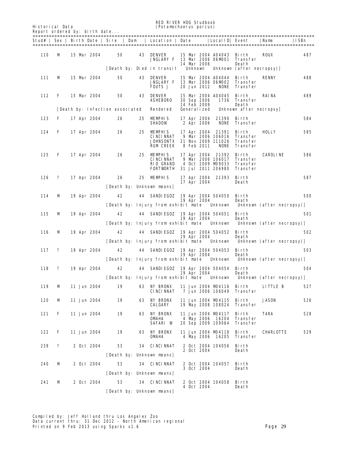Historical Data (*Potamochoerus porcus*)

**RED RIVER HOG Studbook**<br>(*Potanochoerus porcus*)

| <i>(rotampcnoel)</i> |
|----------------------|
|                      |

|     |   | Report ordered by: birth date   |    |                                                                                  |                                                                                                  |                                                              |      |
|-----|---|---------------------------------|----|----------------------------------------------------------------------------------|--------------------------------------------------------------------------------------------------|--------------------------------------------------------------|------|
|     |   |                                 |    | Stud#   Sex   Birth Date   Sire   Dam   Location   Date                          |                                                                                                  | Local ID  Event<br>  Name                                    | ISBn |
| 110 | м | 15 Mar 2004                     | 50 | 43<br><b>DENVER</b><br><b>JNGLARY F</b>                                          | 15 Mar 2004 A04043<br>13 Mar 2006 06MD01<br>14 Mar 2006                                          | <b>ROUX</b><br>Birth<br>Transfer<br>Death                    | 487  |
|     |   |                                 |    | [Death by: Died in transit                                                       | <b>Unknown</b>                                                                                   | Unknown (after necropsy)]                                    |      |
| 111 | м | 15 Mar 2004                     | 50 | 43<br><b>DENVER</b><br><b>JNGLARY F</b><br><b>FOUTS J</b>                        | 15 Mar 2004 A04044<br>13 Mar 2006 06MD02<br>20 Jun 2012<br><b>NONE</b>                           | <b>RENNY</b><br>Birth<br>Transfer<br>Transfer                | 488  |
| 112 | F | 15 Mar 2004                     | 50 | 43<br><b>DENVER</b><br><b>ASHEBORO</b>                                           | 15 Mar 2004 A04045<br>1736<br><b>30 Sep 2006</b><br>14 Feb 2009                                  | Birth<br><b>RAINA</b><br>Transfer<br>Death                   | 489  |
|     |   | [Death by: Infection associated |    | Rendered                                                                         | <b>Generalized</b>                                                                               | Unknown after necropsy                                       |      |
| 123 | F | 17 Apr 2004                     | 26 | <b>MEMPHIS</b><br>25.<br><b>SHADOW</b>                                           | 17 Apr 2004<br>21390<br><b>NONE</b><br>2 Apr 2006                                                | Birth<br>Transfer                                            | 584  |
| 124 | F | 17 Apr 2004                     | 26 | 25<br><b>MEMPHIS</b><br><b>CINCINNAT</b><br><b>JOHNSONTX</b><br><b>RUM CREEK</b> | 17 Apr 2004 21391<br>9 Mar 2006 106016<br>21 Nov 2009 111026<br><b>8 Feb 2011</b><br><b>NONE</b> | Birth<br>HOLLY<br>Transfer<br>Transfer<br>Transfer           | 585  |
| 125 | F | 17 Apr 2004                     | 26 | 25.<br><b>MEMPHIS</b><br><b>CINCINNAT</b><br><b>RIO GRAND</b><br>FORTVORTH       | 17 Apr 2004 21392<br>9 Mar 2006 106017<br>4 Oct 2009 M9033<br>31 Jul 2011 206980                 | <b>CAROLINE</b><br>Birth<br>Transfer<br>Transfer<br>Transfer | 586  |
| 126 | ? | 17 Apr 2004                     | 26 | 25<br><b>MEMPHIS</b>                                                             | 17 Apr 2004 21393                                                                                | Birth                                                        | 587  |
|     |   |                                 |    | [Death by: Unknown means]                                                        | 17 Apr 2004                                                                                      | Death                                                        |      |
| 114 | м | 19 Apr 2004                     | 42 | <b>SANDIEGOZ</b><br>44                                                           | 19 Apr 2004 504050<br>19 Apr 2004                                                                | Birth<br>Death                                               | 500  |
|     |   |                                 |    | [Death by: Injury from exhibit mate                                              | Unknown                                                                                          | Unknown (after necropsy)]                                    |      |
| 115 | м | 19 Apr 2004                     | 42 | [Death by: Injury from exhibit mate                                              | 44 SANDIEGOZ 19 Apr 2004 504051<br>19 Apr 2004<br>Unknown                                        | Birth<br>Death<br>Unknown (after necropsy)]                  | 501  |
| 116 | M | 19 Apr 2004                     | 42 |                                                                                  | 44 SANDIEGOZ 19 Apr 2004 504052<br>19 Apr 2004                                                   | Birth<br>Death                                               | 502  |
|     |   |                                 |    | [Death by: Injury from exhibit mate                                              | Unknown                                                                                          | Unknown (after necropsy)]                                    |      |
| 117 | ? | 19 Apr 2004                     | 42 | [Death by: Injury from exhibit mate                                              | 44 SANDIEGOZ 19 Apr 2004 504053<br>19 Apr 2004<br><b>Unknown</b>                                 | Birth<br>Death<br>Unknown (after necropsy)]                  | 503  |
|     |   |                                 |    |                                                                                  |                                                                                                  |                                                              |      |
| 118 | ? | 19 Apr 2004                     | 42 |                                                                                  | 44 SANDIEGOZ 19 Apr 2004 504054<br>19 Apr 2004<br>[Death by: Injury from exhibit mate Unknown    | Birth<br>Death<br>Unknown (after necropsy)]                  | 504  |
| 119 | M | 11 Jun 2004                     | 19 | <b>NY BRONX</b><br>63<br><b>CINCINNAT</b>                                        | 11 Jun 2004 M94116<br>7 Jun 2006 106049                                                          | Birth<br>LITTLE B<br>Transfer                                | 527  |
| 120 | M | 11 Jun 2004                     | 19 | <b>NY BRONX</b><br>63<br>CALGARY                                                 | 11 Jun 2004 M04115<br>19 May 2008 108024                                                         | <b>JASON</b><br>Birth<br><b>Transfer</b>                     | 526  |
| 121 | F | 11 Jun 2004                     | 19 | <b>NY BRONX</b><br>63<br><b>OMAHA</b><br><b>SAFARI W</b>                         | 11 Jun 2004 M94117<br>4 May 2006 16204<br>20 Sep 2009 109064                                     | Birth<br>TARA<br>Transfer<br>Transfer                        | 528  |
| 122 | F | 11 Jun 2004                     | 19 | <b>NY BRONX</b><br>63<br>OMAHA                                                   | 11 Jun 2004 M04118<br>4 May 2006 16205                                                           | Birth<br><b>CHARLOTTE</b><br>Transfer                        | 529  |
| 239 | ? | 2 Oct 2004                      | 53 | <b>34 CINCINNAT</b>                                                              | 2 Oct 2004 104056                                                                                | Birth                                                        |      |
|     |   |                                 |    | [Death by: Unknown means]                                                        | 2 Oct 2004                                                                                       | Death                                                        |      |
| 240 | м | 2 Oct 2004                      | 53 | <b>34 CINCINNAT</b>                                                              | 2 Oct 2004 104057                                                                                | Birth                                                        |      |
|     |   |                                 |    | [Death by: Unknown means]                                                        | 3 Oct 2004                                                                                       | Death                                                        |      |
| 241 | M | 2 Oct 2004                      | 53 | <b>34 CINCINNAT</b>                                                              | 2 Oct 2004 104058                                                                                | Birth                                                        |      |
|     |   |                                 |    | [Death by: Unknown means]                                                        | 4 Oct 2004                                                                                       | Death                                                        |      |
|     |   |                                 |    |                                                                                  |                                                                                                  |                                                              |      |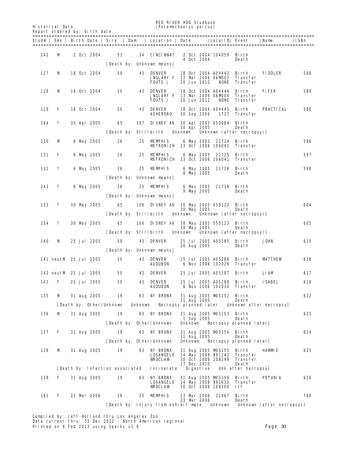Historical Data (*Potamochoerus porcus*)

RED RIVER HOG Studbook<br>
(Potamochoerus porcus) (Reduction (Reduction of the Studbook)

4 Oct 2004

**NONE** Transfer

**JNGLARY F 13 Mar 2006 06MD03**<br>FOITS J 20 Jun 2012 NONE

Stud# | Sex | Birth Date | Sire | Dam | Location | Date |LocalID| Event |Name |ISBn =======================================================================================================

127 M 18 Oct 2004 50 43 DENVER 18 Oct 2004 A04443 Birth FIDDLER 588

242 M 2 0ct 2004 53 34 CINCINNAT 2 0ct 2004 104059 Birth<br>4 0ct 2004 104059 Birth

[Death by: Unknown means]

|  | Report ordered by: birth date |  |  |
|--|-------------------------------|--|--|
|  |                               |  |  |
|  |                               |  |  |

Compiled by: Jeff Holland thru Los Angeles Zoo Data current thru: 31 Dec 2012 - North American regional 128 M 18 Oct 2004 50 43 DENVER 18 Oct 2004 A04444 Birth FIFER 589 JNGLARY F 13 Mar 2006 06M004 Transfer FOUTS J 20 Jun 2012 NONE Transfer 129 F 18 Oct 2004 50 43 DENVER 18 Oct 2004 A04445 Birth PRACTICAL 590 ASHEBORO 30 Sep 2006 1737 Transfer 144 ? 30 Apr 2005 65 107 DISNEY AK 30 Apr 2005 050084 Birth 30 Apr 2005<br>Death by: Stillbirth Unknown Unkno Unknown (after necropsy)] 130 M 6 May 2005 26 25 MEMPHIS 6 May 2005 21724 Birth 596 METRORICH 23 Oct 2006 106042 Transfer 131 F 6 May 2005 26 25 MEMPHIS 6 May 2005 21725 Birth 597 METRORICH 23 Oct 2006 106041 Transfer 132 ? 6 May 2005 26 25 MEMPHIS 6 May 2005 21726 Birth 598 8 May 2005 Death [Death by: Unknown means] 243 ? 6 May 2005 26 25 MEMPHIS 6 May 2005 21739 Birth 9 May 2005 Death [Death by: Unknown means] 133 ? 30 May 2005 65 106 DISNEY AK 30 May 2005 050122 Birth 604 30 May 2005 Death [Death by: Stillbirth Unknown Unknown (after necropsy)] 134 ? 30 May 2005 65 106 DISNEY AK 30 May 2005 050123 Birth 605 30 May 2005 Death [Death by: Stillbirth Unknown Unknown (after necropsy)] 140 M 25 Jul 2005 50 43 DENVER 25 Jul 2005 A05285 Birth JOHN 615 26 Aug 2005 [Death by: Unknown means] 141 neutM 25 Jul 2005 50 43 DENVER 25 Jul 2005 A05286 Birth MATTHEW 616 6 Nov 2006 102029 Transfer 142 neutM 25 Jul 2005 50 43 DENVER 25 Jul 2005 A05287 Birth LIAM 617 143 F 25 Jul 2005 50 43 DENVER 25 Jul 2005 A05288 Birth ISABEL 618 6 Nov 2006 102030 Transfer 135 M 31 Aug 2005 19 63 NY BRONX 31 Aug 2005 M05152 Birth 622 31 Aug 2005 Death [Death by: Other/Unknown Unknown Necropsy planned later Unknown after necropsy] 136 M 31 Aug 2005 19 63 NY BRONX 31 Aug 2005 M05153 Birth 623 1 Sep 2005<br>1 Sep 2005 1 Sep 2005<br>Neath by: Other/Unknown Unknown Ne Unknown Necropsy planned later] 137 F 31 Aug 2005 19 63 NY BRONX 31 Aug 2005 M05154 Birth 624 31 Aug 2005 Death Necropsy planned laterl 138 M 31 Aug 2005 19 63 NY BRONX 31 Aug 2005 M05155 Birth HAMMIE 625 LOSANGELE 14 May 2008 991142 Transfer **WROCLAW 30 Oct 2008 208299 Transfer** 17 Dec 2010 Death<br>Incinerate Digestive Unk after necropsy] [Death by: Infection associated 139 F 31 Aug 2005 19 63 NY BRONX 31 Aug 2005 M05156 Birth PETUNIA 626 LOSANGELE 14 May 2008 991630 Transfer WROCLAW 30 Oct 2008 208300 ltf 161 F 23 Mar 2006 26 25 MEMPHIS 23 Mar 2006 21967 Birth 760 23 Mar 2006 [Death by: Injury from exhibit mate Unknown Unknown (after necropsy)]

**Printed on 9 Feb 2013 using Sparks v1.6** Page 30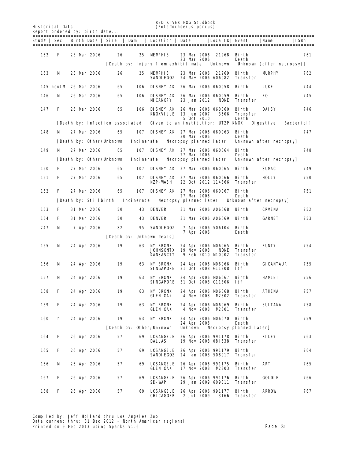RED RIVER HOG Studbook<br>
(Potamochoerus porcus)<br>
(Potamochoerus porcus) Historical Data (*Potamochoerus porcus*)

Report ordered by: birth date... ======================================================================================================= Stud# | Sex | Birth Date | Sire | Dam | Location | Date |LocalID| Event |Name |ISBn =======================================================================================================

| 162 | F | 23 Mar 2006           |            | 26                              | 25         | <b>MEMPHIS</b>                                                      |         | 23 Mar 2006 | 23 Mar 2006 21968                        | Birth<br>Death                  |                           | 761              |
|-----|---|-----------------------|------------|---------------------------------|------------|---------------------------------------------------------------------|---------|-------------|------------------------------------------|---------------------------------|---------------------------|------------------|
|     |   |                       |            |                                 |            | Death by: Injury from exhibit mate                                  |         |             | <b>Unknown</b>                           |                                 | Unknown (after necropsy)] |                  |
| 163 | м | 23 Mar 2006           |            | 26                              | 25.        | <b>MEMPHIS</b><br>SANDIEGOZ                                         |         |             | 23 Mar 2006 21969<br>24 May 2006 606082  | Birth<br>Transfer               | <b>MJRPHY</b>             | 762              |
|     |   | 145 neutM 26 Mar 2006 |            | 65                              | 106        | <b>DISNEY AK 26 Mar 2006 060058</b>                                 |         |             |                                          | Birth                           | LUKE                      | 744              |
| 146 | м | 26 Mar 2006           |            | 65                              | 106        | <b>DISNEY AK 26 Mar 2006 060059</b><br>MICANOPY                     |         | 23 Jan 2012 | <b>NONE</b>                              | Birth<br>Transfer               | BO                        | 745              |
| 147 | F | 26 Mar 2006           |            | 65                              | 106        | <b>DISNEY AK 26 Mar 2006 060060</b><br><b>KNOXVILLE</b> 13 Jun 2007 |         |             | 3506                                     | Birth<br><b>Transfer</b>        | <b>DAISY</b>              | 746              |
|     |   |                       |            | [Death by: Infection associated |            | Given to an institution: UTZP KNOX                                  |         | 5 Oct 2010  |                                          | Death                           | Di gesti ve               | <b>Bacterial</b> |
| 148 | м | 27 Mar 2006           |            | 65                              | 107        | <b>DISNEY AK 27 Mar 2006 060063</b>                                 |         |             |                                          | Birth                           |                           | 747              |
|     |   |                       |            | [Death by: Other/Unknown        | Incinerate |                                                                     |         | 30 Mar 2006 | Necropsy planned later                   | Death                           | Unknown after necropsy    |                  |
| 149 | м | 27 Mar 2006           |            | 65                              |            | 107 DISNEY AK 27 Mar 2006 060064                                    |         |             |                                          | Birth                           |                           | 748              |
|     |   |                       |            | [Death by: Other/Unknown]       | Incinerate |                                                                     |         | 27 Mar 2006 | Necropsy planned later                   | Death                           | Unknown after necropsy    |                  |
| 150 | F | 27 Mar 2006           |            | 65                              | 107        | <b>DISNEY AK 27 Mar 2006 060065</b>                                 |         |             |                                          | Birth                           | <b>SUMAC</b>              | 749              |
| 151 | F | 27 Mar 2006           |            | 65                              |            | 107 DISNEY AK 27 Mar 2006 060066                                    |         |             |                                          | Birth                           | HOLLY                     | 750              |
|     |   |                       |            |                                 |            | NZP-WASH                                                            |         |             | 22 Oct 2012 114866                       | Transfer                        |                           |                  |
| 152 | F | 27 Mar 2006           |            | 65                              |            | 107 DISNEY AK 27 Mar 2006 060067                                    |         |             |                                          | Birth                           |                           | 751              |
|     |   | [Death by: Stillbirth |            |                                 | Incinerate | Necropsy planned later                                              |         | 27 Mar 2006 |                                          | Death<br>Unknown after necropsy |                           |                  |
| 153 | F | 31 Mar 2006           |            | 50                              | 43         | <b>DENVER</b>                                                       |         |             | 31 Mar 2006 A06068                       | Birth                           | <b>CRVENA</b>             | 752              |
| 154 | F | 31 Mar 2006           |            | 50                              | 43         | DENVER                                                              |         |             | 31 Mar 2006 A06069                       | Birth                           | <b>GARNET</b>             | 753              |
| 247 | м |                       | 7 Apr 2006 | 82                              | 95         | <b>SANDIEGOZ</b>                                                    |         |             | 7 Apr 2006 506104 Birth                  |                                 |                           |                  |
|     |   |                       |            |                                 |            | [Death by: Unknown means]                                           |         | 7 Apr 2006  |                                          | Death                           |                           |                  |
| 155 | м | 24 Apr 2006           |            | 19                              |            | <b>63 NY BRONX</b>                                                  |         |             | 24 Apr 2006 MD6065                       | Birth                           | <b>RUNTY</b>              | 754              |
|     |   |                       |            |                                 |            | JOHNSONTX<br>KANSASCTY                                              |         | 19 Nov 2008 | <b>NONE</b><br>9 Feb 2010 M0002          | Transfer<br>Transfer            |                           |                  |
| 156 | м | 24 Apr 2006           |            | 19                              | 63         | <b>NY BRONX</b><br>SINGAPORE                                        |         |             | 24 Apr 2006 MD6066<br>31 Oct 2008 G11308 | Birth<br>ltf                    | <b>GIGANTAUR</b>          | 755              |
| 157 | м | 24 Apr 2006           |            | 19                              | 63         | <b>NY BRONX</b><br>SINGAPORE                                        |         |             | 24 Apr 2006 MD6067<br>31 Oct 2008 G11306 | Birth<br>ltf                    | <b>HAMLET</b>             | 756              |
| 158 | F | 24 Apr 2006           |            | 19                              | 63         | NY ERONX<br>GLEN OAK                                                |         |             | 24 Apr 2006 MD6068<br>4 Nov 2008 MP302   | Birth<br>Transfer               | <b>ATHENA</b>             | 757              |
| 159 | F | 24 Apr 2006           |            | 19                              | 63         | <b>NY BRONX</b><br><b>GLEN OAK</b>                                  |         |             | 24 Apr 2006 MD6069<br>4 Nov 2008 M2301   | Birth<br>Transfer               | <b>SULTANA</b>            | 758              |
| 160 | ? | 24 Apr 2006           |            | 19                              | 63         | <b>NY BRONX</b>                                                     |         |             | 24 Apr 2006 MD6070                       | Birth                           |                           | 759              |
|     |   |                       |            | [Death by:                      |            | Other/Unknown                                                       | Unknown | 24 Apr 2006 |                                          | Death<br>Necropsy planned later |                           |                  |
| 164 | F | 26 Apr 2006           |            | 57                              | 69         | <b>LOSANGELE</b><br>DALLAS                                          |         |             | 26 Apr 2006 991178<br>19 Nov 2008 08J638 | Birth<br>Transfer               | RILEY                     | 763              |
| 165 | F | 26 Apr 2006           |            | 57                              | 69         | <b>LOSANGELE</b><br><b>SANDIEGOZ</b>                                |         |             | 26 Apr 2006 991179<br>24 Jan 2008 508017 | Birth<br>Transfer               |                           | 764              |
| 166 | M | 26 Apr 2006           |            | 57                              | 69         | <b>LOSANGELE</b><br><b>GLEN OAK</b>                                 |         |             | 26 Apr 2006 991175<br>17 Nov 2008 M2303  | Birth<br>Transfer               | ART                       | 765              |
| 167 | F | 26 Apr 2006           |            | 57                              | 69         | <b>LOSANGELE</b><br>SD-WAP                                          |         |             | 26 Apr 2006 991176<br>29 Jan 2009 609011 | Birth<br>Transfer               | <b>GOLDIE</b>             | 766              |
| 168 | F | 26 Apr 2006           |            | 57                              | 69         | <b>LOSANGELE</b><br>CHICAGOBR                                       |         | 2 Jul 2009  | 26 Apr 2006 991177<br>3166               | Birth<br>Transfer               | <b>ARROW</b>              | 767              |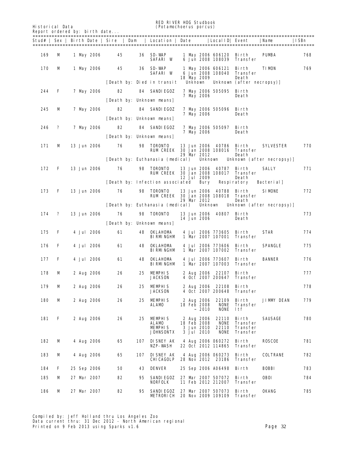| <b>Historical Data</b> |              | Report ordered by: birth date |                                       |     | <b>RED RIVER HDG Studbook</b><br>( <i>Potamochoerus porcus</i> ) |                                                       |                                                           |                                                         |                           |      |
|------------------------|--------------|-------------------------------|---------------------------------------|-----|------------------------------------------------------------------|-------------------------------------------------------|-----------------------------------------------------------|---------------------------------------------------------|---------------------------|------|
|                        |              |                               | Stud#   Sex   Birth Date   Sire   Dam |     | Location   Date                                                  |                                                       | Local ID Event                                            |                                                         | Name                      | ISBn |
| 169                    | м            | 1 May 2006                    | 45                                    | 36  | SD-WAP<br>SAFARI W                                               |                                                       | 1 May 2006 606120<br>6 Jun 2008 108039                    | Birth<br>Transfer                                       | <b>PUMBA</b>              | 768  |
| 170                    | м            | 1 May 2006                    | 45                                    | 36  | SD-WAP<br>SAFARI W<br>[Death by: Died in transit                 | 18 May 2009<br><b>Unknown</b>                         | 1 May 2006 606121<br>6 Jun 2008 108040                    | Birth<br>Transfer<br>Death<br>Unknown (after necropsy)] | <b>TIMON</b>              | 769  |
| 244                    | F            | 7 May 2006                    | 82                                    | 84  | SANDIEGOZ                                                        |                                                       | 7 May 2006 505095 Birth                                   |                                                         |                           |      |
|                        |              |                               |                                       |     | [Death by: Unknown means]                                        | 7 May 2006                                            |                                                           | Death                                                   |                           |      |
| 245                    | м            | 7 May 2006                    | 82                                    |     | <b>84 SANDIEGOZ</b>                                              |                                                       | 7 May 2006 505096                                         | Birth                                                   |                           |      |
|                        |              |                               |                                       |     | [Death by: Unknown means]                                        | 7 May 2006                                            |                                                           | Death                                                   |                           |      |
| 246                    | ?            | 7 May 2006                    | 82                                    | 84  | SANDIEGOZ                                                        | 7 May 2006                                            | 7 May 2006 505097                                         | Birth<br>Death                                          |                           |      |
|                        |              |                               |                                       |     | [Death by: Unknown means]                                        |                                                       |                                                           |                                                         |                           |      |
| 171                    | м            | 13 Jun 2006                   | 76                                    | 98  | <b>TORONTO</b><br>RUM CREEK                                      | 29 Mar 2012                                           | 13 Jun 2006 40786<br>30 Jan 2008 108016                   | Birth<br>Transfer<br>Death                              | <b>SYLVESTER</b>          | 770  |
|                        |              |                               |                                       |     | [Death by: Euthanasia (medical)                                  |                                                       | Unknown                                                   |                                                         | Unknown (after necropsy)  |      |
| 172                    | F            | <b>13 Jun 2006</b>            | 76                                    | 98  | <b>TORONTO</b><br>RUM CREEK                                      | 13 Jun 2006<br><b>12 Jul 2009</b>                     | 40787<br>30 Jan 2008 108017                               | Birth<br>Transfer<br>Death                              | SALLY                     | 771  |
|                        |              |                               |                                       |     | [Death by: Infection associated]                                 |                                                       | <b>Bury</b>                                               | <b>Respiratory</b>                                      | <b>Bacterial</b>          |      |
| 173                    | F            | 13 Jun 2006                   | 76                                    | 98  | <b>TORONTO</b><br>RUM CREEK                                      | 29 Mar 2012                                           | 13 Jun 2006 40788<br>30 Jan 2008 108018                   | Birth<br>Transfer<br>Death                              | <b>SIMONE</b>             | 772  |
| 174                    | $\mathbf{r}$ | 13 Jun 2006                   | 76                                    | 98  | [Death by: Euthanasia (medical)<br>TORONTO                       |                                                       | Unknown<br>13 Jun 2006 40807 Birth                        |                                                         | Unknown (after necropsy)] | 773  |
|                        |              |                               |                                       |     | [Death by: Unknown means]                                        | 14 Jun 2006                                           |                                                           | Death                                                   |                           |      |
| 175                    | F            | 4 Jul 2006                    | 61                                    | 48  | <b>OKLAHDMA</b>                                                  |                                                       | 4 Jul 2006 773605                                         | Birth                                                   | STAR                      | 774  |
|                        |              |                               |                                       |     | BIRMINGHM                                                        |                                                       | 1 Mar 2007 107001                                         | Transfer                                                |                           |      |
| 176                    | F            | <b>4 Jul 2006</b>             | 61                                    | 48  | OKLAHDMA<br><b>BI RMI NGHM</b>                                   |                                                       | 4 Jul 2006 773606<br>1 Mar 2007 107002                    | Birth<br>Transfer                                       | <b>SPANGLE</b>            | 775  |
| 177                    | F            | <b>4 Jul 2006</b>             | 61                                    | 48  | <b>OKLAHDMA</b><br>BIRMINGHM                                     |                                                       | 4 Jul 2006 773607<br>1 Mar 2007 107003                    | Birth<br>Transfer                                       | <b>BANNER</b>             | 776  |
| 178                    | м            | 2 Aug 2006                    | 26                                    | 25  | <b>MEMPHIS</b><br>JACKSON                                        |                                                       | 2 Aug 2006 22107 Birth<br>4 Oct 2007 200647               | Transfer                                                |                           | 777  |
| 179                    | м            | 2 Aug 2006                    | 26                                    | 25  | MEMPHIS<br><b>JACKSON</b>                                        |                                                       | 2 Aug 2006 22108 Birth<br>4 Oct 2007 200648               | Transfer                                                |                           | 778  |
| 180                    | м            | 2 Aug 2006                    | 26                                    | 25  | <b>MEMPHIS</b><br>ALAMD                                          | 2 Aug 2006<br>18 Feb 2008                             | 22109<br><b>NONE</b><br><b>NONE</b><br>$~10^{-2010}$      | Birth<br>Transfer<br>ltf                                | <b>JIMMY DEAN</b>         | 779  |
| 181                    | F            | 2 Aug 2006                    | 26                                    | 25  | <b>MEMPHIS</b><br>ALAMD<br><b>MEMPHIS</b><br><b>JOHNSONTX</b>    | 2 Aug 2006<br>18 Ғеб 2008<br>3 Jun 2010<br>3 Jul 2010 | 22110<br><b>NONE</b><br>22110<br><b>NONE</b>              | Birth<br>Transfer<br><b>Transfer</b><br><b>Transfer</b> | SAUSAGE                   | 780  |
| 182                    | м            | 4 Aug 2006                    | 65                                    |     | <b>107 DISNEY AK</b><br>NZP-WASH                                 |                                                       | 4 Aug 2006 060272<br>22 Oct 2012 114865                   | Birth<br>Transfer                                       | <b>ROSCOE</b>             | 781  |
| 183                    | М            | 4 Aug 2006                    | 65                                    | 107 | <b>DISNEY AK</b><br><b>CHICAGOLP</b>                             |                                                       | 4 Aug 2006 060273<br>28 Nov 2012 23186                    | Birth<br>Transfer                                       | <b>COLTRANE</b>           | 782  |
| 184                    | F            | 25 Sep 2006                   | 50                                    | 43  | <b>DENVER</b>                                                    |                                                       | 25 Sep 2006 A06498                                        | Birth                                                   | <b>BOBBI</b>              | 783  |
| 185                    | M            | 27 Mar 2007                   | 82                                    | 95  | <b>SANDIEGOZ</b><br>NORFOLK                                      |                                                       | 27 Mar 2007 507072<br>11 Feb 2012 212007                  | Birth<br>Transfer                                       | <b>OBOI</b>               | 784  |
| 186                    | М            | 27 Mar 2007                   | 82                                    | 95  | SANDIEGOZ                                                        |                                                       | 27 Mar 2007 507073<br><b>METRORICH 20 Nov 2009 109109</b> | Birth<br>Transfer                                       | <b>OKANG</b>              | 785  |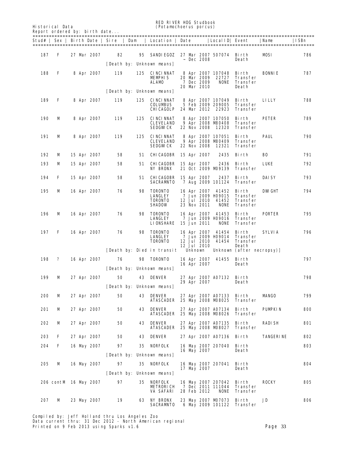| <b>Historical Data</b>        | (Potamochoerus porcus) |
|-------------------------------|------------------------|
| Report ordered by: birth date |                        |

### **RED RIVER HOG Studbook**<br>(*Potamochoerus porcus*)

|     |                       |  |                   | Stud#   Sex   Birth Date   Sire   Dam |     | Location   Date                                                     |                            |                   | Local ID  Event                                                |                                           | Name           | ISBn |
|-----|-----------------------|--|-------------------|---------------------------------------|-----|---------------------------------------------------------------------|----------------------------|-------------------|----------------------------------------------------------------|-------------------------------------------|----------------|------|
| 187 | F                     |  | 27 Mar 2007       | 82                                    |     | 95 SANDIEGOZ 27 Mar 2007 507074 Birth<br>[Death by: Unknown means]  |                            | $~\sim~$ Dec 2008 |                                                                | Death                                     | <b>MISI</b>    | 786  |
| 188 | F                     |  | <b>8 Apr 2007</b> | 119                                   | 125 | <b>CINCINNAT</b><br><b>MEMPHIS</b><br><b>ALAMD</b>                  | 20 Mar 2009<br>20 Mar 2010 | <b>7 Dec 2009</b> | 8 Apr 2007 107048 Birth<br>22727<br><b>NONE</b>                | Transfer<br>Transfer<br>Death             | <b>BONNIE</b>  | 787  |
|     |                       |  |                   |                                       |     | [Death by: Unknown means]                                           |                            |                   |                                                                |                                           |                |      |
| 189 | F                     |  | <b>8 Apr 2007</b> | 119                                   | 125 | <b>CINCINNAT</b><br><b>COLUMBUS</b><br><b>CHICAGOLP</b>             |                            |                   | 8 Apr 2007 107049<br>5 Feb 2009 209005<br>24 Mar 2012 22923    | Birth<br>Transfer<br><b>Transfer</b>      | <b>LILLY</b>   | 788  |
| 190 | M                     |  | <b>8 Apr 2007</b> | 119                                   |     | <b>125 CINCINNAT</b><br><b>CLEVELAND</b><br>SEDGWCK                 |                            |                   | 8 Apr 2007 107050<br>9 Apr 2008 M60408<br>22 Nov 2008 12320    | Birth<br>Transfer<br>Transfer             | <b>PETER</b>   | 789  |
| 191 | M                     |  | <b>8 Apr 2007</b> | 119                                   | 125 | <b>CINCINNAT</b><br><b>CLEVELAND</b><br><b>SEDGWCK</b>              | 22 Nov 2008                |                   | 8 Apr 2007 107051<br>9 Apr 2008 M80409<br>12321                | Birth<br>Transfer<br>Transfer             | <b>PAUL</b>    | 790  |
| 192 | M                     |  | 15 Apr 2007       | 58                                    | 51  | CHICAGOBR                                                           | <b>15 Apr 2007</b>         |                   | 2435                                                           | Birth                                     | BO             | 791  |
| 193 | M                     |  | 15 Apr 2007       | 58                                    |     | <b>51 CHICAGOBR</b><br><b>NY BRONX</b>                              | 15 Apr 2007                |                   | 2436<br>21 Oct 2009 MD9139                                     | Birth<br>Transfer                         | LUKE           | 792  |
| 194 | F                     |  | 15 Apr 2007       | 58                                    |     | <b>51 CHICAGOBR</b><br>SACRAMITO                                    | 15 Apr 2007                |                   | 2437<br>7 Aug 2009 101124                                      | Birth<br>Transfer                         | DAISY          | 793  |
| 195 | M                     |  | 16 Apr 2007       | 76                                    | 98  | <b>TORONTO</b><br><b>LANGLEY</b><br><b>TORONTO</b><br><b>SHADOW</b> | 12 Jul 2010<br>23 Nov 2011 |                   | 16 Apr 2007 41452<br>7 Jun 2009 H09015<br>41452<br><b>NONE</b> | Birth<br>Transfer<br>Transfer<br>Transfer | <b>DWGHT</b>   | 794  |
| 196 | M                     |  | 16 Apr 2007       | 76                                    | 98  | <b>TORONTO</b><br><b>LANGLEY</b><br><b>LIONSHARE</b>                | 15 Jun 2011                |                   | 16 Apr 2007 41453<br>7 Jun 2009 H09016<br><b>NONE</b>          | Birth<br>Transfer<br>Transfer             | <b>PORTER</b>  | 795  |
| 197 | F                     |  | 16 Apr 2007       | 76                                    | 98  | <b>TORONTO</b><br><b>LANGLEY</b><br><b>TORONTO</b>                  | 12 Jul 2010<br>12 Jul 2010 |                   | 16 Apr 2007 41454<br>7 Jun 2009 H09014<br>41454                | Birth<br>Transfer<br>Transfer<br>Death    | <b>SYLVIA</b>  | 796  |
|     |                       |  |                   |                                       |     | [Death by: Died in transit                                          | Unknown                    |                   |                                                                | Unknown (after necropsy)]                 |                |      |
| 198 | ?                     |  | 16 Apr 2007       | 76                                    | 98  | <b>TORONTO</b><br>[Death by: Unknown means]                         | 16 Apr 2007                |                   | 16 Apr 2007 41455 Birth                                        | Death                                     |                | 797  |
| 199 | M                     |  | 27 Apr 2007       | 50                                    |     | <b>43 DENVER</b>                                                    |                            |                   | 27 Apr 2007 A07132                                             | Birth                                     |                | 798  |
|     |                       |  |                   |                                       |     | [Death by: Unknown means]                                           | 29 Apr 2007                |                   |                                                                | Death                                     |                |      |
| 200 | M                     |  | 27 Apr 2007       | 50                                    |     | <b>43 DENVER</b><br><b>ATASCADER 25 May 2008 MD8025</b>             |                            |                   | 27 Apr 2007 A07133                                             | Birth<br>Transfer                         | <b>MANGO</b>   | 799  |
| 201 | M                     |  | 27 Apr 2007       | 50                                    |     | <b>43 DENVER</b><br>ATASCADER                                       |                            |                   | 27 Apr 2007 A07134<br>25 May 2008 MD8026                       | Birth<br>Transfer                         | <b>PUMPKIN</b> | 800  |
| 202 | M                     |  | 27 Apr 2007       | 50                                    | 43  | DENVER<br>ATASCADER                                                 |                            |                   | 27 Apr 2007 A07135<br>25 May 2008 MD8027                       | Birth<br>Transfer                         | RADISH         | 801  |
| 203 | F                     |  | 27 Apr 2007       | 50                                    |     | <b>43 DENVER</b>                                                    |                            |                   | 27 Apr 2007 A07136                                             | Birth                                     | TANGERINE      | 802  |
| 204 | F                     |  | 16 May 2007       | 97                                    | 35  | NORFOLK                                                             | 16 May 2007                |                   | 16 May 2007 207040                                             | Birth<br>Death                            |                | 803  |
|     |                       |  |                   |                                       |     | [Death by: Unknown means]                                           |                            |                   |                                                                |                                           |                |      |
| 205 | M                     |  | 16 May 2007       | 97                                    |     | 35 NORFOLK                                                          | 17 May 2007                |                   | 16 May 2007 207041                                             | Birth<br>Death                            |                | 804  |
|     |                       |  |                   |                                       |     | [Death by: Unknown neans]                                           |                            |                   |                                                                |                                           |                |      |
|     | 206 contM 16 May 2007 |  |                   | 97                                    | 35  | NORFOLK<br>METRORICH<br>VA SAFARI                                   | 28 Feb 2012                |                   | 16 May 2007 207042<br>7 Dec 2011 111044<br><b>NONE</b>         | Birth<br>Transfer<br>Transfer             | <b>ROCKY</b>   | 805  |
| 207 | M                     |  | 23 May 2007       | 19                                    | 63  | <b>NY BRONX</b><br>SACRAMITO                                        |                            |                   | 23 May 2007 MD7073<br>6 May 2009 101122                        | Birth<br>Transfer                         | JD             | 806  |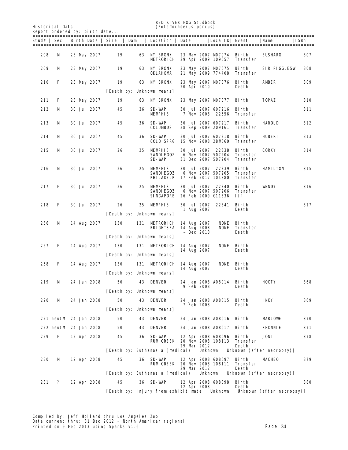Historical Data (*Potamochoerus porcus*)

**RED RIVER HOG Studbook**<br>(*Potamochoerus porcus*)

|     | Report ordered by: birth date |  |                    |            |     |                                                         |  |                                  |                                                                     |                                 |                           |     |
|-----|-------------------------------|--|--------------------|------------|-----|---------------------------------------------------------|--|----------------------------------|---------------------------------------------------------------------|---------------------------------|---------------------------|-----|
|     |                               |  |                    |            |     | Stud#   Sex   Birth Date   Sire   Dam   Location   Date |  |                                  | Local ID  Event                                                     |                                 | Name<br>  ISBn            |     |
| 208 | M                             |  | 23 May 2007        | 19         | 63  | <b>NY BRONX</b><br>METRORICH                            |  |                                  | 23 May 2007 MD7074 Birth                                            | 29 Apr 2009 109057 Transfer     | <b>BUSHARO</b>            | 807 |
| 209 | M                             |  | 23 May 2007        | 19         | 63  | <b>NY BRONX</b><br>OKLAHDMA                             |  |                                  | 23 May 2007 MD7075<br>21 May 2009 774408                            | Birth<br>Transfer               | <b>SIR PIGGLESW</b>       | 808 |
| 210 | F                             |  | 23 May 2007        | 19         | 63  | <b>NY BRONX</b>                                         |  | 20 Apr 2010                      | 23 May 2007 MD7076                                                  | Birth<br>Death                  | AMBER                     | 809 |
|     |                               |  |                    |            |     | [Death by: Unknown means]                               |  |                                  |                                                                     |                                 |                           |     |
| 211 | F                             |  | 23 May 2007        | 19         | 63  | <b>NY BRONX</b>                                         |  |                                  | 23 May 2007 MD7077                                                  | Birth                           | <b>TOPAZ</b>              | 810 |
| 212 | м                             |  | <b>30 Jul 2007</b> | 45         | 36  | SD-WAP<br><b>MEMPHIS</b>                                |  |                                  | <b>30 Jul 2007 607216</b><br>7 Nov 2008 22656                       | Birth<br>Transfer               |                           | 811 |
| 213 | м                             |  | <b>30 Jul 2007</b> | 45         | 36  | SD-WAP<br><b>COLUMBUS</b>                               |  |                                  | 30 Jul 2007 607217<br>28 Sep 2009 209161                            | Birth<br><b>Transfer</b>        | <b>HAROLD</b>             | 812 |
| 214 | м                             |  | <b>30 Jul 2007</b> | 45         | 36  | SD-WAP<br><b>COLO SPRG</b>                              |  |                                  | <b>30 Jul 2007 607218</b><br>15 Nov 2008 28MD60                     | Birth<br>Transfer               | HUBERT                    | 813 |
| 215 | м                             |  | <b>30 Jul 2007</b> | 26         | 25  | <b>MEMPHIS</b><br>SANDIEGOZ                             |  |                                  | 30 Jul 2007 22338<br>6 Nov 2007 507204                              | Birth<br>Transfer               | CORKY                     | 814 |
|     |                               |  |                    |            |     | SD-WAP                                                  |  |                                  | 31 Dec 2007 507204                                                  | Transfer                        |                           |     |
| 216 | M                             |  | <b>30 Jul 2007</b> | 26         | 25. | <b>MEMPHIS</b><br><b>SANDIEGOZ</b><br>PHILADELP         |  |                                  | <b>30 Jul 2007 22339</b><br>6 Nov 2007 507205<br>17 Feb 2012 104880 | Birth<br>Transfer<br>Transfer   | <b>HAMILTON</b>           | 815 |
| 217 | F                             |  | <b>30 Jul 2007</b> | 26         | 25  | <b>MEMPHIS</b><br><b>SANDIEGOZ</b><br><b>SINGAPORE</b>  |  |                                  | <b>30 Jul 2007 22340</b><br>6 Nov 2007 507206<br>26 Feb 2009 G11336 | Birth<br><b>Transfer</b><br>ltf | <b>VENDY</b>              | 816 |
| 218 | F                             |  | <b>30 Jul 2007</b> | 26         | 25  | <b>MEMPHIS</b>                                          |  | <b>30 Jul 2007</b><br>1 Aug 2007 | 22341                                                               | Birth<br>Death                  |                           | 817 |
|     |                               |  |                    |            |     | [Death by: Unknown means]                               |  |                                  |                                                                     |                                 |                           |     |
| 256 | M                             |  | 14 Aug 2007        | <b>130</b> | 131 | <b>METRORICH 14 Aug 2007</b><br>BRIGHISFA               |  | 14 Aug 2008                      | <b>NONE</b><br><b>NONE</b>                                          | Birth<br>Transfer               |                           |     |
|     |                               |  |                    |            |     | [Death by: Unknown means]                               |  | $~\sim$ Dec 2010                 |                                                                     | Death                           |                           |     |
| 257 | F                             |  | 14 Aug 2007        | <b>130</b> | 131 | <b>METRORICH 14 Aug 2007</b>                            |  |                                  | <b>NONE</b>                                                         | Birth                           |                           |     |
|     |                               |  |                    |            |     | [Death by: Unknown means]                               |  | 14 Aug 2007                      |                                                                     | Death                           |                           |     |
| 258 | F                             |  | 14 Aug 2007        | <b>130</b> | 131 | <b>METRORICH 14 Aug 2007</b>                            |  |                                  | <b>NONE</b>                                                         | Birth                           |                           |     |
|     |                               |  |                    |            |     | Death by: Unknown means                                 |  | 14 Aug 2007                      |                                                                     | Death                           |                           |     |
|     | м                             |  |                    |            |     | <b>43 DENVER</b>                                        |  |                                  |                                                                     |                                 | HOOTY                     | 868 |
| 219 |                               |  | 24 Jan 2008        | 50         |     | [Death by: Unknown means]                               |  | 9 Feb 2008                       | 24 Jan 2008 A08014 Birth                                            | Death                           |                           |     |
| 220 | м                             |  | 24 Jan 2008        | 50         | 43  | <b>DENVER</b>                                           |  |                                  | 24 Jan 2008 A08015                                                  | Birth                           | <b>INKY</b>               | 869 |
|     |                               |  |                    |            |     | [Death by: Unknown means]                               |  | 7 Feb 2008                       |                                                                     | Death                           |                           |     |
|     | 221 neutM 24 Jan 2008         |  |                    | 50         |     | <b>43 DENVER</b>                                        |  |                                  | 24 Jan 2008 A08016 Birth                                            |                                 | <b>MARLOVE</b>            | 870 |
|     | 222 neutM 24 Jan 2008         |  |                    | 50         | 43  | <b>DENVER</b>                                           |  |                                  | 24 Jan 2008 A08017                                                  | <b>Birth</b>                    | <b>RHONNIE</b>            | 871 |
| 229 | F                             |  | 12 Apr 2008        | 45         | 36  | SD-WAP                                                  |  |                                  | 12 Apr 2008 608096                                                  | Birth                           | JONI                      | 878 |
|     |                               |  |                    |            |     | RUM CREEK                                               |  | 29 Mar 2012                      | 20 Nov 2008 108113                                                  | Transfer<br>Death               |                           |     |
|     |                               |  |                    |            |     | [Death by: Euthanasia (medical)                         |  | <b>Unknown</b>                   |                                                                     |                                 | Unknown (after necropsy)] |     |
| 230 | M                             |  | 12 Apr 2008        | 45         | 36  | SD-WAP<br>RUM CREEK                                     |  | 29 Mar 2012                      | 12 Apr 2008 608097<br>20 Nov 2008 108111                            | Birth<br>Transfer<br>Death      | MCHEO                     | 879 |
|     |                               |  |                    |            |     | [Death by: Euthanasia (medical)                         |  | <b>Unknown</b>                   |                                                                     |                                 | Unknown (after necropsy)] |     |
| 231 | ?                             |  | 12 Apr 2008        | 45         | 36  | SD-WAP                                                  |  |                                  | 12 Apr 2008 608098                                                  | Birth                           |                           | 880 |
|     |                               |  |                    |            |     | [Death by: Injury from exhibit mate                     |  | 12 Apr 2008                      | <b>Unknown</b>                                                      | Death                           | Unknown (after necropsy)] |     |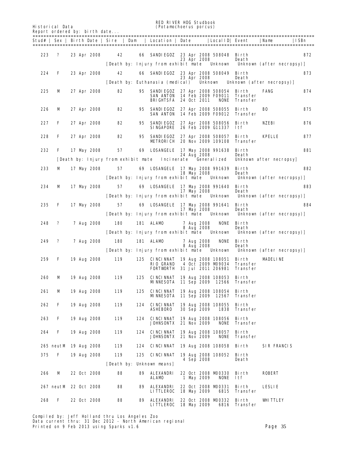RED RIVER HOG Studbook<br>
(Potamochoerus porcus)<br>
(Potamochoerus porcus)

Historical Data (*Potamochoerus porcus*)

| Report ordered by: birth date |  |  |  |  |  |
|-------------------------------|--|--|--|--|--|
|-------------------------------|--|--|--|--|--|

| ======= |                       |  |                    |     |     | Stud#   Sex   Birth Date   Sire   Dam   Location   Date     LocalID   Event                        |  |                                 |                                   |                                      | Name<br>  ISBn                                                        |     |
|---------|-----------------------|--|--------------------|-----|-----|----------------------------------------------------------------------------------------------------|--|---------------------------------|-----------------------------------|--------------------------------------|-----------------------------------------------------------------------|-----|
| 223     | ?                     |  | 23 Apr 2008        | 42  |     | 66 SANDIEGOZ 23 Apr 2008 508048 Birth                                                              |  | 23 Apr 2008                     |                                   | Death                                |                                                                       | 872 |
|         |                       |  |                    |     |     |                                                                                                    |  |                                 |                                   |                                      | [Death by: Injury from exhibit mate Unknown Unknown (after necropsy)] |     |
| 224     | F                     |  | 23 Apr 2008        | 42  | 66  | SANDIEGOZ 23 Apr 2008 508049 Birth                                                                 |  | 23 Apr 2008                     |                                   | Death                                |                                                                       | 873 |
|         |                       |  |                    |     |     | [Death by: Euthanasia (medical)                                                                    |  |                                 |                                   |                                      | Unknown Unknown (after necropsy)]                                     |     |
| 225     | М                     |  | 27 Apr 2008        | 82  | 95  | SANDIEGOZ 27 Apr 2008 508054 Birth<br>SAN ANTON 14 Feb 2009 F09011<br><b>BRIGHTSFA</b> 24 Oct 2011 |  |                                 | <b>NONE</b>                       | Transfer<br>Transfer                 | FANG                                                                  | 874 |
| 226     | M                     |  | 27 Apr 2008        | 82  | 95  | SANDIEGOZ 27 Apr 2008 508055<br><b>SAN ANTON 14 Feb 2009 F09012</b>                                |  |                                 |                                   | Birth<br>Transfer                    | вo                                                                    | 875 |
| 227     | F                     |  | 27 Apr 2008        | 82  |     | 95 SANDIEGOZ 27 Apr 2008 508056 Birth<br>SINGAPORE 26 Feb 2009 G11337 1tf                          |  |                                 |                                   |                                      | NZEBI                                                                 | 876 |
| 228     | F                     |  | 27 Apr 2008        | 82  | 95  | SANDIEGOZ 27 Apr 2008 508057 Birth<br><b>METRORICH 20 Nov 2009 109108 Transfer</b>                 |  |                                 |                                   |                                      | KPELLE                                                                | 877 |
| 232     | F                     |  | 17 May 2008        | 57  |     | 69 LOSANGELE 17 May 2008 991638                                                                    |  |                                 |                                   | Birth                                |                                                                       | 881 |
|         |                       |  |                    |     |     | [Death by: Injury from exhibit mate Incinerate Generalized                                         |  | 24 Aug 2008                     |                                   | Death                                | Unknown after necropsyl                                               |     |
| 233     | м                     |  | 17 May 2008        | 57  |     | 69 LOSANGELE 17 May 2008 991639                                                                    |  |                                 |                                   | Birth                                |                                                                       | 882 |
|         |                       |  |                    |     |     | [Death by: Injury from exhibit mate Unknown                                                        |  | 18 May 2008                     |                                   | Death                                | Unknown (after necropsy)]                                             |     |
| 234     | м                     |  | 17 May 2008        | 57  |     | 69 LOSANGELE 17 May 2008 991640                                                                    |  |                                 |                                   | Birth                                |                                                                       | 883 |
|         |                       |  |                    |     |     |                                                                                                    |  | 17 May 2008                     |                                   | Death                                | [Death by: Injury from exhibit mate Unknown Unknown (after necropsy)] |     |
| 235     | F                     |  | 17 May 2008        | 57  |     | 69 LOSANGELE 17 May 2008 991641 Birth                                                              |  |                                 |                                   |                                      |                                                                       | 884 |
|         |                       |  |                    |     |     |                                                                                                    |  | 17 May 2008                     |                                   | Death                                | [Death by: Injury from exhibit mate Unknown Unknown (after necropsy)] |     |
| 248     | ?                     |  | 7 Aug 2008         | 180 |     | <b>181 ALAMD</b>                                                                                   |  | 7 Aug 2008                      | <b>NONE</b>                       | Birth                                |                                                                       |     |
|         |                       |  |                    |     |     | [Death by: Injury from exhibit mate Unknown                                                        |  | 8 Aug 2008                      |                                   | Death                                | Unknown (after necropsy)]                                             |     |
| 249     | ?                     |  | 7 Aug 2008         | 180 |     | <b>181 ALAMD</b>                                                                                   |  | 7 Aug 2008<br><b>8 Aug 2008</b> |                                   | <b>NONE</b> Birth<br>Death           |                                                                       |     |
|         |                       |  |                    |     |     |                                                                                                    |  |                                 |                                   |                                      | [Death by: Injury from exhibit mate Unknown Unknown (after necropsy)] |     |
| 259     | F                     |  | <b>19 Aug 2008</b> | 119 |     | 125 CINCINNAT 19 Aug 2008 108051<br><b>RIO GRAND</b><br><b>FORTWORTH 31 Jul 2011 206981</b>        |  |                                 | 4 Oct 2009 MD9034                 | Birth<br>Transfer<br><b>Transfer</b> | <b>MDELINE</b>                                                        |     |
| 260     | M                     |  | 19 Aug 2008        | 119 | 125 | CINCINNAT 19 Aug 2008 108053 Birth<br><b>MNNESOTA 11 Sep 2009 12566 Transfer</b>                   |  |                                 |                                   |                                      |                                                                       |     |
| 261     | M                     |  | 19 Aug 2008        | 119 | 125 | <b>CINCINNAT</b><br><b>MINNESOTA 11 Sep 2009 12567</b>                                             |  |                                 | 19 Aug 2008 108054                | Birth<br>Transfer                    |                                                                       |     |
| 262     | F                     |  | 19 Aug 2008        | 119 | 124 | <b>CINCINNAT</b><br><b>ASHEBORO</b>                                                                |  | 30 Sep 2009                     | 19 Aug 2008 108055<br>1838        | Birth<br>Transfer                    |                                                                       |     |
| 263     | F                     |  | 19 Aug 2008        | 119 | 124 | <b>CINCINNAT</b><br>JOHNSONTX                                                                      |  | 21 Nov 2009                     | 19 Aug 2008 108056<br><b>NONE</b> | Birth<br><b>Transfer</b>             |                                                                       |     |
| 264     | F                     |  | 19 Aug 2008        | 119 | 124 | <b>CINCINNAT</b><br>JOHNSONTX                                                                      |  | 21 Nov 2009                     | 19 Aug 2008 108057<br><b>NONE</b> | Birth<br>Transfer                    |                                                                       |     |
|         | 265 neutM 19 Aug 2008 |  |                    | 119 | 124 | CINCINNAT                                                                                          |  |                                 | 19 Aug 2008 108058 Birth          |                                      | <b>SIR FRANCIS</b>                                                    |     |
| 375     | F                     |  | 19 Aug 2008        | 119 | 125 | <b>CINCINNAT</b>                                                                                   |  |                                 | 19 Aug 2008 108052                | Birth                                |                                                                       |     |
|         |                       |  |                    |     |     | [Death by: Unknown means]                                                                          |  | 4 Sep 2008                      |                                   | Death                                |                                                                       |     |
| 266     | М                     |  | 22 Oct 2008        | 88  | 89  | ALEXANDRI<br>ALAMD                                                                                 |  | 1 May 2009                      | 22 Oct 2008 M00330<br><b>NONE</b> | Birth<br>ltf                         | <b>ROBERT</b>                                                         |     |
|         | 267 neutM 22 Oct 2008 |  |                    | 88  | 89  | ALEXANDRI<br><b>LITTLEROC</b>                                                                      |  | 18 May 2009                     | 22 Oct 2008 M00331<br>6815        | Birth<br>Transfer                    | LESLIE                                                                |     |
| 268     | F                     |  | 22 Oct 2008        | 88  | 89  | ALEXANDRI<br><b>LITTLEROC</b>                                                                      |  | 18 May 2009                     | 22 Oct 2008 M00332                | Birth<br><b>6816 Transfer</b>        | WITTLEY                                                               |     |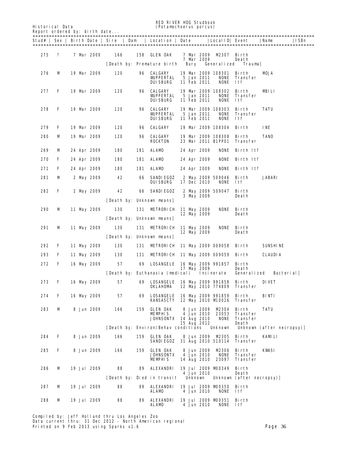RED RIVER HOG Studbook<br>
(Potamochoerus porcus) (Reduction (Reduction of the Studbook)

Historical Data (*Potamochoerus porcus*)

Stud# | Sex | Birth Date | Sire | Dam | Location | Date |LocalID| Event |Name |ISBn

=======================================================================================================

Report ordered by: birth date...

======================================================================================================= 275 ? 7 Mar 2009 166 158 GLEN OAK 7 Mar 2009 M2307 Birth 7 Mar 2009 Death<br>Bury Generalized Trauma] [Death by: Premature birth 276 M 19 Mar 2009 120 96 CALGARY 19 Mar 2009 108301 Birth MOJA WUPPERTAL 5 Jan 2011 NONE Transfer DUISBURG 11 Feb 2011 NONE ltf 277 F 19 Mar 2009 120 96 CALGARY 19 Mar 2009 108302 Birth MBILI WUPPERTAL 5 Jan 2011 NONE Transfer DUISBURG 11 Feb 2011 NONE ltf 278 F 19 Mar 2009 120 96 CALGARY 19 Mar 2009 108303 Birth TATU WUPPERTAL 5 Jan 2011 NONE Transport State of the Soli Solid None 1tf  $11$  Feb  $2011$  279 F 19 Mar 2009 120 96 CALGARY 19 Mar 2009 108304 Birth INE 280 M 19 Mar 2009 120 96 CALGARY 19 Mar 2009 108308 Birth TANO ROCKTON 23 Mar 2011 B1PP01 Transfer 269 M 24 Apr 2009 180 181 ALAMO 24 Apr 2009 NONE Birth ltf 270 F 24 Apr 2009 180 181 ALAMO 24 Apr 2009 NONE Birth ltf 271 F 24 Apr 2009 180 181 ALAMO 24 Apr 2009 NONE Birth ltf 281 M 2 May 2009 42 66 SANDIEGOZ 2 May 2009 509046 Birth JABARI DUISBURG 17 Dec 2010 NONE ltf 282 F 2 May 2009 42 66 SANDIEGOZ 2 May 2009 509047 Birth 3 May 2009 [Death by: Unknown means] 290 M 11 May 2009 130 131 METRORICH 11 May 2009 NONE Birth 12 May 2009 [Death by: Unknown means] 291 M 11 May 2009 130 131 METRORICH 11 May 2009 NONE Birth<br>12 May 2009 Death 12 May 2009 [Death by: Unknown means] 292 F 11 May 2009 130 131 METRORICH 11 May 2009 009058 Birth SUNSHINE 293 F 11 May 2009 130 131 METRORICH 11 May 2009 009059 Birth CLAUDIA

| 272 | F | 16 May 2009        | 57  | 69  | <b>LOSANGELE</b>                                             |  | 17 May 2009       | 16 May 2009 991857 | Birth<br>Death  |                           |
|-----|---|--------------------|-----|-----|--------------------------------------------------------------|--|-------------------|--------------------|-----------------|---------------------------|
|     |   |                    |     |     | [Death by: Euthanasia (medical) Incinerate                   |  |                   |                    | Generalized     | <b>Bacterial</b>          |
| 273 | F | 16 May 2009        | 57  | 69  | LOSANGELE                                                    |  |                   | 16 May 2009 991858 | Birth           | DIVET                     |
|     |   |                    |     |     | OKLAHOMA                                                     |  |                   | 12 May 2010 774809 | <b>Transfer</b> |                           |
| 274 | F | 16 May 2009        | 57  | 69  | <b>LOSANGELE</b>                                             |  |                   | 16 May 2009 991859 | Birth           | BINTI                     |
|     |   |                    |     |     | KANSASCTY                                                    |  |                   | 12 May 2010 M0026  | <b>Transfer</b> |                           |
| 283 | м | <b>8 Jun 2009</b>  | 166 | 159 | <b>GLEN OAK</b>                                              |  | 8 Jun 2009        | M2304              | Birth           | TATU                      |
|     |   |                    |     |     | <b>MEMPHIS</b>                                               |  | 4 Jun 2010        |                    | 23053 Transfer  |                           |
|     |   |                    |     |     | <b>JOHNSONTX</b>                                             |  | 14 Aug 2010       | <b>NONE</b>        | <b>Transfer</b> |                           |
|     |   |                    |     |     |                                                              |  | 15 Aug 2012       |                    | Death           |                           |
|     |   |                    |     |     | [Death by: Environ/Behav conditions Unknown                  |  |                   |                    |                 | Unknown (after necropsy)] |
|     |   |                    |     |     |                                                              |  |                   |                    |                 |                           |
| 284 | F | 8 Jun 2009         | 166 | 159 | <b>GLEN OAK</b>                                              |  |                   | 8 Jun 2009 M2305   | Birth           | <b>KAMLI</b>              |
|     |   |                    |     |     | SANDIEGOZ                                                    |  |                   | 31 Aug 2010 510114 | <b>Transfer</b> |                           |
|     |   |                    |     |     |                                                              |  |                   |                    |                 |                           |
| 285 | F | 8 Jun 2009         | 166 | 159 | <b>GLEN OAK</b>                                              |  | <b>8 Jun 2009</b> | <b>M2306</b>       | Birth           | KWSI                      |
|     |   |                    |     |     | <b>JOHNSONTX</b>                                             |  | 4 Jun 2010        | <b>NONE</b>        | <b>Transfer</b> |                           |
|     |   |                    |     |     | MEMPHIS                                                      |  | 14 Aug 2010       | 23097              | <b>Transfer</b> |                           |
|     |   |                    |     |     |                                                              |  |                   |                    |                 |                           |
| 286 | м | 19 Jul 2009        | 88  | 89  | <b>ALEXANDRI</b>                                             |  |                   | 19 Jul 2009 M0349  | Birth           |                           |
|     |   |                    |     |     |                                                              |  | 4 Jun 2010        |                    | Death           |                           |
|     |   |                    |     |     | [Death by: Died in transit Unknown Unknown (after necropsy)] |  |                   |                    |                 |                           |
|     |   |                    |     |     |                                                              |  |                   |                    |                 |                           |
| 287 | м | 19 Jul 2009        | 88  | 89  | <b>ALEXANDRI</b>                                             |  |                   | 19 Jul 2009 M00350 | Birth           |                           |
|     |   |                    |     |     | <b>ALAMD</b>                                                 |  | 4 Jun 2010        | <b>NONE</b>        | - 1tf           |                           |
|     |   |                    |     |     |                                                              |  |                   |                    |                 |                           |
| 288 | м | <b>19 Jul 2009</b> | 88  | 89  | ALEXANDRI                                                    |  |                   | 19 Jul 2009 M00351 | Birth           |                           |
|     |   |                    |     |     | ALAMD                                                        |  | 4 Jun 2010        | <b>NONE</b>        | ltf             |                           |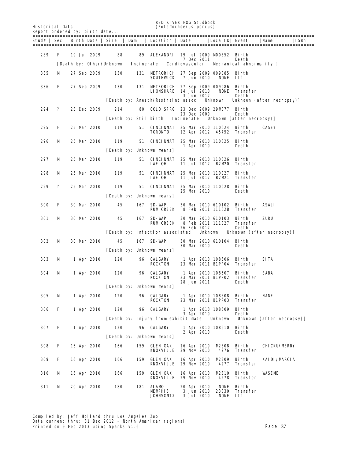RED RIVER HOG Studbook<br>
(Potamochoerus porcus)<br>
(Potamochoerus porcus)

| Report ordered by: birth date |  |  |  |  |  |
|-------------------------------|--|--|--|--|--|
|-------------------------------|--|--|--|--|--|

Historical Data (*Potamochoerus porcus*)

|     |   |  |             |                           |     | Stud#   Sex   Birth Date   Sire   Dam   Location   Date      |  |                                                | Local ID  Event                               |                            | Name                              | ISBn |
|-----|---|--|-------------|---------------------------|-----|--------------------------------------------------------------|--|------------------------------------------------|-----------------------------------------------|----------------------------|-----------------------------------|------|
|     |   |  |             |                           |     |                                                              |  |                                                |                                               |                            |                                   |      |
| 289 | F |  | 19 Jul 2009 | 88                        | 89  | ALEXANDRI 19 Jul 2009 MD0352 Birth                           |  | <b>7 Dec 2011</b>                              |                                               | Death                      |                                   |      |
|     |   |  |             | [Death by: Other/Unknown] |     | Incinerate Cardiovascular                                    |  |                                                |                                               | Mechanical abnormality l   |                                   |      |
| 335 | м |  | 27 Sep 2009 | 130                       |     | 131 METRORICH 27 Sep 2009 009085 Birth<br>SOUTHWCK           |  | 7 Jun 2010                                     | <b>NONE</b>                                   | - 1tf                      |                                   |      |
| 336 | F |  | 27 Sep 2009 | <b>130</b>                | 131 | <b>METRORICH 27 Sep 2009 009086</b><br>LIONSHARE 14 Jul 2010 |  | 3 Jun 2012                                     | NONE                                          | Birth<br>Transfer<br>Death |                                   |      |
|     |   |  |             |                           |     | [Death by: Anesth/Restraint assoc                            |  |                                                | Unknown                                       |                            | Unknown (after necropsy)]         |      |
| 294 | ? |  | 23 Dec 2009 | 214                       | 80  | <b>COLO SPRG</b> 23 Dec 2009 29M077 Birth                    |  | 23 Dec 2009                                    |                                               | Death                      |                                   |      |
|     |   |  |             |                           |     | [Death by: Stillbirth Incinerate]                            |  |                                                |                                               | Unknown (after necropsy)   |                                   |      |
| 295 | F |  | 25 Mar 2010 | 119                       |     | <b>51 CINCINNAT</b><br><b>TORONTO</b>                        |  |                                                | 25 Mar 2010 110024 Birth<br>12 Apr 2012 45752 | Transfer                   | CASEY                             |      |
| 296 | м |  | 25 Mar 2010 | 119                       |     | 51 CINCINNAT 25 Mar 2010 110025                              |  |                                                |                                               | Birth                      |                                   |      |
|     |   |  |             |                           |     | [Death by: Unknown neans]                                    |  | 1 Apr 2010                                     |                                               | Death                      |                                   |      |
| 297 | M |  | 25 Mar 2010 | 119                       |     | <b>51 CINCINNAT</b><br>IAE OH                                |  |                                                | 25 Mar 2010 110026<br>11 Jul 2012 B2M20       | Birth<br>Transfer          |                                   |      |
| 298 | M |  | 25 Mar 2010 | 119                       |     | <b>51 CINCINNAT</b><br>IAE OH                                |  |                                                | 25 Mar 2010 110027<br>11 Jul 2012 B2M21       | Birth<br>Transfer          |                                   |      |
| 299 | ? |  | 25 Mar 2010 | 119                       |     | 51 CINCINNAT 25 Mar 2010 110028                              |  |                                                |                                               | Birth                      |                                   |      |
|     |   |  |             |                           |     | [Death by: Unknown means]                                    |  | 25 Mar 2010                                    |                                               | Death                      |                                   |      |
|     |   |  |             |                           |     |                                                              |  |                                                |                                               |                            |                                   |      |
| 300 | F |  | 30 Mar 2010 | 45                        |     | <b>167 SD-WAP</b><br>RUM CREEK                               |  |                                                | 30 Mar 2010 610102<br>8 Feb 2011 111028       | Birth<br>Transfer          | <b>ASALI</b>                      |      |
| 301 | M |  | 30 Mar 2010 | 45                        |     | <b>167 SD-WP</b><br><b>RUM CREEK</b>                         |  |                                                | 30 Mar 2010 610103<br>8 Feb 2011 111027       | Birth<br>Transfer          | ZURU                              |      |
|     |   |  |             |                           |     | [Death by: Infection associated]                             |  | 26 Feb 2012                                    |                                               | Death                      | Unknown Unknown (after necropsy)] |      |
| 302 | м |  | 30 Mar 2010 | 45                        |     | <b>167 SD-WAP</b>                                            |  | 30 Mar 2010                                    | 30 Mar 2010 610104 Birth                      | Death                      |                                   |      |
|     |   |  |             |                           |     | [Death by: Unknown means]                                    |  |                                                |                                               |                            |                                   |      |
| 303 | M |  | 1 Apr 2010  | 120                       |     | <b>96 CALGARY</b><br><b>ROCKTON</b>                          |  |                                                | 1 Apr 2010 108606<br>23 Mar 2011 B1PP04       | Birth<br>Transfer          | SITA                              |      |
| 304 | M |  | 1 Apr 2010  | 120                       |     | <b>96 CALGARY</b><br><b>ROCKTON</b>                          |  |                                                | 1 Apr 2010 108607 Birth<br>23 Mar 2011 B1PP02 | Transfer                   | SABA                              |      |
|     |   |  |             |                           |     | [Death by: Unknown means]                                    |  | 28 Jun 2011                                    |                                               | Death                      |                                   |      |
| 305 | M |  | 1 Apr 2010  | 120                       | 96  | <b>CALGARY</b><br><b>ROCKTON</b>                             |  |                                                | 1 Apr 2010 108608<br>23 Mar 2011 B1PP03       | Birth<br><b>Transfer</b>   | <b>NANE</b>                       |      |
| 306 | F |  | 1 Apr 2010  | 120                       | 96  | CALGARY                                                      |  | <b>3 Apr 2010</b>                              | 1 Apr 2010 108609                             | Birth<br>Death             |                                   |      |
|     |   |  |             |                           |     | [Death by: Injury from exhibit mate                          |  |                                                | <b>Unknown</b>                                |                            | Unknown (after necropsy)]         |      |
| 307 | F |  | 1 Apr 2010  | 120                       | 96  | CALGARY                                                      |  | 2 Apr 2010                                     | 1 Apr 2010 108610                             | Birth<br>Death             |                                   |      |
|     |   |  |             |                           |     | [Death by: Unknown neans]                                    |  |                                                |                                               |                            |                                   |      |
| 308 | F |  | 16 Apr 2010 | 166                       | 159 | <b>GLEN OAK</b><br>KNOXVILLE                                 |  | 16 Apr 2010<br>29 Nov 2010                     | M2308<br>4276                                 | Birth<br>Transfer          | <b>CHICKU/MERRY</b>               |      |
| 309 | F |  | 16 Apr 2010 | 166                       | 159 | <b>GLEN OAK</b><br>KNOXVILLE                                 |  | 16 Apr 2010<br>29 Nov 2010                     | M2309<br>4277                                 | Birth<br>Transfer          | <b>KAIDI/MRCIA</b>                |      |
| 310 | М |  | 16 Apr 2010 | 166                       | 159 | <b>GLEN OAK</b><br>KNOXVILLE                                 |  | 16 Apr 2010<br>29 Nov 2010                     | <b>M2310</b><br>4278                          | Birth<br>Transfer          | WASEME                            |      |
| 311 | М |  | 20 Apr 2010 | 180                       | 181 | ALAMD<br><b>MEMPHIS</b><br><b>JOHNSONTX</b>                  |  | 20 Apr 2010<br>3 Jun 2010<br><b>3 Jul 2010</b> | <b>NONE</b><br>23030<br>NONE                  | Birth<br>Transfer<br>ltf   |                                   |      |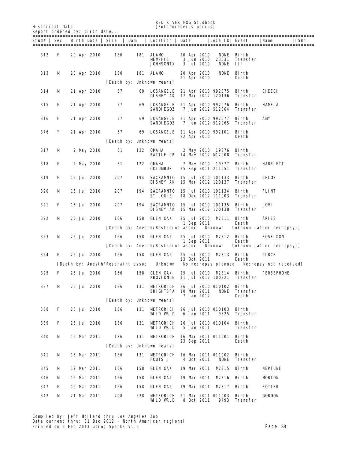RED RIVER HOG Studbook<br>
(Potamochoerus porcus)<br>
(Potamochoerus porcus) Historical Data (*Potamochoerus porcus*)

| Report ordered by: birth date |  |  |
|-------------------------------|--|--|
|                               |  |  |

| ======= |   |             | Stud#   Sex   Birth Date   Sire   Dam |     | Location   Date                                                           |  |                                                | Local ID  Event                               |                                 | Name                                         | ISBn |
|---------|---|-------------|---------------------------------------|-----|---------------------------------------------------------------------------|--|------------------------------------------------|-----------------------------------------------|---------------------------------|----------------------------------------------|------|
| 312     | F | 20 Apr 2010 | 180                                   |     | <b>181 ALAMD</b><br><b>MEMPHIS</b><br><b>JOHNSONTX</b>                    |  | 20 Apr 2010<br>3 Jun 2010<br><b>3 Jul 2010</b> | 23031<br><b>NONE</b>                          | NONE Birth<br>Transfer<br>- 1tf |                                              |      |
| 313     | M | 20 Apr 2010 | 180                                   |     | <b>181 ALAMD</b>                                                          |  | 20 Apr 2010                                    | <b>NONE</b>                                   | Birth                           |                                              |      |
|         |   |             |                                       |     | [Death by: Unknown means]                                                 |  | 21 Apr 2010                                    |                                               | Death                           |                                              |      |
| 314     | м | 21 Apr 2010 | 57                                    | 69  | LOSANGELE<br><b>DISNEY AK 17 Mar 2012 120136</b>                          |  |                                                | 21 Apr 2010 992075                            | Birth<br>Transfer               | CHEECH                                       |      |
| 315     | F | 21 Apr 2010 | 57                                    | 69  | <b>LOSANGELE</b><br><b>SANDIEGOZ</b>                                      |  |                                                | 21 Apr 2010 992076<br>7 Jun 2012 512064       | Birth<br>Transfer               | HAMELA                                       |      |
| 316     | F | 21 Apr 2010 | 57                                    | 69  | LOSANGELE<br><b>SANDIEGOZ</b>                                             |  |                                                | 21 Apr 2010 992077<br>7 Jun 2012 512065       | Birth<br>Transfer               | AMY                                          |      |
| 376     | ? | 21 Apr 2010 | 57                                    | 69  | <b>LOSANGELE</b> 21 Apr 2010 992101                                       |  | 22 Apr 2010                                    |                                               | Birth<br>Death                  |                                              |      |
|         |   |             |                                       |     | [Death by: Unknown means]                                                 |  |                                                |                                               |                                 |                                              |      |
| 317     | M | 2 May 2010  | 61                                    | 122 | <b>OMAHA</b><br><b>BATTLE CR 14 May 2012 M2008</b>                        |  |                                                | 2 May 2010 19876                              | Birth<br>Transfer               |                                              |      |
| 318     | F | 2 May 2010  | 61                                    | 122 | <b>OMAHA</b><br>COLUMBUS                                                  |  |                                                | 2 May 2010 19877<br>25 Sep 2011 211051        | Birth<br>Transfer               | <b>HARRIETT</b>                              |      |
| 319     | F | 15 Jul 2010 | 207                                   |     | 194 SACRAMTO<br><b>DISNEY AK 15 Mar 2012 120137</b>                       |  |                                                | 15 Jul 2010 101133                            | Birth<br>Transfer               | CHLOE                                        |      |
| 320     | M | 15 Jul 2010 | 207                                   | 194 | SACRAMNTO<br>ST LOUIS                                                     |  |                                                | 15 Jul 2010 101134<br>18 Dec 2012 111003      | Birth<br>Transfer               | FLINT                                        |      |
| 321     | F | 15 Jul 2010 | 207                                   | 194 | SACRAMITO<br><b>DISNEY AK 15 Mar 2012 120138</b>                          |  |                                                | 15 Jul 2010 101135                            | Birth<br>Transfer               | <b>JOVI</b>                                  |      |
| 322     | м | 25 Jul 2010 | 166                                   | 158 | <b>GLEN OAK</b>                                                           |  | 1 Sep 2011                                     | 25 Jul 2010 M2311 Birth                       | Death                           | <b>ARIES</b>                                 |      |
|         |   |             |                                       |     | [Death by: Anesth/Restraint assoc                                         |  |                                                | Unknown                                       |                                 | Unknown (after necropsy)]                    |      |
| 323     | M | 25 Jul 2010 | 166                                   | 158 | GLEN OAK<br>[Death by: Anesth/Restraint assoc                             |  | 1 Sep 2011                                     | 25 Jul 2010 M2312<br>Unknown                  | Birth<br>Death                  | <b>POSEIDON</b><br>Unknown (after necropsy)] |      |
| 324     | F | 25 Jul 2010 | 166                                   |     | <b>158 GLEN OAK</b>                                                       |  |                                                |                                               |                                 | <b>CIRCE</b>                                 |      |
|         |   |             |                                       |     |                                                                           |  | 13 Oct 2011                                    | 25 Jul 2010 M2313 Birth                       | Death                           |                                              |      |
|         |   |             | [Death by: Anesth/Restraint assoc     |     | Unknown                                                                   |  |                                                | No necropsy planned                           |                                 | Necropsy not received                        |      |
| 325     | F | 25 Jul 2010 | 166                                   | 158 | <b>GLEN OAK</b><br><b>PROVIDNCE</b>                                       |  |                                                | 25 Jul 2010 M2314 Birth<br>11 Jul 2012 100321 | Transfer                        | <b>PERSEPHONE</b>                            |      |
| 337     | м | 26 Jul 2010 | 186                                   | 131 | <b>METRORICH 26 Jul 2010 010102 Birth</b><br><b>BRIGHTSFA</b> 10 Mar 2011 |  | 7 Jan 2012                                     | <b>NONE</b>                                   | <b>Transfer</b><br>Death        |                                              |      |
|         |   |             |                                       |     | [Death by: Unknown means]                                                 |  |                                                |                                               |                                 |                                              |      |
| 338     | F | 26 Jul 2010 | 186                                   | 131 | METRORICH<br>WLD WRLD                                                     |  | 6 Jan 2011                                     | 26 Jul 2010 010103<br>9325                    | Birth<br>Transfer               |                                              |      |
| 339     | F | 26 Jul 2010 | 186                                   | 131 | METRORICH<br>WLD WRLD                                                     |  |                                                | 26 Jul 2010 010104<br><b>5 Jan 2011</b>       | Birth<br>Transfer               |                                              |      |
| 340     | M | 16 Mar 2011 | 186                                   | 131 | <b>METRORICH 16 Mar 2011 011001</b>                                       |  | 23 Sep 2011                                    |                                               | Birth<br>Death                  |                                              |      |
|         |   |             |                                       |     | [Death by: Unknown means]                                                 |  |                                                |                                               |                                 |                                              |      |
| 341     | M | 16 Mar 2011 | 186                                   | 131 | <b>METRORICH 16 Mar 2011 011002</b><br><b>FOUTS J</b>                     |  | 4 Oct 2011                                     | <b>NONE</b>                                   | Birth<br>Transfer               |                                              |      |
| 345     | M | 19 Mar 2011 | 166                                   | 158 | <b>GLEN OAK</b>                                                           |  |                                                | 19 Mar 2011 M2315                             | Birth                           | <b>NEPTUNE</b>                               |      |
| 346     | M | 19 Mar 2011 | 166                                   | 158 | <b>GLEN OAK</b>                                                           |  |                                                | 19 Mar 2011 M2316 Birth                       |                                 | <b>MDRTON</b>                                |      |
| 347     | F | 19 Mar 2011 | 166                                   | 158 | <b>GLEN OAK</b>                                                           |  |                                                | 19 Mar 2011 M2317 Birth                       |                                 | <b>POTTER</b>                                |      |
| 342     | М | 21 Mar 2011 | 208                                   | 228 | METRORICH<br><b>WLD WRLD</b>                                              |  | 8 Oct 2011                                     | 21 Mar 2011 011003<br>9493                    | Birth<br>Transfer               | <b>GORDON</b>                                |      |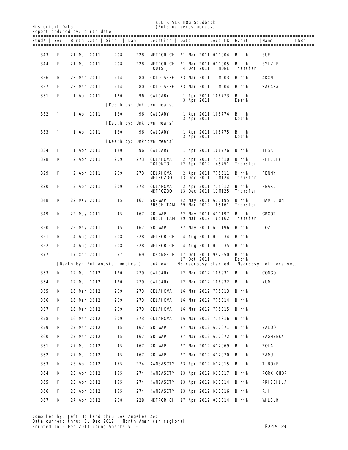RED RIVER HOG Studbook<br>
Fistorical Data<br>
(Potamochoerus porcus) Report ordered by: birth date...

Historical Data (*Potamochoerus porcus*)

| <b>Report ordered by: birth date</b><br>===: |   |  |             |                                 |     |                                    |             |                                                    |                   |                       |
|----------------------------------------------|---|--|-------------|---------------------------------|-----|------------------------------------|-------------|----------------------------------------------------|-------------------|-----------------------|
|                                              |   |  |             | Stud#   Sex   Birth Date   Sire | Dam | Location                           | Date        | LocalID  Event                                     |                   | Name<br>  ISBn        |
| 343                                          | F |  | 21 Mar 2011 | 208                             | 228 |                                    |             | <b>METRORICH 21 Mar 2011 011004 Birth</b>          |                   | SUE                   |
| 344                                          | F |  | 21 Mar 2011 | 208                             | 228 | <b>FOUTS J</b>                     | 4 Oct 2011  | <b>METRORICH</b> 21 Mar 2011 011005<br><b>NONE</b> | Birth<br>Transfer | SYLVIE                |
| 326                                          | M |  | 23 Mar 2011 | 214                             | 80  | COLO SPRG                          |             | 23 Mar 2011 11MD03                                 | Birth             | AKONI                 |
| 327                                          | F |  | 23 Mar 2011 | 214                             | 80  | <b>COLO SPRG</b>                   |             | 23 Mar 2011 11MD04 Birth                           |                   | <b>SAFARA</b>         |
| 331                                          | F |  | 1 Apr 2011  | 120                             | 96  | <b>CALGARY</b>                     | 3 Apr 2011  | 1 Apr 2011 108773                                  | Birth<br>Death    |                       |
|                                              |   |  |             |                                 |     | [Death by: Unknown means]          |             |                                                    |                   |                       |
| 332                                          | ? |  | 1 Apr 2011  | 120                             | 96  | <b>CALGARY</b>                     | 3 Apr 2011  | 1 Apr 2011 108774                                  | Birth<br>Death    |                       |
|                                              |   |  |             |                                 |     | [Death by: Unknown means]          |             |                                                    |                   |                       |
| 333                                          | ? |  | 1 Apr 2011  | 120                             | 96  | <b>CALGARY</b>                     | 3 Apr 2011  | 1 Apr 2011 108775                                  | Birth<br>Death    |                       |
|                                              |   |  |             |                                 |     | [Death by: Unknown means]          |             |                                                    |                   |                       |
| 334                                          | F |  | 1 Apr 2011  | 120                             | 96  | <b>CALGARY</b>                     |             | 1 Apr 2011 108776 Birth                            |                   | TISA                  |
| 328                                          | M |  | 2 Apr 2011  | 209                             | 273 | <b>OKLAHOMA</b><br><b>TORONTO</b>  |             | 2 Apr 2011 775610<br>12 Apr 2012 45751             | Birth<br>Transfer | PHILIP                |
| 329                                          | F |  | 2 Apr 2011  | 209                             | 273 | <b>OKLAHDMA</b><br><b>METROZOO</b> |             | 2 Apr 2011 775611<br>13 Dec 2011 11M24             | Birth<br>Transfer | <b>PENNY</b>          |
| 330                                          | F |  | 2 Apr 2011  | 209                             | 273 | <b>OKLAHDMA</b><br><b>METROZOO</b> |             | 2 Apr 2011 775612<br>13 Dec 2011 11M25             | Birth<br>Transfer | <b>PEARL</b>          |
| 348                                          | M |  | 22 May 2011 | 45                              | 167 | SD-WAP<br><b>BUSCH TAM</b>         |             | 22 May 2011 611195<br>29 Mar 2012 65161            | Birth<br>Transfer | <b>HAMLITON</b>       |
| 349                                          | M |  | 22 May 2011 | 45                              | 167 | SD-WAP<br><b>BUSCH TAM</b>         |             | 22 May 2011 611197<br>29 Mar 2012 65162            | Birth<br>Transfer | <b>GROOT</b>          |
| 350                                          | F |  | 22 May 2011 | 45                              | 167 | SD-WAP                             |             | 22 May 2011 611196                                 | Birth             | <b>LOZI</b>           |
| 351                                          | м |  | 4 Aug 2011  | 208                             | 228 | METRORICH                          |             | 4 Aug 2011 011034                                  | Birth             |                       |
| 352                                          | F |  | 4 Aug 2011  | 208                             | 228 | METRORICH                          |             | 4 Aug 2011 011035                                  | Birth             |                       |
| 377                                          | ? |  | 17 Oct 2011 | 57                              | 69  | <b>LOSANGELE</b>                   | 17 Oct 2011 | 17 Oct 2011 992550                                 | Birth<br>Death    |                       |
|                                              |   |  |             | [Death by: Euthanasia (medical) |     | <b>Unknown</b>                     |             | No necropsy planned                                |                   | Necropsy not received |
| 353                                          | м |  | 12 Mar 2012 | 120                             | 279 | <b>CALGARY</b>                     |             | 12 Mar 2012 108931                                 | Birth             | <b>CONGO</b>          |
| 354                                          | F |  | 12 Mar 2012 | 120                             | 279 | <b>CALGARY</b>                     |             | 12 Mar 2012 108932                                 | Birth             | KUM                   |
| 355                                          | М |  | 16 Mar 2012 | 209                             | 273 | <b>OKLAHOMA</b>                    |             | 16 Mar 2012 775813 Birth                           |                   |                       |
| 356                                          | M |  | 16 Mar 2012 | 209                             | 273 | <b>OKLAHOMA</b>                    |             | 16 Mar 2012 775814 Birth                           |                   |                       |
| 357                                          | F |  | 16 Mar 2012 | 209                             | 273 | <b>OKLAHOMA</b>                    |             | 16 Mar 2012 775815 Birth                           |                   |                       |
| 358                                          | F |  | 16 Mar 2012 | 209                             | 273 | <b>OKLAHOMA</b>                    |             | 16 Mar 2012 775816                                 | Birth             |                       |
| 359                                          | M |  | 27 Mar 2012 | 45                              | 167 | SD-WAP                             |             | 27 Mar 2012 612071 Birth                           |                   | <b>BALOO</b>          |
| 360                                          | M |  | 27 Mar 2012 | 45                              | 167 | SD-WAP                             |             | 27 Mar 2012 612072                                 | Birth             | <b>BAGHEERA</b>       |
| 361                                          | F |  | 27 Mar 2012 | 45                              | 167 | SD-WAP                             |             | 27 Mar 2012 612069                                 | Birth             | ZOLA                  |
| 362                                          | F |  | 27 Mar 2012 | 45                              | 167 | SD-WAP                             |             | 27 Mar 2012 612070                                 | Birth             | ZAMU                  |
| 363                                          | M |  | 23 Apr 2012 | 155                             | 274 | KANSASCTY                          |             | 23 Apr 2012 M 2015 Birth                           |                   | <b>T-BONE</b>         |
| 364                                          | м |  | 23 Apr 2012 | 155                             | 274 | KANSASCTY                          |             | 23 Apr 2012 M2017 Birth                            |                   | <b>PORK CHOP</b>      |
| 365                                          | F |  | 23 Apr 2012 | 155                             | 274 | KANSASCTY                          |             | 23 Apr 2012 M 2014 Birth                           |                   | PRISCILLA             |
| 366                                          | F |  | 23 Apr 2012 | 155                             | 274 | KANSASCTY                          |             | 23 Apr 2012 M 2016 Birth                           |                   | R. J.                 |
| 367                                          | м |  | 27 Apr 2012 | 208                             | 228 |                                    |             | METRORICH 27 Apr 2012 012014 Birth                 |                   | <b>WLEUR</b>          |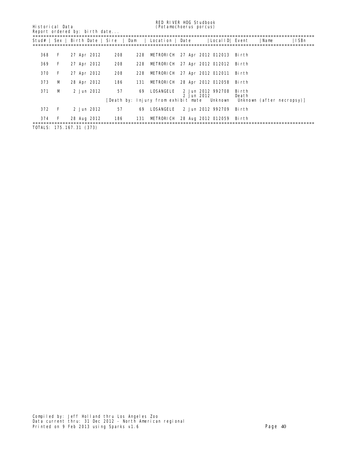Report ordered by: birth date...

RED RIVER HOG Studbook

| <b>Historical Data</b> |  | (Potamochoerus porcus) |  |
|------------------------|--|------------------------|--|
|                        |  |                        |  |

| Stud# |              |             |     | Sex   Birth Date   Sire   Dam   Location   Date |            | Local ID  Event                           |                | ISBn<br>  Name                                                        |
|-------|--------------|-------------|-----|-------------------------------------------------|------------|-------------------------------------------|----------------|-----------------------------------------------------------------------|
|       |              |             |     |                                                 |            |                                           |                |                                                                       |
| 368   | F            | 27 Apr 2012 | 208 | 228                                             |            | <b>METRORICH 27 Apr 2012 012013 Birth</b> |                |                                                                       |
| 369   | F            | 27 Apr 2012 | 208 | 228 METRORICH 27 Apr 2012 012012 Birth          |            |                                           |                |                                                                       |
| 370   | F            | 27 Apr 2012 | 208 | 228 METRORICH 27 Apr 2012 012011 Birth          |            |                                           |                |                                                                       |
| 373   | М            | 28 Apr 2012 | 186 | 131 METRORICH 28 Apr 2012 012058 Birth          |            |                                           |                |                                                                       |
| 371   | М            | 2 Jun 2012  | 57  | LOSANGELE<br>69                                 | 2 Jun 2012 | 2 Jun 2012 992708                         | Birth<br>Death |                                                                       |
|       |              |             |     |                                                 |            |                                           |                | [Death by: Injury from exhibit mate Unknown Unknown (after necropsy)] |
| 372   | $\mathbf{F}$ | 2 Jun 2012  | 57  | LOSANGELE<br>69                                 |            | 2 Jun 2012 992709                         | - Bi rth       |                                                                       |
| 374   | F            | 28 Aug 2012 | 186 | 131 METRORICH 28 Aug 2012 012059 Birth          |            |                                           |                |                                                                       |

TOTALS: 175.167.31 (373)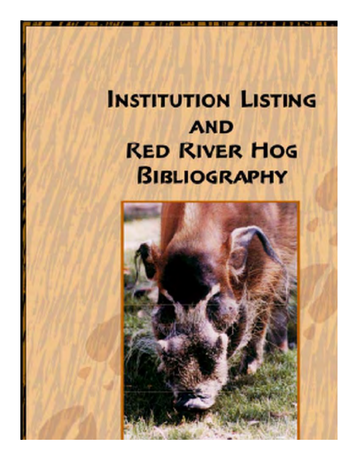## **INSTITUTION LISTING AND RED RIVER HOG BIBLIOGRAPHY**

red r*iver a*nd studies and the studies of the studies Historical Data (*Potamochoerus porcus*)

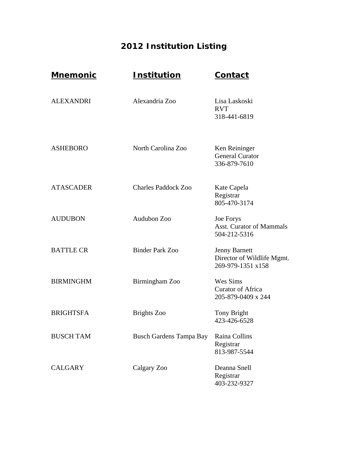## **2012 Institution Listing**

| <u>Mnemonic</u>  | <u>Institution</u>             | <b>Contact</b>                                                          |
|------------------|--------------------------------|-------------------------------------------------------------------------|
| <b>ALEXANDRI</b> | Alexandria Zoo                 | Lisa Laskoski<br><b>RVT</b><br>318-441-6819                             |
| <b>ASHEBORO</b>  | North Carolina Zoo             | Ken Reininger<br><b>General Curator</b><br>336-879-7610                 |
| <b>ATASCADER</b> | <b>Charles Paddock Zoo</b>     | Kate Capela<br>Registrar<br>805-470-3174                                |
| <b>AUDUBON</b>   | Audubon Zoo                    | Joe Forys<br><b>Asst. Curator of Mammals</b><br>504-212-5316            |
| <b>BATTLE CR</b> | <b>Binder Park Zoo</b>         | <b>Jenny Barnett</b><br>Director of Wildlife Mgmt.<br>269-979-1351 x158 |
| <b>BIRMINGHM</b> | Birmingham Zoo                 | Wes Sims<br><b>Curator of Africa</b><br>205-879-0409 x 244              |
| <b>BRIGHTSFA</b> | <b>Brights</b> Zoo             | Tony Bright<br>423-426-6528                                             |
| <b>BUSCH TAM</b> | <b>Busch Gardens Tampa Bay</b> | Raina Collins<br>Registrar<br>813-987-5544                              |
| <b>CALGARY</b>   | Calgary Zoo                    | Deanna Snell<br>Registrar<br>403-232-9327                               |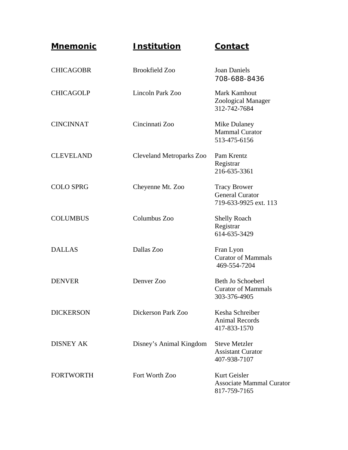| <u>Mnemonic</u>  | <b>Institution</b>       | <b>Contact</b>                                                         |
|------------------|--------------------------|------------------------------------------------------------------------|
| <b>CHICAGOBR</b> | <b>Brookfield Zoo</b>    | <b>Joan Daniels</b><br>708-688-8436                                    |
| <b>CHICAGOLP</b> | Lincoln Park Zoo         | Mark Kamhout<br>Zoological Manager<br>312-742-7684                     |
| <b>CINCINNAT</b> | Cincinnati Zoo           | Mike Dulaney<br><b>Mammal Curator</b><br>513-475-6156                  |
| <b>CLEVELAND</b> | Cleveland Metroparks Zoo | Pam Krentz<br>Registrar<br>216-635-3361                                |
| <b>COLO SPRG</b> | Cheyenne Mt. Zoo         | <b>Tracy Brower</b><br><b>General Curator</b><br>719-633-9925 ext. 113 |
| <b>COLUMBUS</b>  | Columbus Zoo             | <b>Shelly Roach</b><br>Registrar<br>614-635-3429                       |
| <b>DALLAS</b>    | Dallas Zoo               | Fran Lyon<br><b>Curator of Mammals</b><br>469-554-7204                 |
| <b>DENVER</b>    | Denver Zoo               | Beth Jo Schoeberl<br><b>Curator of Mammals</b><br>303-376-4905         |
| <b>DICKERSON</b> | Dickerson Park Zoo       | Kesha Schreiber<br><b>Animal Records</b><br>417-833-1570               |
| <b>DISNEY AK</b> | Disney's Animal Kingdom  | <b>Steve Metzler</b><br><b>Assistant Curator</b><br>407-938-7107       |
| <b>FORTWORTH</b> | Fort Worth Zoo           | Kurt Geisler<br><b>Associate Mammal Curator</b><br>817-759-7165        |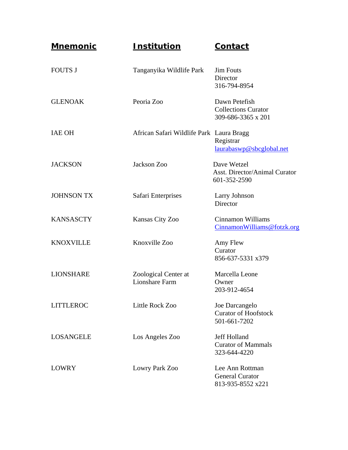| <u>Mnemonic</u>   | <b>Institution</b>                            | <b>Contact</b>                                                      |
|-------------------|-----------------------------------------------|---------------------------------------------------------------------|
| <b>FOUTS J</b>    | Tanganyika Wildlife Park                      | <b>Jim Fouts</b><br>Director<br>316-794-8954                        |
| <b>GLENOAK</b>    | Peoria Zoo                                    | Dawn Petefish<br><b>Collections Curator</b><br>309-686-3365 x 201   |
| <b>IAE OH</b>     | African Safari Wildlife Park Laura Bragg      | Registrar<br>laurabaswp@sbcglobal.net                               |
| <b>JACKSON</b>    | Jackson Zoo                                   | Dave Wetzel<br><b>Asst. Director/Animal Curator</b><br>601-352-2590 |
| <b>JOHNSON TX</b> | Safari Enterprises                            | Larry Johnson<br>Director                                           |
| <b>KANSASCTY</b>  | Kansas City Zoo                               | Cinnamon Williams<br>CinnamonWilliams@fotzk.org                     |
| <b>KNOXVILLE</b>  | Knoxville Zoo                                 | Amy Flew<br>Curator<br>856-637-5331 x379                            |
| <b>LIONSHARE</b>  | Zoological Center at<br><b>Lionshare Farm</b> | Marcella Leone<br>Owner<br>203-912-4654                             |
| <b>LITTLEROC</b>  | Little Rock Zoo                               | Joe Darcangelo<br><b>Curator of Hoofstock</b><br>501-661-7202       |
| <b>LOSANGELE</b>  | Los Angeles Zoo                               | <b>Jeff Holland</b><br><b>Curator of Mammals</b><br>323-644-4220    |
| <b>LOWRY</b>      | Lowry Park Zoo                                | Lee Ann Rottman<br><b>General Curator</b><br>813-935-8552 x221      |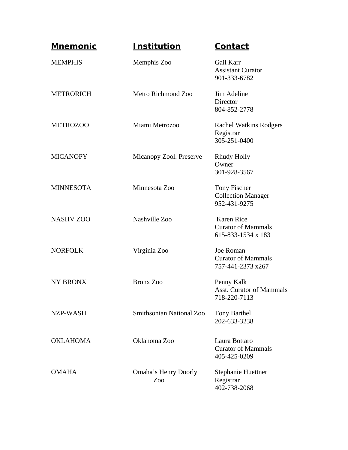| <b>Mnemonic</b>  | <u>Institution</u>                 | <b>Contact</b>                                                       |
|------------------|------------------------------------|----------------------------------------------------------------------|
| <b>MEMPHIS</b>   | Memphis Zoo                        | Gail Karr<br><b>Assistant Curator</b><br>901-333-6782                |
| <b>METRORICH</b> | Metro Richmond Zoo                 | Jim Adeline<br>Director<br>804-852-2778                              |
| <b>METROZOO</b>  | Miami Metrozoo                     | <b>Rachel Watkins Rodgers</b><br>Registrar<br>305-251-0400           |
| <b>MICANOPY</b>  | Micanopy Zool. Preserve            | Rhudy Holly<br>Owner<br>301-928-3567                                 |
| <b>MINNESOTA</b> | Minnesota Zoo                      | Tony Fischer<br><b>Collection Manager</b><br>952-431-9275            |
| <b>NASHV ZOO</b> | Nashville Zoo                      | <b>Karen Rice</b><br><b>Curator of Mammals</b><br>615-833-1534 x 183 |
| <b>NORFOLK</b>   | Virginia Zoo                       | Joe Roman<br><b>Curator of Mammals</b><br>757-441-2373 x267          |
| <b>NY BRONX</b>  | <b>Bronx Zoo</b>                   | Penny Kalk<br><b>Asst. Curator of Mammals</b><br>718-220-7113        |
| NZP-WASH         | <b>Smithsonian National Zoo</b>    | <b>Tony Barthel</b><br>202-633-3238                                  |
| <b>OKLAHOMA</b>  | Oklahoma Zoo                       | Laura Bottaro<br><b>Curator of Mammals</b><br>405-425-0209           |
| <b>OMAHA</b>     | <b>Omaha's Henry Doorly</b><br>Zoo | <b>Stephanie Huettner</b><br>Registrar<br>402-738-2068               |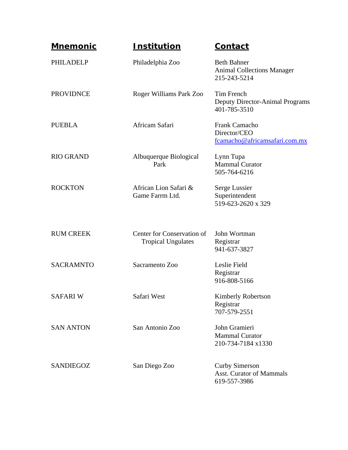| <u>Mnemonic</u>  | <u>Institution</u>                                      | Contact                                                                  |
|------------------|---------------------------------------------------------|--------------------------------------------------------------------------|
| PHILADELP        | Philadelphia Zoo                                        | <b>Beth Bahner</b><br><b>Animal Collections Manager</b><br>215-243-5214  |
| <b>PROVIDNCE</b> | Roger Williams Park Zoo                                 | Tim French<br><b>Deputy Director-Animal Programs</b><br>401-785-3510     |
| <b>PUEBLA</b>    | Africam Safari                                          | Frank Camacho<br>Director/CEO<br>fcamacho@africamsafari.com.mx           |
| <b>RIO GRAND</b> | Albuquerque Biological<br>Park                          | Lynn Tupa<br><b>Mammal Curator</b><br>505-764-6216                       |
| <b>ROCKTON</b>   | African Lion Safari &<br>Game Farrm Ltd.                | Serge Lussier<br>Superintendent<br>519-623-2620 x 329                    |
| <b>RUM CREEK</b> | Center for Conservation of<br><b>Tropical Ungulates</b> | John Wortman<br>Registrar<br>941-637-3827                                |
| <b>SACRAMNTO</b> | Sacramento Zoo                                          | Leslie Field<br>Registrar<br>916-808-5166                                |
| <b>SAFARIW</b>   | Safari West                                             | Kimberly Robertson<br>Registrar<br>707-579-2551                          |
| <b>SAN ANTON</b> | San Antonio Zoo                                         | John Gramieri<br><b>Mammal Curator</b><br>210-734-7184 x1330             |
| <b>SANDIEGOZ</b> | San Diego Zoo                                           | <b>Curby Simerson</b><br><b>Asst. Curator of Mammals</b><br>619-557-3986 |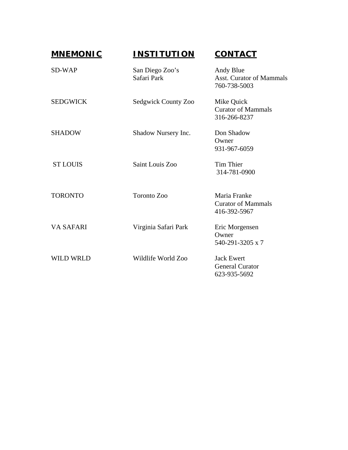| <b>MNEMONIC</b>  | <b>INSTITUTION</b>             | <b>CONTACT</b>                                               |
|------------------|--------------------------------|--------------------------------------------------------------|
| SD-WAP           | San Diego Zoo's<br>Safari Park | Andy Blue<br><b>Asst. Curator of Mammals</b><br>760-738-5003 |
| <b>SEDGWICK</b>  | Sedgwick County Zoo            | Mike Quick<br><b>Curator of Mammals</b><br>316-266-8237      |
| <b>SHADOW</b>    | Shadow Nursery Inc.            | Don Shadow<br>Owner<br>931-967-6059                          |
| <b>ST LOUIS</b>  | Saint Louis Zoo                | Tim Thier<br>314-781-0900                                    |
| <b>TORONTO</b>   | Toronto Zoo                    | Maria Franke<br><b>Curator of Mammals</b><br>416-392-5967    |
| <b>VA SAFARI</b> | Virginia Safari Park           | Eric Morgensen<br>Owner<br>540-291-3205 x 7                  |
| <b>WILD WRLD</b> | Wildlife World Zoo             | <b>Jack Ewert</b><br><b>General Curator</b><br>623-935-5692  |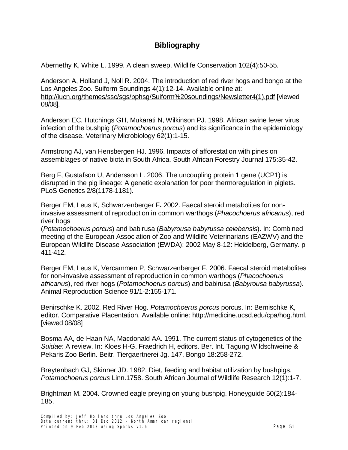#### **Bibliography**

Abernethy K, White L. 1999. A clean sweep. Wildlife Conservation 102(4):50-55.

Anderson A, Holland J, Noll R. 2004. The introduction of red river hogs and bongo at the Los Angeles Zoo. Suiform Soundings 4(1):12-14. Available online at: [http://iucn.org/themes/ssc/sgs/pphsg/Suiform%20soundings/Newsletter4\(1\).pdf](http://iucn.org/themes/ssc/sgs/pphsg/Suiform%20soundings/Newsletter4(1).pdf) [viewed 08/08].

Anderson EC, Hutchings GH, Mukarati N, Wilkinson PJ. 1998. African swine fever virus infection of the bushpig (*Potamochoerus porcus*) and its significance in the epidemiology of the disease. Veterinary Microbiology 62(1):1-15.

Armstrong AJ, van Hensbergen HJ. 1996. Impacts of afforestation with pines on assemblages of native biota in South Africa. South African Forestry Journal 175:35-42.

Berg F, Gustafson U, Andersson L. 2006. The uncoupling protein 1 gene (UCP1) is disrupted in the pig lineage: A genetic explanation for poor thermoregulation in piglets. PLoS Genetics 2/8(1178-1181).

Berger EM, Leus K, Schwarzenberger F**.** 2002. Faecal steroid metabolites for noninvasive assessment of reproduction in common warthogs (*Phacochoerus africanus*), red river hogs

(*Potamochoerus porcus*) and babirusa (*Babyrousa babyrussa celebensis*). In: Combined meeting of the European Association of Zoo and Wildlife Veterinarians (EAZWV) and the European Wildlife Disease Association (EWDA); 2002 May 8-12: Heidelberg, Germany. p 411-412.

Berger EM, Leus K, Vercammen P, Schwarzenberger F. 2006. Faecal steroid metabolites for non-invasive assessment of reproduction in common warthogs (*Phacochoerus africanus*), red river hogs (*Potamochoerus porcus*) and babirusa (*Babyrousa babyrussa*). Animal Reproduction Science 91/1-2:155-171.

Benirschke K. 2002. Red River Hog. *Potamochoerus porcus* porcus. In: Bernischke K, editor. Comparative Placentation. Available online: [http://medicine.ucsd.edu/cpa/hog.html.](http://medicine.ucsd.edu/cpa/hog.html) [viewed 08/08]

Bosma AA, de-Haan NA, Macdonald AA. 1991. The current status of cytogenetics of the *Suidae*: A review. In: Kloes H-G, Fraedrich H, editors. Ber. Int. Tagung Wildschweine & Pekaris Zoo Berlin. Beitr. Tiergaertnerei Jg. 147, Bongo 18:258-272.

Breytenbach GJ, Skinner JD. 1982. Diet, feeding and habitat utilization by bushpigs, *Potamochoerus porcus* Linn.1758. South African Journal of Wildlife Research 12(1):1-7.

Brightman M. 2004. Crowned eagle preying on young bushpig. Honeyguide 50(2):184- 185.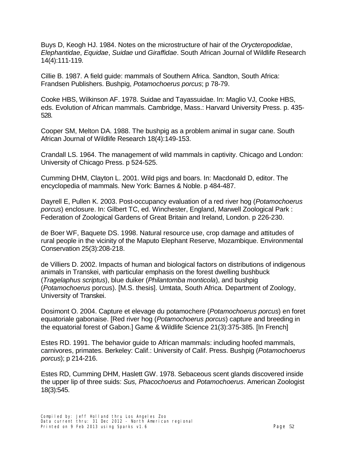Buys D, Keogh HJ. 1984. Notes on the microstructure of hair of the *Orycteropodidae*, *Elephantidae*, *Equidae*, *Suidae* und *Giraffidae*. South African Journal of Wildlife Research 14(4):111-119.

Cillie B. 1987. A field guide: mammals of Southern Africa. Sandton, South Africa: Frandsen Publishers. Bushpig, *Potamochoerus porcus*; p 78-79.

Cooke HBS, Wilkinson AF. 1978. Suidae and Tayassuidae. In: Maglio VJ, Cooke HBS, eds. Evolution of African mammals. Cambridge, Mass.: Harvard University Press. p. 435- 528.

Cooper SM, Melton DA. 1988. The bushpig as a problem animal in sugar cane. South African Journal of Wildlife Research 18(4):149-153.

Crandall LS. 1964. The management of wild mammals in captivity. Chicago and London: University of Chicago Press. p 524-525.

Cumming DHM, Clayton L. 2001. Wild pigs and boars. In: Macdonald D, editor. The encyclopedia of mammals. New York: Barnes & Noble. p 484-487.

Dayrell E, Pullen K. 2003. Post-occupancy evaluation of a red river hog (*Potamochoerus porcus*) enclosure. In: Gilbert TC, ed. Winchester, England, Marwell Zoological Park : Federation of Zoological Gardens of Great Britain and Ireland, London. p 226-230.

de Boer WF, Baquete DS. 1998. Natural resource use, crop damage and attitudes of rural people in the vicinity of the Maputo Elephant Reserve, Mozambique. Environmental Conservation 25(3):208-218.

de Villiers D. 2002. Impacts of human and biological factors on distributions of indigenous animals in Transkei, with particular emphasis on the forest dwelling bushbuck (*Tragelaphus scriptus*), blue duiker (*Philantomba monticola*), and bushpig (*Potamochoerus* porcus). [M.S. thesis]. Umtata, South Africa. Department of Zoology, University of Transkei.

Dosimont O. 2004. Capture et elevage du potamochere (*Potamochoerus porcus*) en foret equatoriale gabonaise. [Red river hog (*Potamochoerus porcus*) capture and breeding in the equatorial forest of Gabon.] Game & Wildlife Science 21(3):375-385. [In French]

Estes RD. 1991. The behavior guide to African mammals: including hoofed mammals, carnivores, primates. Berkeley: Calif.: University of Calif. Press. Bushpig (*Potamochoerus porcus*); p 214-216.

Estes RD, Cumming DHM, Haslett GW. 1978. Sebaceous scent glands discovered inside the upper lip of three suids: *Sus, Phacochoerus* and *Potamochoerus*. American Zoologist 18(3):545.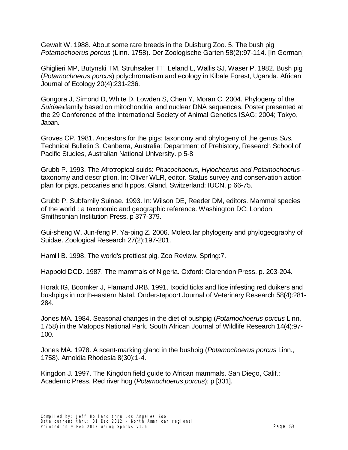Gewalt W. 1988. About some rare breeds in the Duisburg Zoo. 5. The bush pig *Potamochoerus porcus* (Linn. 1758). Der Zoologische Garten 58(2):97-114. [In German]

Ghiglieri MP, Butynski TM, Struhsaker TT, Leland L, Wallis SJ, Waser P. 1982. Bush pig (*Potamochoerus porcus*) polychromatism and ecology in Kibale Forest, Uganda. African Journal of Ecology 20(4):231-236.

Gongora J, Simond D, White D, Lowden S, Chen Y, Moran C. 2004. Phylogeny of the *Suidae*thfamily based on mitochondrial and nuclear DNA sequences. Poster presented at the 29 Conference of the International Society of Animal Genetics ISAG; 2004; Tokyo, Japan.

Groves CP. 1981. Ancestors for the pigs: taxonomy and phylogeny of the genus *Sus.*  Technical Bulletin 3. Canberra, Australia: Department of Prehistory, Research School of Pacific Studies, Australian National University. p 5-8

Grubb P. 1993. The Afrotropical suids: *Phacochoerus, Hylochoerus and Potamochoerus* taxonomy and description. In: Oliver WLR, editor. Status survey and conservation action plan for pigs, peccaries and hippos. Gland, Switzerland: IUCN. p 66-75.

Grubb P. Subfamily Suinae. 1993. In: Wilson DE, Reeder DM, editors. Mammal species of the world : a taxonomic and geographic reference. Washington DC; London: Smithsonian Institution Press. p 377-379.

Gui-sheng W, Jun-feng P, Ya-ping Z. 2006. Molecular phylogeny and phylogeography of Suidae. Zoological Research 27(2):197-201.

Hamill B. 1998. The world's prettiest pig. Zoo Review. Spring:7.

Happold DCD. 1987. The mammals of Nigeria. Oxford: Clarendon Press. p. 203-204.

Horak IG, Boomker J, Flamand JRB. 1991. Ixodid ticks and lice infesting red duikers and bushpigs in north-eastern Natal. Onderstepoort Journal of Veterinary Research 58(4):281- 284.

Jones MA. 1984. Seasonal changes in the diet of bushpig (*Potamochoerus porcus* Linn, 1758) in the Matopos National Park. South African Journal of Wildlife Research 14(4):97- 100.

Jones MA. 1978. A scent-marking gland in the bushpig (*Potamochoerus porcus* Linn., 1758). Arnoldia Rhodesia 8(30):1-4.

Kingdon J. 1997. The Kingdon field guide to African mammals. San Diego, Calif.: Academic Press. Red river hog (*Potamochoerus porcus*); p [331].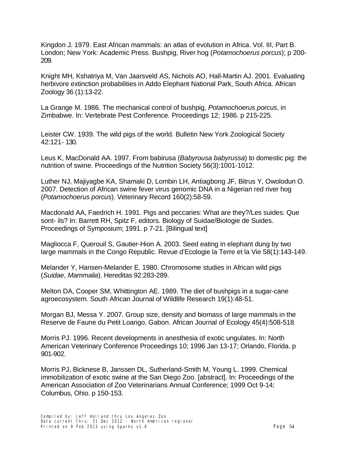Kingdon J. 1979. East African mammals: an atlas of evolution in Africa. Vol. III, Part B. London; New York: Academic Press. Bushpig, River hog (*Potamochoerus porcus*); p 200- 209.

Knight MH, Kshatriya M, Van Jaarsveld AS, Nichols AO, Hall-Martin AJ. 2001. Evaluating herbivore extinction probabilities in Addo Elephant National Park, South Africa. African Zoology 36 (1):13-22.

La Grange M. 1986. The mechanical control of bushpig, *Potamochoerus porcus*, in Zimbabwe. In: Vertebrate Pest Conference. Proceedings 12; 1986. p 215-225.

Leister CW. 1939. The wild pigs of the world. Bulletin New York Zoological Society 42:121- 130.

Leus K, MacDonald AA. 1997. From babirusa (*Babyrousa babyrussa*) to domestic pig: the nutrition of swine. Proceedings of the Nutrition Society 56(3):1001-1012.

Luther NJ, Majiyagbe KA, Shamaki D, Lombin LH, Antiagbong JF, Bitrus Y, Owolodun O. 2007. Detection of African swine fever virus genomic DNA in a Nigerian red river hog (*Potamochoerus porcus*). Veterinary Record 160(2):58-59.

Macdonald AA, Faedrich H. 1991. Pigs and peccaries: What are they?/Les suides: Que sont- ils? In: Barrett RH, Spitz F, editors. Biology of Suidae/Biologie de Suides. Proceedings of Symposium; 1991. p 7-21. [Bilingual text]

Magliocca F, Querouil S, Gautier-Hion A. 2003. Seed eating in elephant dung by two large mammals in the Congo Republic. Revue d'Ecologie la Terre et la Vie 58(1):143-149.

Melander Y, Hansen-Melander E. 1980. Chromosome studies in African wild pigs (*Suidae*, *Mammalia*). Hereditas 92:283-289.

Melton DA, Cooper SM, Whittington AE. 1989. The diet of bushpigs in a sugar-cane agroecosystem. South African Journal of Wildlife Research 19(1):48-51.

Morgan BJ, Messa Y. 2007. Group size, density and biomass of large mammals in the Reserve de Faune du Petit Loango, Gabon. African Journal of Ecology 45(4):508-518

Morris PJ. 1996. Recent developments in anesthesia of exotic ungulates. In: North American Veterinary Conference Proceedings 10; 1996 Jan 13-17; Orlando, Florida. p 901-902.

Morris PJ, Bicknese B, Janssen DL, Sutherland-Smith M, Young L. 1999. Chemical immobilization of exotic swine at the San Diego Zoo. [abstract]. In: Proceedings of the American Association of Zoo Veterinarians Annual Conference; 1999 Oct 9-14; Columbus, Ohio. p 150-153.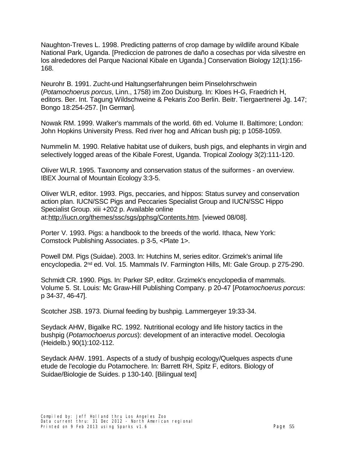Naughton-Treves L. 1998. Predicting patterns of crop damage by wildlife around Kibale National Park, Uganda. [Prediccion de patrones de daño a cosechas por vida silvestre en los alrededores del Parque Nacional Kibale en Uganda.] Conservation Biology 12(1):156- 168.

Neurohr B. 1991. Zucht-und Haltungserfahrungen beim Pinselohrschwein (*Potamochoerus porcus*, Linn., 1758) im Zoo Duisburg. In: Kloes H-G, Fraedrich H, editors. Ber. Int. Tagung Wildschweine & Pekaris Zoo Berlin. Beitr. Tiergaertnerei Jg. 147; Bongo 18:254-257. [In German].

Nowak RM. 1999. Walker's mammals of the world. 6th ed. Volume II. Baltimore; London: John Hopkins University Press. Red river hog and African bush pig; p 1058-1059.

Nummelin M. 1990. Relative habitat use of duikers, bush pigs, and elephants in virgin and selectively logged areas of the Kibale Forest, Uganda. Tropical Zoology 3(2):111-120.

Oliver WLR. 1995. Taxonomy and conservation status of the suiformes - an overview. IBEX Journal of Mountain Ecology 3:3-5.

Oliver WLR, editor. 1993. Pigs, peccaries, and hippos: Status survey and conservation action plan. IUCN/SSC Pigs and Peccaries Specialist Group and IUCN/SSC Hippo Specialist Group. xiii +202 p. Available online at[:http://iucn.org/themes/ssc/sgs/pphsg/Contents.htm](http://iucn.org/themes/ssc/sgs/pphsg/Contents.htm). [viewed 08/08].

Porter V. 1993. Pigs: a handbook to the breeds of the world. Ithaca, New York: Comstock Publishing Associates. p 3-5, <Plate 1>.

Powell DM. Pigs (Suidae). 2003. In: Hutchins M, series editor. Grzimek's animal life encyclopedia. 2nd ed. Vol. 15. Mammals IV. Farmington Hills, MI: Gale Group. p 275-290.

Schmidt CR. 1990. Pigs. In: Parker SP, editor. Grzimek's encyclopedia of mammals. Volume 5. St. Louis: Mc Graw-Hill Publishing Company. p 20-47 [*Potamochoerus porcus*: p 34-37, 46-47].

Scotcher JSB. 1973. Diurnal feeding by bushpig. Lammergeyer 19:33-34.

Seydack AHW, Bigalke RC. 1992. Nutritional ecology and life history tactics in the bushpig (*Potamochoerus porcus*): development of an interactive model. Oecologia (Heidelb.) 90(1):102-112.

Seydack AHW. 1991. Aspects of a study of bushpig ecology/Quelques aspects d'une etude de l'ecologie du Potamochere. In: Barrett RH, Spitz F, editors. Biology of Suidae/Biologie de Suides. p 130-140. [Bilingual text]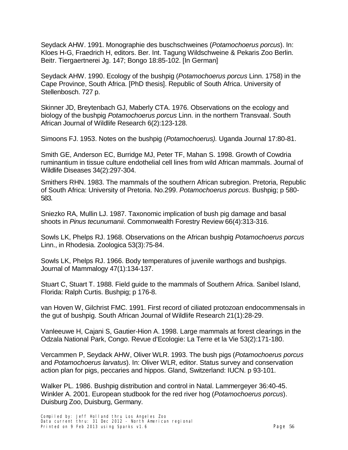Seydack AHW. 1991. Monographie des buschschweines (*Potamochoerus porcus*). In: Kloes H-G, Fraedrich H, editors. Ber. Int. Tagung Wildschweine & Pekaris Zoo Berlin. Beitr. Tiergaertnerei Jg. 147; Bongo 18:85-102. [In German]

Seydack AHW. 1990. Ecology of the bushpig (*Potamochoerus porcus* Linn. 1758) in the Cape Province, South Africa. [PhD thesis]. Republic of South Africa. University of Stellenbosch. 727 p.

Skinner JD, Breytenbach GJ, Maberly CTA. 1976. Observations on the ecology and biology of the bushpig *Potamochoerus porcus* Linn. in the northern Transvaal. South African Journal of Wildlife Research 6(2):123-128.

Simoons FJ. 1953. Notes on the bushpig (*Potamochoerus).* Uganda Journal 17:80-81.

Smith GE, Anderson EC, Burridge MJ, Peter TF, Mahan S. 1998. Growth of Cowdria ruminantium in tissue culture endothelial cell lines from wild African mammals. Journal of Wildlife Diseases 34(2):297-304.

Smithers RHN. 1983. The mammals of the southern African subregion. Pretoria, Republic of South Africa: University of Pretoria. No.299. *Potamochoerus porcus*. Bushpig; p 580- 583.

Sniezko RA, Mullin LJ. 1987. Taxonomic implication of bush pig damage and basal shoots in *Pinus tecunumanii*. Commonwealth Forestry Review 66(4):313-316.

Sowls LK, Phelps RJ. 1968. Observations on the African bushpig *Potamochoerus porcus*  Linn., in Rhodesia. Zoologica 53(3):75-84.

Sowls LK, Phelps RJ. 1966. Body temperatures of juvenile warthogs and bushpigs. Journal of Mammalogy 47(1):134-137.

Stuart C, Stuart T. 1988. Field guide to the mammals of Southern Africa. Sanibel Island, Florida: Ralph Curtis. Bushpig; p 176-8.

van Hoven W, Gilchrist FMC. 1991. First record of ciliated protozoan endocommensals in the gut of bushpig. South African Journal of Wildlife Research 21(1):28-29.

Vanleeuwe H, Cajani S, Gautier-Hion A. 1998. Large mammals at forest clearings in the Odzala National Park, Congo. Revue d'Ecologie: La Terre et la Vie 53(2):171-180.

Vercammen P, Seydack AHW, Oliver WLR. 1993. The bush pigs (*Potamochoerus porcus*  and *Potamochoerus larvatus*). In: Oliver WLR, editor. Status survey and conservation action plan for pigs, peccaries and hippos. Gland, Switzerland: IUCN. p 93-101.

Walker PL. 1986. Bushpig distribution and control in Natal. Lammergeyer 36:40-45. Winkler A. 2001. European studbook for the red river hog (*Potamochoerus porcus*). Duisburg Zoo, Duisburg, Germany.